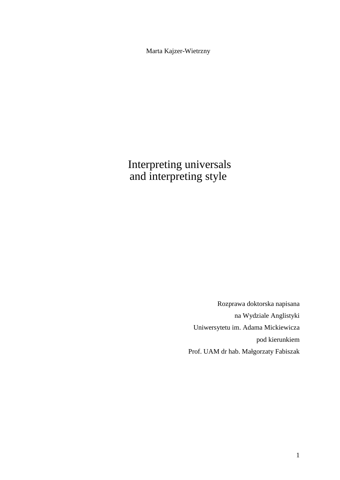Marta Kajzer-Wietrzny

 Interpreting universals and interpreting style

> Rozprawa doktorska napisana na Wydziale Anglistyki Uniwersytetu im. Adama Mickiewicza pod kierunkiem Prof. UAM dr hab. Małgorzaty Fabiszak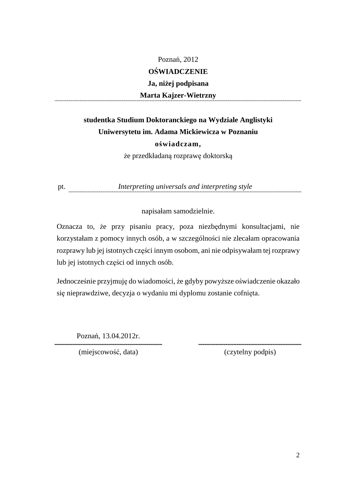### Poznań, 2012 **OŚWIADCZENIE Ja, niżej podpisana Marta Kajzer-Wietrzny**

### **studentka Studium Doktoranckiego na Wydziale Anglistyki Uniwersytetu im. Adama Mickiewicza w Poznaniu oświadczam,**

że przedkładaną rozprawę doktorską

pt. *Interpreting universals and interpreting style* 

napisałam samodzielnie.

Oznacza to, że przy pisaniu pracy, poza niezbędnymi konsultacjami, nie korzystałam z pomocy innych osób, a w szczególności nie zlecałam opracowania rozprawy lub jej istotnych części innym osobom, ani nie odpisywałam tej rozprawy lub jej istotnych części od innych osób.

Jednocześnie przyjmuję do wiadomości, że gdyby powyższe oświadczenie okazało się nieprawdziwe, decyzja o wydaniu mi dyplomu zostanie cofnięta.

Poznań, 13.04.2012r.

(miejscowość, data) (czytelny podpis)

.........................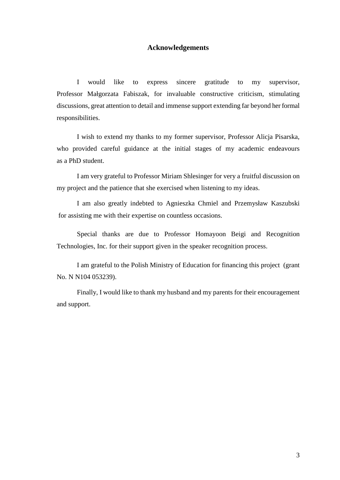#### **Acknowledgements**

I would like to express sincere gratitude to my supervisor, Professor Małgorzata Fabiszak, for invaluable constructive criticism, stimulating discussions, great attention to detail and immense support extending far beyond her formal responsibilities.

I wish to extend my thanks to my former supervisor, Professor Alicja Pisarska, who provided careful guidance at the initial stages of my academic endeavours as a PhD student.

I am very grateful to Professor Miriam Shlesinger for very a fruitful discussion on my project and the patience that she exercised when listening to my ideas.

I am also greatly indebted to Agnieszka Chmiel and Przemysław Kaszubski for assisting me with their expertise on countless occasions.

Special thanks are due to Professor Homayoon Beigi and Recognition Technologies, Inc. for their support given in the speaker recognition process.

I am grateful to the Polish Ministry of Education for financing this project (grant No. N N104 053239).

Finally, I would like to thank my husband and my parents for their encouragement and support.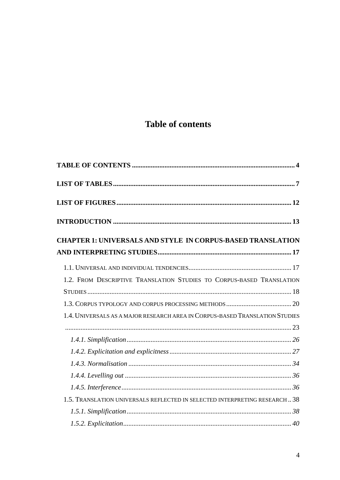## **Table of contents**

| <b>CHAPTER 1: UNIVERSALS AND STYLE IN CORPUS-BASED TRANSLATION</b>           |  |
|------------------------------------------------------------------------------|--|
|                                                                              |  |
|                                                                              |  |
| 1.2. FROM DESCRIPTIVE TRANSLATION STUDIES TO CORPUS-BASED TRANSLATION        |  |
|                                                                              |  |
|                                                                              |  |
| 1.4. UNIVERSALS AS A MAJOR RESEARCH AREA IN CORPUS-BASED TRANSLATION STUDIES |  |
|                                                                              |  |
|                                                                              |  |
|                                                                              |  |
|                                                                              |  |
|                                                                              |  |
|                                                                              |  |
| 1.5. TRANSLATION UNIVERSALS REFLECTED IN SELECTED INTERPRETING RESEARCH 38   |  |
|                                                                              |  |
|                                                                              |  |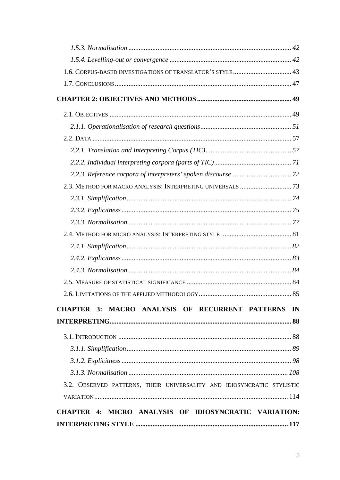| 1.6. CORPUS-BASED INVESTIGATIONS OF TRANSLATOR'S STYLE 43              |  |
|------------------------------------------------------------------------|--|
|                                                                        |  |
|                                                                        |  |
|                                                                        |  |
|                                                                        |  |
|                                                                        |  |
|                                                                        |  |
|                                                                        |  |
|                                                                        |  |
|                                                                        |  |
|                                                                        |  |
|                                                                        |  |
|                                                                        |  |
|                                                                        |  |
|                                                                        |  |
|                                                                        |  |
|                                                                        |  |
|                                                                        |  |
|                                                                        |  |
| <b>CHAPTER 3: MACRO ANALYSIS OF RECURRENT PATTERNS IN</b>              |  |
|                                                                        |  |
|                                                                        |  |
|                                                                        |  |
|                                                                        |  |
|                                                                        |  |
| 3.2. OBSERVED PATTERNS, THEIR UNIVERSALITY AND IDIOSYNCRATIC STYLISTIC |  |
|                                                                        |  |
| <b>CHAPTER 4: MICRO ANALYSIS OF IDIOSYNCRATIC VARIATION:</b>           |  |
|                                                                        |  |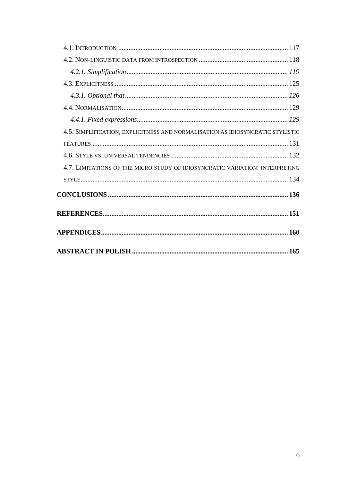| 4.5. SIMPLIFICATION, EXPLICITNESS AND NORMALISATION AS IDIOSYNCRATIC STYLISTIC |  |
|--------------------------------------------------------------------------------|--|
|                                                                                |  |
|                                                                                |  |
| 4.7. LIMITATIONS OF THE MICRO STUDY OF IDIOSYNCRATIC VARIATION: INTERPRETING   |  |
|                                                                                |  |
|                                                                                |  |
|                                                                                |  |
|                                                                                |  |
|                                                                                |  |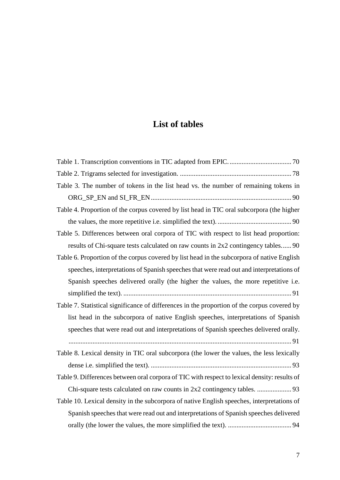## **List of tables**

| Table 3. The number of tokens in the list head vs. the number of remaining tokens in         |
|----------------------------------------------------------------------------------------------|
|                                                                                              |
| Table 4. Proportion of the corpus covered by list head in TIC oral subcorpora (the higher    |
|                                                                                              |
| Table 5. Differences between oral corpora of TIC with respect to list head proportion:       |
| results of Chi-square tests calculated on raw counts in 2x2 contingency tables 90            |
| Table 6. Proportion of the corpus covered by list head in the subcorpora of native English   |
| speeches, interpretations of Spanish speeches that were read out and interpretations of      |
| Spanish speeches delivered orally (the higher the values, the more repetitive i.e.           |
|                                                                                              |
| Table 7. Statistical significance of differences in the proportion of the corpus covered by  |
| list head in the subcorpora of native English speeches, interpretations of Spanish           |
| speeches that were read out and interpretations of Spanish speeches delivered orally.        |
|                                                                                              |
| Table 8. Lexical density in TIC oral subcorpora (the lower the values, the less lexically    |
|                                                                                              |
| Table 9. Differences between oral corpora of TIC with respect to lexical density: results of |
|                                                                                              |
| Table 10. Lexical density in the subcorpora of native English speeches, interpretations of   |
| Spanish speeches that were read out and interpretations of Spanish speeches delivered        |
|                                                                                              |
|                                                                                              |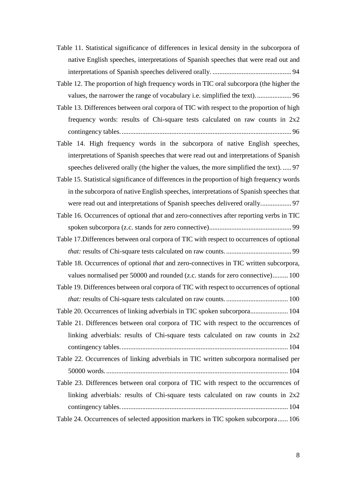Table 11. Statistical significance of differences in lexical density in the subcorpora of native English speeches, interpretations of Spanish speeches that were read out and interpretations of Spanish speeches delivered orally. .............................................. 94

Table 12. The proportion of high frequency words in TIC oral subcorpora (the higher the values, the narrower the range of vocabulary i.e. simplified the text)..................... 96

Table 13. Differences between oral corpora of TIC with respect to the proportion of high frequency words: results of Chi-square tests calculated on raw counts in 2x2 contingency tables.................................................................................................... 96

Table 14. High frequency words in the subcorpora of native English speeches, interpretations of Spanish speeches that were read out and interpretations of Spanish speeches delivered orally (the higher the values, the more simplified the text). ..... 97

Table 15. Statistical significance of differences in the proportion of high frequency words in the subcorpora of native English speeches, interpretations of Spanish speeches that were read out and interpretations of Spanish speeches delivered orally.................. 97

Table 16. Occurrences of optional *that* and zero-connectives after reporting verbs in TIC spoken subcorpora (z.c. stands for zero connective)................................................ 99

Table 17.Differences between oral corpora of TIC with respect to occurrences of optional *that:* results of Chi-square tests calculated on raw counts. ...................................... 99

Table 18. Occurrences of optional *that* and zero-connectives in TIC written subcorpora, values normalised per 50000 and rounded (z.c. stands for zero connective)......... 100

Table 19. Differences between oral corpora of TIC with respect to occurrences of optional *that:* results of Chi-square tests calculated on raw counts. .................................... 100

Table 20. Occurrences of linking adverbials in TIC spoken subcorpora...................... 104

Table 21. Differences between oral corpora of TIC with respect to the occurrences of linking adverbials: results of Chi-square tests calculated on raw counts in  $2x2$ contingency tables.................................................................................................. 104

Table 22. Occurrences of linking adverbials in TIC written subcorpora normalised per 50000 words........................................................................................................... 104

Table 23. Differences between oral corpora of TIC with respect to the occurrences of linking adverbials*:* results of Chi-square tests calculated on raw counts in 2x2 contingency tables.................................................................................................. 104

Table 24. Occurrences of selected apposition markers in TIC spoken subcorpora...... 106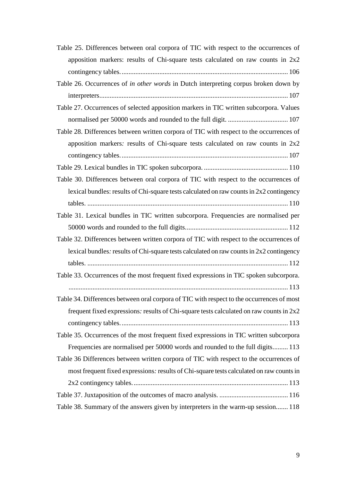| Table 25. Differences between oral corpora of TIC with respect to the occurrences of       |
|--------------------------------------------------------------------------------------------|
| apposition markers: results of Chi-square tests calculated on raw counts in $2x2$          |
|                                                                                            |
| Table 26. Occurrences of in other words in Dutch interpreting corpus broken down by        |
|                                                                                            |
| Table 27. Occurrences of selected apposition markers in TIC written subcorpora. Values     |
|                                                                                            |
| Table 28. Differences between written corpora of TIC with respect to the occurrences of    |
| apposition markers: results of Chi-square tests calculated on raw counts in $2x2$          |
|                                                                                            |
|                                                                                            |
| Table 30. Differences between oral corpora of TIC with respect to the occurrences of       |
| lexical bundles: results of Chi-square tests calculated on raw counts in $2x2$ contingency |
|                                                                                            |
| Table 31. Lexical bundles in TIC written subcorpora. Frequencies are normalised per        |
|                                                                                            |
| Table 32. Differences between written corpora of TIC with respect to the occurrences of    |
| lexical bundles: results of Chi-square tests calculated on raw counts in 2x2 contingency   |
|                                                                                            |
| Table 33. Occurrences of the most frequent fixed expressions in TIC spoken subcorpora.     |
|                                                                                            |
| Table 34. Differences between oral corpora of TIC with respect to the occurrences of most  |
| frequent fixed expressions: results of Chi-square tests calculated on raw counts in $2x2$  |
|                                                                                            |
| Table 35. Occurrences of the most frequent fixed expressions in TIC written subcorpora     |
| Frequencies are normalised per 50000 words and rounded to the full digits 113              |
| Table 36 Differences between written corpora of TIC with respect to the occurrences of     |
| most frequent fixed expressions: results of Chi-square tests calculated on raw counts in   |
|                                                                                            |
|                                                                                            |
| Table 38. Summary of the answers given by interpreters in the warm-up session 118          |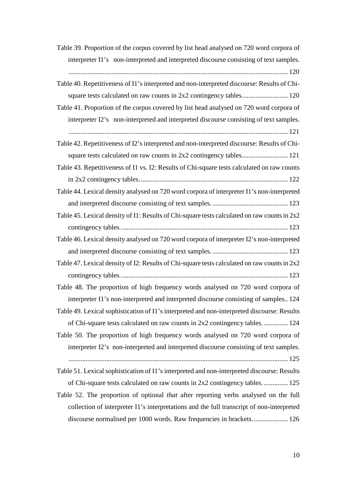| Table 39. Proportion of the corpus covered by list head analysed on 720 word corpora of        |
|------------------------------------------------------------------------------------------------|
| interpreter I1's non-interpreted and interpreted discourse consisting of text samples.         |
|                                                                                                |
| Table 40. Repetitiveness of I1's interpreted and non-interpreted discourse: Results of Chi-    |
|                                                                                                |
| Table 41. Proportion of the corpus covered by list head analysed on 720 word corpora of        |
| interpreter I2's non-interpreted and interpreted discourse consisting of text samples.         |
|                                                                                                |
| Table 42. Repetitiveness of I2's interpreted and non-interpreted discourse: Results of Chi-    |
|                                                                                                |
| Table 43. Repetitiveness of I1 vs. I2: Results of Chi-square tests calculated on raw counts    |
|                                                                                                |
| Table 44. Lexical density analysed on 720 word corpora of interpreter I1's non-interpreted     |
|                                                                                                |
| Table 45. Lexical density of I1: Results of Chi-square tests calculated on raw counts in $2x2$ |
|                                                                                                |
| Table 46. Lexical density analysed on 720 word corpora of interpreter I2's non-interpreted     |
|                                                                                                |
| Table 47. Lexical density of I2: Results of Chi-square tests calculated on raw counts in 2x2   |
|                                                                                                |
| Table 48. The proportion of high frequency words analysed on 720 word corpora of               |
| interpreter I1's non-interpreted and interpreted discourse consisting of samples 124           |
| Table 49. Lexical sophistication of I1's interpreted and non-interpreted discourse: Results    |
| of Chi-square tests calculated on raw counts in 2x2 contingency tables.  124                   |
| Table 50. The proportion of high frequency words analysed on 720 word corpora of               |
| interpreter I2's non-interpreted and interpreted discourse consisting of text samples.         |
|                                                                                                |
| Table 51. Lexical sophistication of I1's interpreted and non-interpreted discourse: Results    |
| of Chi-square tests calculated on raw counts in 2x2 contingency tables 125                     |
| Table 52. The proportion of optional that after reporting verbs analysed on the full           |
| collection of interpreter I1's interpretations and the full transcript of non-interpreted      |
| discourse normalised per 1000 words. Raw frequencies in brackets 126                           |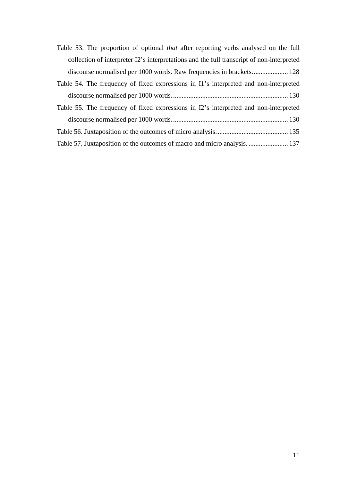| Table 53. The proportion of optional <i>that</i> after reporting verbs analysed on the full |
|---------------------------------------------------------------------------------------------|
| collection of interpreter I2's interpretations and the full transcript of non-interpreted   |
|                                                                                             |
| Table 54. The frequency of fixed expressions in I1's interpreted and non-interpreted        |
|                                                                                             |
| Table 55. The frequency of fixed expressions in I2's interpreted and non-interpreted        |
|                                                                                             |
|                                                                                             |

Table 57. Juxtaposition of the outcomes of macro and micro analysis. ....................... 137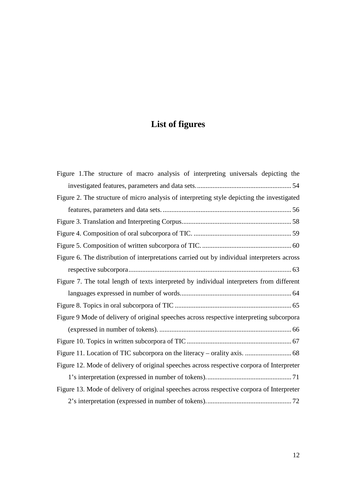# **List of figures**

| Figure 1. The structure of macro analysis of interpreting universals depicting the          |
|---------------------------------------------------------------------------------------------|
|                                                                                             |
| Figure 2. The structure of micro analysis of interpreting style depicting the investigated  |
|                                                                                             |
|                                                                                             |
|                                                                                             |
|                                                                                             |
| Figure 6. The distribution of interpretations carried out by individual interpreters across |
|                                                                                             |
| Figure 7. The total length of texts interpreted by individual interpreters from different   |
|                                                                                             |
|                                                                                             |
| Figure 9 Mode of delivery of original speeches across respective interpreting subcorpora    |
|                                                                                             |
|                                                                                             |
|                                                                                             |
| Figure 12. Mode of delivery of original speeches across respective corpora of Interpreter   |
|                                                                                             |
| Figure 13. Mode of delivery of original speeches across respective corpora of Interpreter   |
|                                                                                             |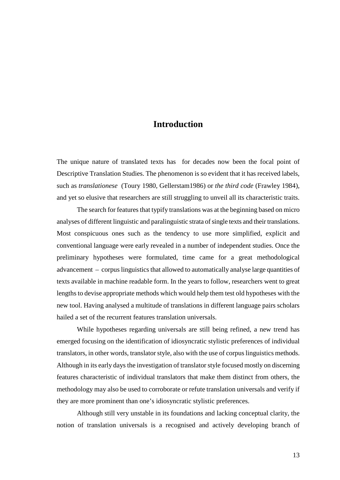### **Introduction**

The unique nature of translated texts has for decades now been the focal point of Descriptive Translation Studies. The phenomenon is so evident that it has received labels, such as *translationese* (Toury 1980, Gellerstam1986) or *the third code* (Frawley 1984), and yet so elusive that researchers are still struggling to unveil all its characteristic traits.

The search for features that typify translations was at the beginning based on micro analyses of different linguistic and paralinguistic strata of single texts and their translations. Most conspicuous ones such as the tendency to use more simplified, explicit and conventional language were early revealed in a number of independent studies. Once the preliminary hypotheses were formulated, time came for a great methodological advancement – corpus linguistics that allowed to automatically analyse large quantities of texts available in machine readable form. In the years to follow, researchers went to great lengths to devise appropriate methods which would help them test old hypotheses with the new tool. Having analysed a multitude of translations in different language pairs scholars hailed a set of the recurrent features translation universals.

While hypotheses regarding universals are still being refined, a new trend has emerged focusing on the identification of idiosyncratic stylistic preferences of individual translators, in other words, translator style, also with the use of corpus linguistics methods. Although in its early days the investigation of translator style focused mostly on discerning features characteristic of individual translators that make them distinct from others, the methodology may also be used to corroborate or refute translation universals and verify if they are more prominent than one's idiosyncratic stylistic preferences.

Although still very unstable in its foundations and lacking conceptual clarity, the notion of translation universals is a recognised and actively developing branch of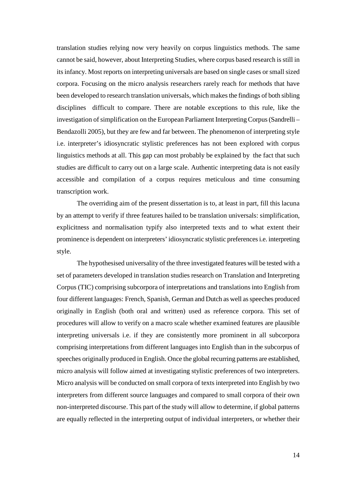translation studies relying now very heavily on corpus linguistics methods. The same cannot be said, however, about Interpreting Studies, where corpus based research is still in its infancy. Most reports on interpreting universals are based on single cases or small sized corpora. Focusing on the micro analysis researchers rarely reach for methods that have been developed to research translation universals, which makes the findings of both sibling disciplines difficult to compare. There are notable exceptions to this rule, like the investigation of simplification on the European Parliament Interpreting Corpus (Sandrelli – Bendazolli 2005), but they are few and far between. The phenomenon of interpreting style i.e. interpreter's idiosyncratic stylistic preferences has not been explored with corpus linguistics methods at all. This gap can most probably be explained by the fact that such studies are difficult to carry out on a large scale. Authentic interpreting data is not easily accessible and compilation of a corpus requires meticulous and time consuming transcription work.

The overriding aim of the present dissertation is to, at least in part, fill this lacuna by an attempt to verify if three features hailed to be translation universals: simplification, explicitness and normalisation typify also interpreted texts and to what extent their prominence is dependent on interpreters' idiosyncratic stylistic preferences i.e. interpreting style.

The hypothesised universality of the three investigated features will be tested with a set of parameters developed in translation studies research on Translation and Interpreting Corpus (TIC) comprising subcorpora of interpretations and translations into English from four different languages: French, Spanish, German and Dutch as well as speeches produced originally in English (both oral and written) used as reference corpora. This set of procedures will allow to verify on a macro scale whether examined features are plausible interpreting universals i.e. if they are consistently more prominent in all subcorpora comprising interpretations from different languages into English than in the subcorpus of speeches originally produced in English. Once the global recurring patterns are established, micro analysis will follow aimed at investigating stylistic preferences of two interpreters. Micro analysis will be conducted on small corpora of texts interpreted into English by two interpreters from different source languages and compared to small corpora of their own non-interpreted discourse. This part of the study will allow to determine, if global patterns are equally reflected in the interpreting output of individual interpreters, or whether their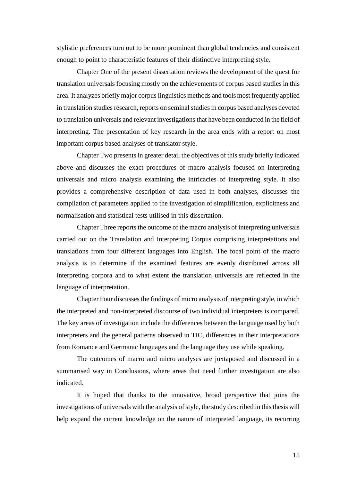stylistic preferences turn out to be more prominent than global tendencies and consistent enough to point to characteristic features of their distinctive interpreting style.

Chapter One of the present dissertation reviews the development of the quest for translation universals focusing mostly on the achievements of corpus based studies in this area. It analyzes briefly major corpus linguistics methods and tools most frequently applied in translation studies research, reports on seminal studies in corpus based analyses devoted to translation universals and relevant investigations that have been conducted in the field of interpreting. The presentation of key research in the area ends with a report on most important corpus based analyses of translator style.

Chapter Two presents in greater detail the objectives of this study briefly indicated above and discusses the exact procedures of macro analysis focused on interpreting universals and micro analysis examining the intricacies of interpreting style. It also provides a comprehensive description of data used in both analyses, discusses the compilation of parameters applied to the investigation of simplification, explicitness and normalisation and statistical tests utilised in this dissertation.

Chapter Three reports the outcome of the macro analysis of interpreting universals carried out on the Translation and Interpreting Corpus comprising interpretations and translations from four different languages into English. The focal point of the macro analysis is to determine if the examined features are evenly distributed across all interpreting corpora and to what extent the translation universals are reflected in the language of interpretation.

Chapter Four discusses the findings of micro analysis of interpreting style, in which the interpreted and non-interpreted discourse of two individual interpreters is compared. The key areas of investigation include the differences between the language used by both interpreters and the general patterns observed in TIC, differences in their interpretations from Romance and Germanic languages and the language they use while speaking.

The outcomes of macro and micro analyses are juxtaposed and discussed in a summarised way in Conclusions, where areas that need further investigation are also indicated.

It is hoped that thanks to the innovative, broad perspective that joins the investigations of universals with the analysis of style, the study described in this thesis will help expand the current knowledge on the nature of interpreted language, its recurring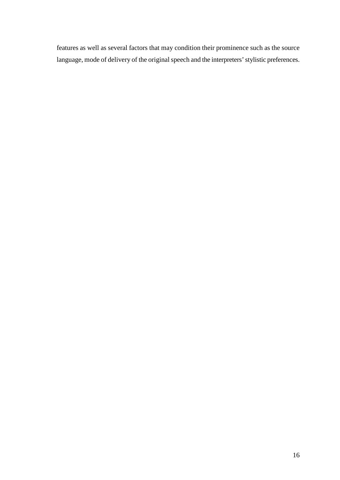features as well as several factors that may condition their prominence such as the source language, mode of delivery of the original speech and the interpreters' stylistic preferences.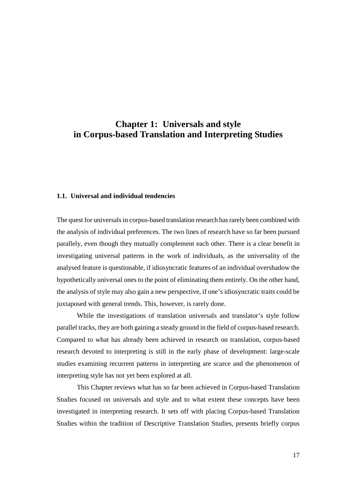### **Chapter 1: Universals and style in Corpus-based Translation and Interpreting Studies**

#### **1.1. Universal and individual tendencies**

The quest for universals in corpus-based translation research has rarely been combined with the analysis of individual preferences. The two lines of research have so far been pursued parallely, even though they mutually complement each other. There is a clear benefit in investigating universal patterns in the work of individuals, as the universality of the analysed feature is questionable, if idiosyncratic features of an individual overshadow the hypothetically universal ones to the point of eliminating them entirely. On the other hand, the analysis of style may also gain a new perspective, if one's idiosyncratic traits could be juxtaposed with general trends. This, however, is rarely done.

While the investigations of translation universals and translator's style follow parallel tracks, they are both gaining a steady ground in the field of corpus-based research. Compared to what has already been achieved in research on translation, corpus-based research devoted to interpreting is still in the early phase of development: large-scale studies examining recurrent patterns in interpreting are scarce and the phenomenon of interpreting style has not yet been explored at all.

This Chapter reviews what has so far been achieved in Corpus-based Translation Studies focused on universals and style and to what extent these concepts have been investigated in interpreting research. It sets off with placing Corpus-based Translation Studies within the tradition of Descriptive Translation Studies, presents briefly corpus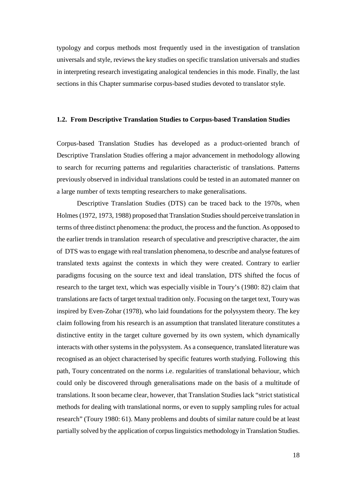typology and corpus methods most frequently used in the investigation of translation universals and style, reviews the key studies on specific translation universals and studies in interpreting research investigating analogical tendencies in this mode. Finally, the last sections in this Chapter summarise corpus-based studies devoted to translator style.

#### **1.2. From Descriptive Translation Studies to Corpus-based Translation Studies**

Corpus-based Translation Studies has developed as a product-oriented branch of Descriptive Translation Studies offering a major advancement in methodology allowing to search for recurring patterns and regularities characteristic of translations. Patterns previously observed in individual translations could be tested in an automated manner on a large number of texts tempting researchers to make generalisations.

Descriptive Translation Studies (DTS) can be traced back to the 1970s, when Holmes (1972, 1973, 1988) proposed that Translation Studies should perceive translation in terms of three distinct phenomena: the product, the process and the function. As opposed to the earlier trends in translation research of speculative and prescriptive character, the aim of DTS was to engage with real translation phenomena, to describe and analyse features of translated texts against the contexts in which they were created. Contrary to earlier paradigms focusing on the source text and ideal translation, DTS shifted the focus of research to the target text, which was especially visible in Toury's (1980: 82) claim that translations are facts of target textual tradition only. Focusing on the target text, Toury was inspired by Even-Zohar (1978), who laid foundations for the polysystem theory. The key claim following from his research is an assumption that translated literature constitutes a distinctive entity in the target culture governed by its own system, which dynamically interacts with other systems in the polysystem. As a consequence, translated literature was recognised as an object characterised by specific features worth studying. Following this path, Toury concentrated on the norms i.e. regularities of translational behaviour, which could only be discovered through generalisations made on the basis of a multitude of translations. It soon became clear, however, that Translation Studies lack "strict statistical methods for dealing with translational norms, or even to supply sampling rules for actual research" (Toury 1980: 61). Many problems and doubts of similar nature could be at least partially solved by the application of corpus linguistics methodology in Translation Studies.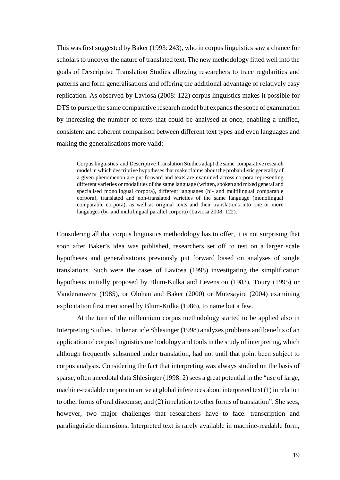This was first suggested by Baker (1993: 243), who in corpus linguistics saw a chance for scholars to uncover the nature of translated text. The new methodology fitted well into the goals of Descriptive Translation Studies allowing researchers to trace regularities and patterns and form generalisations and offering the additional advantage of relatively easy replication. As observed by Laviosa (2008: 122) corpus linguistics makes it possible for DTS to pursue the same comparative research model but expands the scope of examination by increasing the number of texts that could be analysed at once, enabling a unified, consistent and coherent comparison between different text types and even languages and making the generalisations more valid:

Corpus linguistics and Descriptive Translation Studies adapt the same comparative research model in which descriptive hypotheses that make claims about the probabilistic generality of a given phenomenon are put forward and texts are examined across corpora representing different varieties or modalities of the same language (written, spoken and mixed general and specialised monolingual corpora), different languages (bi- and multilingual comparable corpora), translated and non-translated varieties of the same language (monolingual comparable corpora), as well as original texts and their translations into one or more languages (bi- and multilingual parallel corpora) (Laviosa 2008: 122).

Considering all that corpus linguistics methodology has to offer, it is not surprising that soon after Baker's idea was published, researchers set off to test on a larger scale hypotheses and generalisations previously put forward based on analyses of single translations. Such were the cases of Laviosa (1998) investigating the simplification hypothesis initially proposed by Blum-Kulka and Levenston (1983), Toury (1995) or Vanderauwera (1985), or Olohan and Baker (2000) or Mutesayire (2004) examining explicitation first mentioned by Blum-Kulka (1986), to name but a few.

At the turn of the millennium corpus methodology started to be applied also in Interpreting Studies. In her article Shlesinger (1998) analyzes problems and benefits of an application of corpus linguistics methodology and tools in the study of interpreting, which although frequently subsumed under translation, had not until that point been subject to corpus analysis. Considering the fact that interpreting was always studied on the basis of sparse, often anecdotal data Shlesinger (1998: 2) sees a great potential in the "use of large, machine-readable corpora to arrive at global inferences about interpreted text (1) in relation to other forms of oral discourse; and (2) in relation to other forms of translation". She sees, however, two major challenges that researchers have to face: transcription and paralinguistic dimensions. Interpreted text is rarely available in machine-readable form,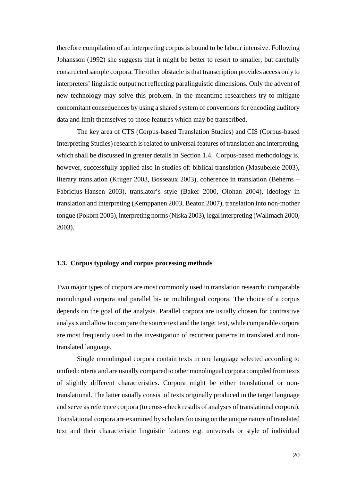therefore compilation of an interpreting corpus is bound to be labour intensive. Following Johansson (1992) she suggests that it might be better to resort to smaller, but carefully constructed sample corpora. The other obstacle is that transcription provides access only to interpreters' linguistic output not reflecting paralinguistic dimensions. Only the advent of new technology may solve this problem. In the meantime researchers try to mitigate concomitant consequences by using a shared system of conventions for encoding auditory data and limit themselves to those features which may be transcribed.

The key area of CTS (Corpus-based Translation Studies) and CIS (Corpus-based Interpreting Studies) research is related to universal features of translation and interpreting, which shall be discussed in greater details in Section 1.4. Corpus-based methodology is, however, successfully applied also in studies of: biblical translation (Masubelele 2003), literary translation (Kruger 2003, Bosseaux 2003), coherence in translation (Beherns – Fabricius-Hansen 2003), translator's style (Baker 2000, Olohan 2004), ideology in translation and interpreting (Kemppanen 2003, Beaton 2007), translation into non-mother tongue (Pokorn 2005), interpreting norms (Niska 2003), legal interpreting (Wallmach 2000, 2003).

#### **1.3. Corpus typology and corpus processing methods**

Two major types of corpora are most commonly used in translation research: comparable monolingual corpora and parallel bi- or multilingual corpora. The choice of a corpus depends on the goal of the analysis. Parallel corpora are usually chosen for contrastive analysis and allow to compare the source text and the target text, while comparable corpora are most frequently used in the investigation of recurrent patterns in translated and nontranslated language.

Single monolingual corpora contain texts in one language selected according to unified criteria and are usually compared to other monolingual corpora compiled from texts of slightly different characteristics. Corpora might be either translational or nontranslational. The latter usually consist of texts originally produced in the target language and serve as reference corpora (to cross-check results of analyses of translational corpora). Translational corpora are examined by scholars focusing on the unique nature of translated text and their characteristic linguistic features e.g. universals or style of individual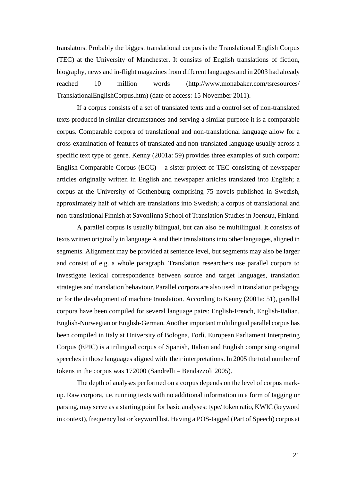translators. Probably the biggest translational corpus is the Translational English Corpus (TEC) at the University of Manchester. It consists of English translations of fiction, biography, news and in-flight magazines from different languages and in 2003 had already reached 10 million words (http://www.monabaker.com/tsresources/ TranslationalEnglishCorpus.htm) (date of access: 15 November 2011).

If a corpus consists of a set of translated texts and a control set of non-translated texts produced in similar circumstances and serving a similar purpose it is a comparable corpus. Comparable corpora of translational and non-translational language allow for a cross-examination of features of translated and non-translated language usually across a specific text type or genre. Kenny (2001a: 59) provides three examples of such corpora: English Comparable Corpus (ECC) – a sister project of TEC consisting of newspaper articles originally written in English and newspaper articles translated into English; a corpus at the University of Gothenburg comprising 75 novels published in Swedish, approximately half of which are translations into Swedish; a corpus of translational and non-translational Finnish at Savonlinna School of Translation Studies in Joensuu, Finland.

A parallel corpus is usually bilingual, but can also be multilingual. It consists of texts written originally in language A and their translations into other languages, aligned in segments. Alignment may be provided at sentence level, but segments may also be larger and consist of e.g. a whole paragraph. Translation researchers use parallel corpora to investigate lexical correspondence between source and target languages, translation strategies and translation behaviour. Parallel corpora are also used in translation pedagogy or for the development of machine translation. According to Kenny (2001a: 51), parallel corpora have been compiled for several language pairs: English-French, English-Italian, English-Norwegian or English-German. Another important multilingual parallel corpus has been compiled in Italy at University of Bologna, Forlì. European Parliament Interpreting Corpus (EPIC) is a trilingual corpus of Spanish, Italian and English comprising original speeches in those languages aligned with their interpretations. In 2005 the total number of tokens in the corpus was 172000 (Sandrelli – Bendazzoli 2005).

The depth of analyses performed on a corpus depends on the level of corpus markup. Raw corpora, i.e. running texts with no additional information in a form of tagging or parsing, may serve as a starting point for basic analyses: type/ token ratio, KWIC (keyword in context), frequency list or keyword list. Having a POS-tagged (Part of Speech) corpus at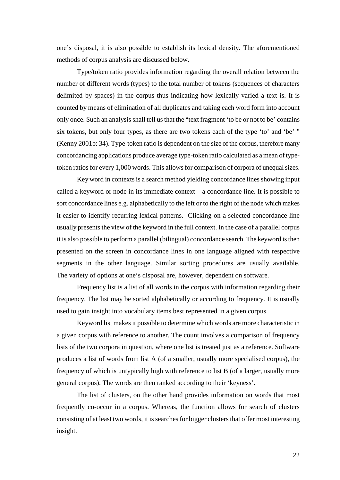one's disposal, it is also possible to establish its lexical density. The aforementioned methods of corpus analysis are discussed below.

Type/token ratio provides information regarding the overall relation between the number of different words (types) to the total number of tokens (sequences of characters delimited by spaces) in the corpus thus indicating how lexically varied a text is. It is counted by means of elimination of all duplicates and taking each word form into account only once. Such an analysis shall tell us that the "text fragment 'to be or not to be' contains six tokens, but only four types, as there are two tokens each of the type 'to' and 'be' " (Kenny 2001b: 34). Type-token ratio is dependent on the size of the corpus, therefore many concordancing applications produce average type-token ratio calculated as a mean of typetoken ratios for every 1,000 words. This allows for comparison of corpora of unequal sizes.

Key word in contexts is a search method yielding concordance lines showing input called a keyword or node in its immediate context – a concordance line. It is possible to sort concordance lines e.g. alphabetically to the left or to the right of the node which makes it easier to identify recurring lexical patterns. Clicking on a selected concordance line usually presents the view of the keyword in the full context. In the case of a parallel corpus it is also possible to perform a parallel (bilingual) concordance search. The keyword is then presented on the screen in concordance lines in one language aligned with respective segments in the other language. Similar sorting procedures are usually available. The variety of options at one's disposal are, however, dependent on software.

Frequency list is a list of all words in the corpus with information regarding their frequency. The list may be sorted alphabetically or according to frequency. It is usually used to gain insight into vocabulary items best represented in a given corpus.

Keyword list makes it possible to determine which words are more characteristic in a given corpus with reference to another. The count involves a comparison of frequency lists of the two corpora in question, where one list is treated just as a reference. Software produces a list of words from list A (of a smaller, usually more specialised corpus), the frequency of which is untypically high with reference to list B (of a larger, usually more general corpus). The words are then ranked according to their 'keyness'.

The list of clusters, on the other hand provides information on words that most frequently co-occur in a corpus. Whereas, the function allows for search of clusters consisting of at least two words, it is searches for bigger clusters that offer most interesting insight.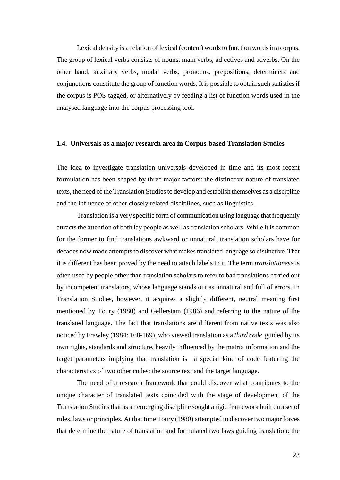Lexical density is a relation of lexical (content) words to function words in a corpus. The group of lexical verbs consists of nouns, main verbs, adjectives and adverbs. On the other hand, auxiliary verbs, modal verbs, pronouns, prepositions, determiners and conjunctions constitute the group of function words. It is possible to obtain such statistics if the corpus is POS-tagged, or alternatively by feeding a list of function words used in the analysed language into the corpus processing tool.

#### **1.4. Universals as a major research area in Corpus-based Translation Studies**

The idea to investigate translation universals developed in time and its most recent formulation has been shaped by three major factors: the distinctive nature of translated texts, the need of the Translation Studies to develop and establish themselves as a discipline and the influence of other closely related disciplines, such as linguistics.

Translation is a very specific form of communication using language that frequently attracts the attention of both lay people as well as translation scholars. While it is common for the former to find translations awkward or unnatural, translation scholars have for decades now made attempts to discover what makes translated language so distinctive. That it is different has been proved by the need to attach labels to it. The term *translationese* is often used by people other than translation scholars to refer to bad translations carried out by incompetent translators, whose language stands out as unnatural and full of errors. In Translation Studies, however, it acquires a slightly different, neutral meaning first mentioned by Toury (1980) and Gellerstam (1986) and referring to the nature of the translated language. The fact that translations are different from native texts was also noticed by Frawley (1984: 168-169), who viewed translation as a *third code* guided by its own rights, standards and structure, heavily influenced by the matrix information and the target parameters implying that translation is a special kind of code featuring the characteristics of two other codes: the source text and the target language.

The need of a research framework that could discover what contributes to the unique character of translated texts coincided with the stage of development of the Translation Studies that as an emerging discipline sought a rigid framework built on a set of rules, laws or principles. At that time Toury (1980) attempted to discover two major forces that determine the nature of translation and formulated two laws guiding translation: the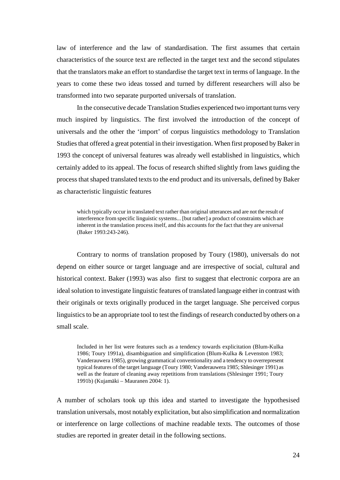law of interference and the law of standardisation. The first assumes that certain characteristics of the source text are reflected in the target text and the second stipulates that the translators make an effort to standardise the target text in terms of language. In the years to come these two ideas tossed and turned by different researchers will also be transformed into two separate purported universals of translation.

In the consecutive decade Translation Studies experienced two important turns very much inspired by linguistics. The first involved the introduction of the concept of universals and the other the 'import' of corpus linguistics methodology to Translation Studies that offered a great potential in their investigation. When first proposed by Baker in 1993 the concept of universal features was already well established in linguistics, which certainly added to its appeal. The focus of research shifted slightly from laws guiding the process that shaped translated texts to the end product and its universals, defined by Baker as characteristic linguistic features

which typically occur in translated text rather than original utterances and are not the result of interference from specific linguistic systems... [but rather] a product of constraints which are inherent in the translation process itself, and this accounts for the fact that they are universal (Baker 1993:243-246).

Contrary to norms of translation proposed by Toury (1980), universals do not depend on either source or target language and are irrespective of social, cultural and historical context. Baker (1993) was also first to suggest that electronic corpora are an ideal solution to investigate linguistic features of translated language either in contrast with their originals or texts originally produced in the target language. She perceived corpus linguistics to be an appropriate tool to test the findings of research conducted by others on a small scale.

Included in her list were features such as a tendency towards explicitation (Blum-Kulka 1986; Toury 1991a), disambiguation and simplification (Blum-Kulka & Levenston 1983; Vanderauwera 1985), growing grammatical conventionality and a tendency to overrepresent typical features of the target language (Toury 1980; Vanderauwera 1985; Shlesinger 1991) as well as the feature of cleaning away repetitions from translations (Shlesinger 1991; Toury 1991b) (Kujamäki – Mauranen 2004: 1).

A number of scholars took up this idea and started to investigate the hypothesised translation universals, most notably explicitation, but also simplification and normalization or interference on large collections of machine readable texts. The outcomes of those studies are reported in greater detail in the following sections.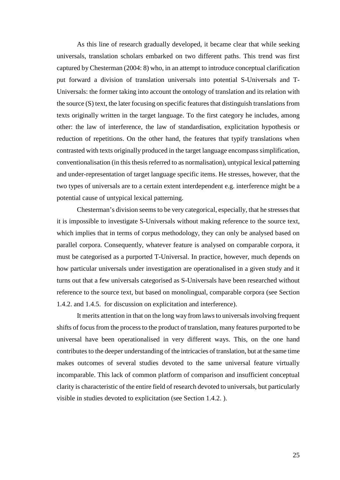As this line of research gradually developed, it became clear that while seeking universals, translation scholars embarked on two different paths. This trend was first captured by Chesterman (2004: 8) who, in an attempt to introduce conceptual clarification put forward a division of translation universals into potential S-Universals and T-Universals: the former taking into account the ontology of translation and its relation with the source (S) text, the later focusing on specific features that distinguish translations from texts originally written in the target language. To the first category he includes, among other: the law of interference, the law of standardisation, explicitation hypothesis or reduction of repetitions. On the other hand, the features that typify translations when contrasted with texts originally produced in the target language encompass simplification, conventionalisation (in this thesis referred to as normalisation), untypical lexical patterning and under-representation of target language specific items. He stresses, however, that the two types of universals are to a certain extent interdependent e.g. interference might be a potential cause of untypical lexical patterning.

 Chesterman's division seems to be very categorical, especially, that he stresses that it is impossible to investigate S-Universals without making reference to the source text, which implies that in terms of corpus methodology, they can only be analysed based on parallel corpora. Consequently, whatever feature is analysed on comparable corpora, it must be categorised as a purported T-Universal. In practice, however, much depends on how particular universals under investigation are operationalised in a given study and it turns out that a few universals categorised as S-Universals have been researched without reference to the source text, but based on monolingual, comparable corpora (see Section 1.4.2. and 1.4.5. for discussion on explicitation and interference).

 It merits attention in that on the long way from laws to universals involving frequent shifts of focus from the process to the product of translation, many features purported to be universal have been operationalised in very different ways. This, on the one hand contributes to the deeper understanding of the intricacies of translation, but at the same time makes outcomes of several studies devoted to the same universal feature virtually incomparable. This lack of common platform of comparison and insufficient conceptual clarity is characteristic of the entire field of research devoted to universals, but particularly visible in studies devoted to explicitation (see Section 1.4.2. ).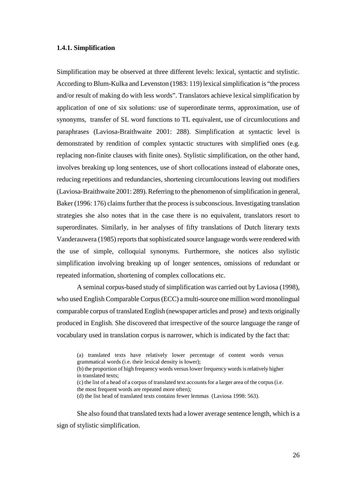#### **1.4.1. Simplification**

Simplification may be observed at three different levels: lexical, syntactic and stylistic. According to Blum-Kulka and Levenston (1983: 119) lexical simplification is "the process and/or result of making do with less words". Translators achieve lexical simplification by application of one of six solutions: use of superordinate terms, approximation, use of synonyms, transfer of SL word functions to TL equivalent, use of circumlocutions and paraphrases (Laviosa-Braithwaite 2001: 288). Simplification at syntactic level is demonstrated by rendition of complex syntactic structures with simplified ones (e.g. replacing non-finite clauses with finite ones). Stylistic simplification, on the other hand, involves breaking up long sentences, use of short collocations instead of elaborate ones, reducing repetitions and redundancies, shortening circumlocutions leaving out modifiers (Laviosa-Braithwaite 2001: 289). Referring to the phenomenon of simplification in general, Baker (1996: 176) claims further that the process is subconscious. Investigating translation strategies she also notes that in the case there is no equivalent, translators resort to superordinates. Similarly, in her analyses of fifty translations of Dutch literary texts Vanderauwera (1985) reports that sophisticated source language words were rendered with the use of simple, colloquial synonyms. Furthermore, she notices also stylistic simplification involving breaking up of longer sentences, omissions of redundant or repeated information, shortening of complex collocations etc.

A seminal corpus-based study of simplification was carried out by Laviosa (1998), who used English Comparable Corpus (ECC) a multi-source one million word monolingual comparable corpus of translated English (newspaper articles and prose) and texts originally produced in English. She discovered that irrespective of the source language the range of vocabulary used in translation corpus is narrower, which is indicated by the fact that:

- (c) the list of a head of a corpus of translated text accounts for a larger area of the corpus (i.e. the most frequent words are repeated more often);
- (d) the list head of translated texts contains fewer lemmas (Laviosa 1998: 563).

She also found that translated texts had a lower average sentence length, which is a sign of stylistic simplification.

<sup>(</sup>a) translated texts have relatively lower percentage of content words versus grammatical words (i.e. their lexical density is lower);

<sup>(</sup>b) the proportion of high frequency words versus lower frequency words is relatively higher in translated texts;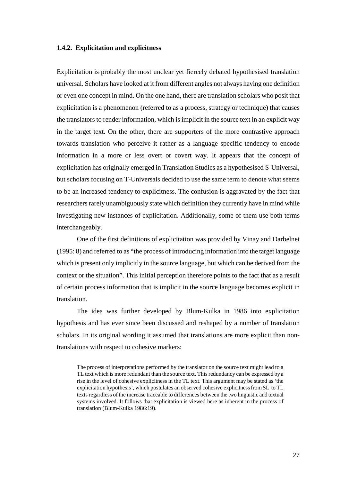#### **1.4.2. Explicitation and explicitness**

Explicitation is probably the most unclear yet fiercely debated hypothesised translation universal. Scholars have looked at it from different angles not always having one definition or even one concept in mind. On the one hand, there are translation scholars who posit that explicitation is a phenomenon (referred to as a process, strategy or technique) that causes the translators to render information, which is implicit in the source text in an explicit way in the target text. On the other, there are supporters of the more contrastive approach towards translation who perceive it rather as a language specific tendency to encode information in a more or less overt or covert way. It appears that the concept of explicitation has originally emerged in Translation Studies as a hypothesised S-Universal, but scholars focusing on T-Universals decided to use the same term to denote what seems to be an increased tendency to explicitness. The confusion is aggravated by the fact that researchers rarely unambiguously state which definition they currently have in mind while investigating new instances of explicitation. Additionally, some of them use both terms interchangeably.

One of the first definitions of explicitation was provided by Vinay and Darbelnet (1995: 8) and referred to as "the process of introducing information into the target language which is present only implicitly in the source language, but which can be derived from the context or the situation". This initial perception therefore points to the fact that as a result of certain process information that is implicit in the source language becomes explicit in translation.

The idea was further developed by Blum-Kulka in 1986 into explicitation hypothesis and has ever since been discussed and reshaped by a number of translation scholars. In its original wording it assumed that translations are more explicit than nontranslations with respect to cohesive markers:

The process of interpretations performed by the translator on the source text might lead to a TL text which is more redundant than the source text. This redundancy can be expressed by a rise in the level of cohesive explicitness in the TL text. This argument may be stated as 'the explicitation hypothesis', which postulates an observed cohesive explicitness from SL to TL texts regardless of the increase traceable to differences between the two linguistic and textual systems involved. It follows that explicitation is viewed here as inherent in the process of translation (Blum-Kulka 1986:19).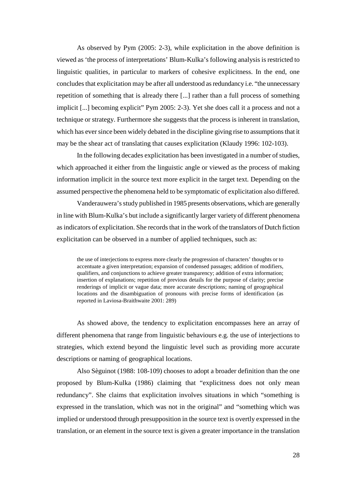As observed by Pym (2005: 2-3), while explicitation in the above definition is viewed as 'the process of interpretations' Blum-Kulka's following analysis is restricted to linguistic qualities, in particular to markers of cohesive explicitness. In the end, one concludes that explicitation may be after all understood as redundancy i.e. "the unnecessary repetition of something that is already there [...] rather than a full process of something implicit [...] becoming explicit" Pym 2005: 2-3). Yet she does call it a process and not a technique or strategy. Furthermore she suggests that the process is inherent in translation, which has ever since been widely debated in the discipline giving rise to assumptions that it may be the shear act of translating that causes explicitation (Klaudy 1996: 102-103).

In the following decades explicitation has been investigated in a number of studies, which approached it either from the linguistic angle or viewed as the process of making information implicit in the source text more explicit in the target text. Depending on the assumed perspective the phenomena held to be symptomatic of explicitation also differed.

Vanderauwera's study published in 1985 presents observations, which are generally in line with Blum-Kulka's but include a significantly larger variety of different phenomena as indicators of explicitation. She records that in the work of the translators of Dutch fiction explicitation can be observed in a number of applied techniques, such as:

the use of interjections to express more clearly the progression of characters' thoughts or to accentuate a given interpretation; expansion of condensed passages; addition of modifiers, qualifiers, and conjunctions to achieve greater transparency; addition of extra information; insertion of explanations; repetition of previous details for the purpose of clarity; precise renderings of implicit or vague data; more accurate descriptions; naming of geographical locations and the disambiguation of pronouns with precise forms of identification (as reported in Laviosa-Braithwaite 2001: 289)

As showed above, the tendency to explicitation encompasses here an array of different phenomena that range from linguistic behaviours e.g. the use of interjections to strategies, which extend beyond the linguistic level such as providing more accurate descriptions or naming of geographical locations.

Also Sèguinot (1988: 108-109) chooses to adopt a broader definition than the one proposed by Blum-Kulka (1986) claiming that "explicitness does not only mean redundancy". She claims that explicitation involves situations in which "something is expressed in the translation, which was not in the original" and "something which was implied or understood through presupposition in the source text is overtly expressed in the translation, or an element in the source text is given a greater importance in the translation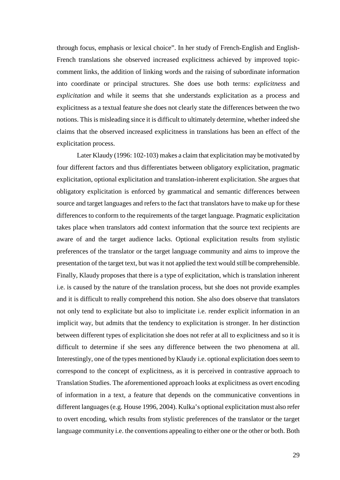through focus, emphasis or lexical choice". In her study of French-English and English-French translations she observed increased explicitness achieved by improved topiccomment links, the addition of linking words and the raising of subordinate information into coordinate or principal structures. She does use both terms: *explicitness* and *explicitation* and while it seems that she understands explicitation as a process and explicitness as a textual feature she does not clearly state the differences between the two notions. This is misleading since it is difficult to ultimately determine, whether indeed she claims that the observed increased explicitness in translations has been an effect of the explicitation process.

Later Klaudy (1996: 102-103) makes a claim that explicitation may be motivated by four different factors and thus differentiates between obligatory explicitation, pragmatic explicitation, optional explicitation and translation-inherent explicitation. She argues that obligatory explicitation is enforced by grammatical and semantic differences between source and target languages and refers to the fact that translators have to make up for these differences to conform to the requirements of the target language. Pragmatic explicitation takes place when translators add context information that the source text recipients are aware of and the target audience lacks. Optional explicitation results from stylistic preferences of the translator or the target language community and aims to improve the presentation of the target text, but was it not applied the text would still be comprehensible. Finally, Klaudy proposes that there is a type of explicitation, which is translation inherent i.e. is caused by the nature of the translation process, but she does not provide examples and it is difficult to really comprehend this notion. She also does observe that translators not only tend to explicitate but also to implicitate i.e. render explicit information in an implicit way, but admits that the tendency to explicitation is stronger. In her distinction between different types of explicitation she does not refer at all to explicitness and so it is difficult to determine if she sees any difference between the two phenomena at all. Interestingly, one of the types mentioned by Klaudy i.e. optional explicitation does seem to correspond to the concept of explicitness, as it is perceived in contrastive approach to Translation Studies. The aforementioned approach looks at explicitness as overt encoding of information in a text, a feature that depends on the communicative conventions in different languages (e.g. House 1996, 2004). Kulka's optional explicitation must also refer to overt encoding, which results from stylistic preferences of the translator or the target language community i.e. the conventions appealing to either one or the other or both. Both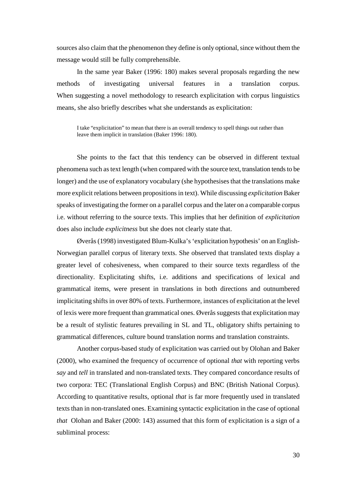sources also claim that the phenomenon they define is only optional, since without them the message would still be fully comprehensible.

In the same year Baker (1996: 180) makes several proposals regarding the new methods of investigating universal features in a translation corpus. When suggesting a novel methodology to research explicitation with corpus linguistics means, she also briefly describes what she understands as explicitation:

I take "explicitation" to mean that there is an overall tendency to spell things out rather than leave them implicit in translation (Baker 1996: 180).

She points to the fact that this tendency can be observed in different textual phenomena such as text length (when compared with the source text, translation tends to be longer) and the use of explanatory vocabulary (she hypothesises that the translations make more explicit relations between propositions in text). While discussing *explicitation* Baker speaks of investigating the former on a parallel corpus and the later on a comparable corpus i.e. without referring to the source texts. This implies that her definition of *explicitation* does also include *explicitness* but she does not clearly state that.

Øverås (1998) investigated Blum-Kulka's 'explicitation hypothesis' on an English-Norwegian parallel corpus of literary texts. She observed that translated texts display a greater level of cohesiveness, when compared to their source texts regardless of the directionality. Explicitating shifts, i.e. additions and specifications of lexical and grammatical items, were present in translations in both directions and outnumbered implicitating shifts in over 80% of texts. Furthermore, instances of explicitation at the level of lexis were more frequent than grammatical ones. Øverås suggests that explicitation may be a result of stylistic features prevailing in SL and TL, obligatory shifts pertaining to grammatical differences, culture bound translation norms and translation constraints.

Another corpus-based study of explicitation was carried out by Olohan and Baker (2000), who examined the frequency of occurrence of optional *that* with reporting verbs *say* and *tell* in translated and non-translated texts. They compared concordance results of two corpora: TEC (Translational English Corpus) and BNC (British National Corpus). According to quantitative results, optional *that* is far more frequently used in translated texts than in non-translated ones. Examining syntactic explicitation in the case of optional *that* Olohan and Baker (2000: 143) assumed that this form of explicitation is a sign of a subliminal process: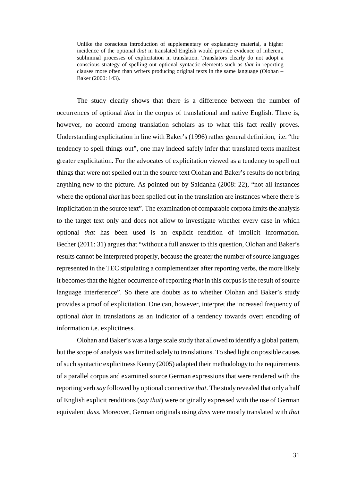Unlike the conscious introduction of supplementary or explanatory material, a higher incidence of the optional *that* in translated English would provide evidence of inherent, subliminal processes of explicitation in translation. Translators clearly do not adopt a conscious strategy of spelling out optional syntactic elements such as *that* in reporting clauses more often than writers producing original texts in the same language (Olohan – Baker (2000: 143).

The study clearly shows that there is a difference between the number of occurrences of optional *that* in the corpus of translational and native English. There is, however, no accord among translation scholars as to what this fact really proves. Understanding explicitation in line with Baker's (1996) rather general definition, i.e. "the tendency to spell things out", one may indeed safely infer that translated texts manifest greater explicitation. For the advocates of explicitation viewed as a tendency to spell out things that were not spelled out in the source text Olohan and Baker's results do not bring anything new to the picture. As pointed out by Saldanha (2008: 22), "not all instances where the optional *that* has been spelled out in the translation are instances where there is implicitation in the source text". The examination of comparable corpora limits the analysis to the target text only and does not allow to investigate whether every case in which optional *that* has been used is an explicit rendition of implicit information. Becher (2011: 31) argues that "without a full answer to this question, Olohan and Baker's results cannot be interpreted properly, because the greater the number of source languages represented in the TEC stipulating a complementizer after reporting verbs, the more likely it becomes that the higher occurrence of reporting *that* in this corpus is the result of source language interference". So there are doubts as to whether Olohan and Baker's study provides a proof of explicitation. One can, however, interpret the increased frequency of optional *that* in translations as an indicator of a tendency towards overt encoding of information i.e. explicitness.

Olohan and Baker's was a large scale study that allowed to identify a global pattern, but the scope of analysis was limited solely to translations. To shed light on possible causes of such syntactic explicitness Kenny (2005) adapted their methodology to the requirements of a parallel corpus and examined source German expressions that were rendered with the reporting verb *say* followed by optional connective *that*. The study revealed that only a half of English explicit renditions (*say that*) were originally expressed with the use of German equivalent *dass.* Moreover, German originals using *dass* were mostly translated with *that*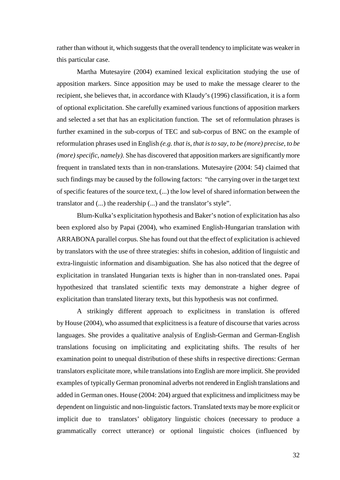rather than without it, which suggests that the overall tendency to implicitate was weaker in this particular case.

Martha Mutesayire (2004) examined lexical explicitation studying the use of apposition markers. Since apposition may be used to make the message clearer to the recipient, she believes that, in accordance with Klaudy's (1996) classification, it is a form of optional explicitation. She carefully examined various functions of apposition markers and selected a set that has an explicitation function. The set of reformulation phrases is further examined in the sub-corpus of TEC and sub-corpus of BNC on the example of reformulation phrases used in English *(e.g. that is, that is to say, to be (more) precise, to be (more) specific, namely)*. She has discovered that apposition markers are significantly more frequent in translated texts than in non-translations. Mutesayire (2004: 54) claimed that such findings may be caused by the following factors: "the carrying over in the target text of specific features of the source text, (...) the low level of shared information between the translator and (...) the readership (...) and the translator's style".

Blum-Kulka's explicitation hypothesis and Baker's notion of explicitation has also been explored also by Papai (2004), who examined English-Hungarian translation with ARRABONA parallel corpus. She has found out that the effect of explicitation is achieved by translators with the use of three strategies: shifts in cohesion, addition of linguistic and extra-linguistic information and disambiguation. She has also noticed that the degree of explicitation in translated Hungarian texts is higher than in non-translated ones. Papai hypothesized that translated scientific texts may demonstrate a higher degree of explicitation than translated literary texts, but this hypothesis was not confirmed.

A strikingly different approach to explicitness in translation is offered by House (2004), who assumed that explicitness is a feature of discourse that varies across languages. She provides a qualitative analysis of English-German and German-English translations focusing on implicitating and explicitating shifts. The results of her examination point to unequal distribution of these shifts in respective directions: German translators explicitate more, while translations into English are more implicit. She provided examples of typically German pronominal adverbs not rendered in English translations and added in German ones. House (2004: 204) argued that explicitness and implicitness may be dependent on linguistic and non-linguistic factors. Translated texts may be more explicit or implicit due to translators' obligatory linguistic choices (necessary to produce a grammatically correct utterance) or optional linguistic choices (influenced by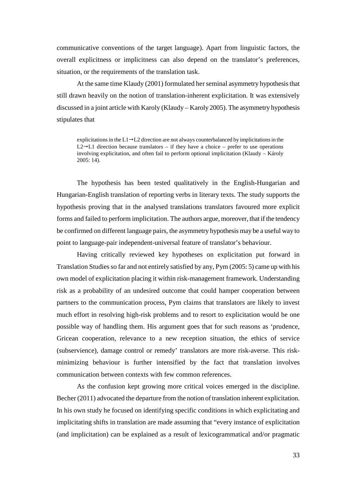communicative conventions of the target language). Apart from linguistic factors, the overall explicitness or implicitness can also depend on the translator's preferences, situation, or the requirements of the translation task.

At the same time Klaudy (2001) formulated her seminal asymmetry hypothesis that still drawn heavily on the notion of translation-inherent explicitation. It was extensively discussed in a joint article with Karoly (Klaudy – Karoly 2005). The asymmetry hypothesis stipulates that

explicitations in the  $L1\rightarrow L2$  direction are not always counterbalanced by implicitations in the  $L2 \rightarrow L1$  direction because translators – if they have a choice – prefer to use operations involving explicitation, and often fail to perform optional implicitation (Klaudy – Károly 2005: 14).

The hypothesis has been tested qualitatively in the English-Hungarian and Hungarian-English translation of reporting verbs in literary texts. The study supports the hypothesis proving that in the analysed translations translators favoured more explicit forms and failed to perform implicitation. The authors argue, moreover, that if the tendency be confirmed on different language pairs, the asymmetry hypothesis may be a useful way to point to language-pair independent-universal feature of translator's behaviour.

Having critically reviewed key hypotheses on explicitation put forward in Translation Studies so far and not entirely satisfied by any, Pym (2005: 5) came up with his own model of explicitation placing it within risk-management framework. Understanding risk as a probability of an undesired outcome that could hamper cooperation between partners to the communication process, Pym claims that translators are likely to invest much effort in resolving high-risk problems and to resort to explicitation would be one possible way of handling them. His argument goes that for such reasons as 'prudence, Gricean cooperation, relevance to a new reception situation, the ethics of service (subservience), damage control or remedy' translators are more risk-averse. This riskminimizing behaviour is further intensified by the fact that translation involves communication between contexts with few common references.

As the confusion kept growing more critical voices emerged in the discipline. Becher (2011) advocated the departure from the notion of translation inherent explicitation. In his own study he focused on identifying specific conditions in which explicitating and implicitating shifts in translation are made assuming that "every instance of explicitation (and implicitation) can be explained as a result of lexicogrammatical and/or pragmatic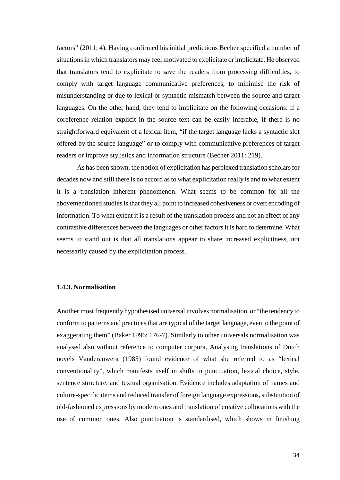factors" (2011: 4). Having confirmed his initial predictions Becher specified a number of situations in which translators may feel motivated to explicitate or implicitate. He observed that translators tend to explicitate to save the readers from processing difficulties, to comply with target language communicative preferences, to minimise the risk of misunderstanding or due to lexical or syntactic mismatch between the source and target languages. On the other hand, they tend to implicitate on the following occasions: if a coreference relation explicit in the source text can be easily inferable, if there is no straightforward equivalent of a lexical item, "if the target language lacks a syntactic slot offered by the source language" or to comply with communicative preferences of target readers or improve stylistics and information structure (Becher 2011: 219).

As has been shown, the notion of explicitation has perplexed translation scholars for decades now and still there is no accord as to what explicitation really is and to what extent it is a translation inherent phenomenon. What seems to be common for all the abovementioned studies is that they all point to increased cohesiveness or overt encoding of information. To what extent it is a result of the translation process and not an effect of any contrastive differences between the languages or other factors it is hard to determine. What seems to stand out is that all translations appear to share increased explicitness, not necessarily caused by the explicitation process.

#### **1.4.3. Normalisation**

Another most frequently hypothesised universal involves normalisation, or "the tendency to conform to patterns and practices that are typical of the target language, even to the point of exaggerating them" (Baker 1996: 176-7). Similarly to other universals normalisation was analysed also without reference to computer corpora. Analysing translations of Dutch novels Vanderauwera (1985) found evidence of what she referred to as "lexical conventionality", which manifests itself in shifts in punctuation, lexical choice, style, sentence structure, and textual organisation. Evidence includes adaptation of names and culture-specific items and reduced transfer of foreign language expressions, substitution of old-fashioned expressions by modern ones and translation of creative collocations with the use of common ones. Also punctuation is standardised, which shows in finishing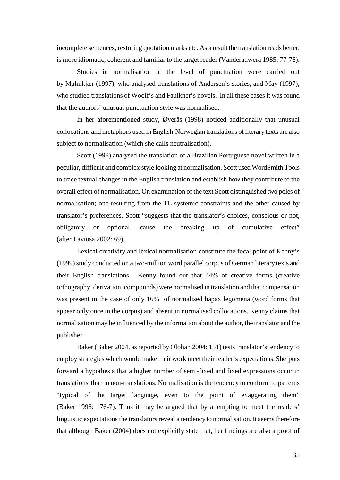incomplete sentences, restoring quotation marks etc. As a result the translation reads better, is more idiomatic, coherent and familiar to the target reader (Vanderauwera 1985: 77-76).

Studies in normalisation at the level of punctuation were carried out by Malmkjær (1997), who analysed translations of Andersen's stories, and May (1997), who studied translations of Woolf's and Faulkner's novels. In all these cases it was found that the authors' unusual punctuation style was normalised.

In her aforementioned study, Øverås (1998) noticed additionally that unusual collocations and metaphors used in English-Norwegian translations of literary texts are also subject to normalisation (which she calls neutralisation).

Scott (1998) analysed the translation of a Brazilian Portuguese novel written in a peculiar, difficult and complex style looking at normalisation. Scott used WordSmith Tools to trace textual changes in the English translation and establish how they contribute to the overall effect of normalisation. On examination of the text Scott distinguished two poles of normalisation; one resulting from the TL systemic constraints and the other caused by translator's preferences. Scott "suggests that the translator's choices, conscious or not, obligatory or optional, cause the breaking up of cumulative effect" (after Laviosa 2002: 69).

Lexical creativity and lexical normalisation constitute the focal point of Kenny's (1999) study conducted on a two-million word parallel corpus of German literary texts and their English translations. Kenny found out that 44% of creative forms (creative orthography, derivation, compounds) were normalised in translation and that compensation was present in the case of only 16% of normalised hapax legomena (word forms that appear only once in the corpus) and absent in normalised collocations. Kenny claims that normalisation may be influenced by the information about the author, the translator and the publisher.

Baker (Baker 2004, as reported by Olohan 2004: 151) tests translator's tendency to employ strategies which would make their work meet their reader's expectations. She puts forward a hypothesis that a higher number of semi-fixed and fixed expressions occur in translations than in non-translations. Normalisation is the tendency to conform to patterns "typical of the target language, even to the point of exaggerating them" (Baker 1996: 176-7). Thus it may be argued that by attempting to meet the readers' linguistic expectations the translators reveal a tendency to normalisation. It seems therefore that although Baker (2004) does not explicitly state that, her findings are also a proof of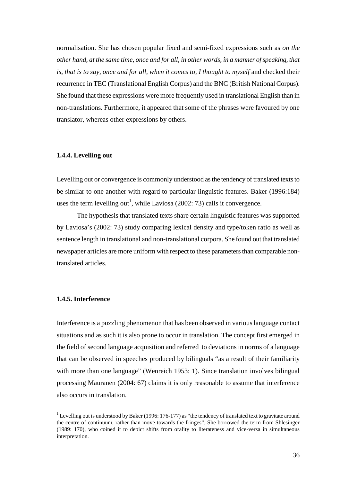normalisation. She has chosen popular fixed and semi-fixed expressions such as *on the other hand, at the same time, once and for all, in other words, in a manner of speaking, that is, that is to say, once and for all, when it comes to, I thought to myself and checked their* recurrence in TEC (Translational English Corpus) and the BNC (British National Corpus). She found that these expressions were more frequently used in translational English than in non-translations. Furthermore, it appeared that some of the phrases were favoured by one translator, whereas other expressions by others.

#### **1.4.4. Levelling out**

Levelling out or convergence is commonly understood as the tendency of translated texts to be similar to one another with regard to particular linguistic features. Baker (1996:184) uses the term levelling out<sup>1</sup>, while Laviosa (2002: 73) calls it convergence.

The hypothesis that translated texts share certain linguistic features was supported by Laviosa's (2002: 73) study comparing lexical density and type/token ratio as well as sentence length in translational and non-translational corpora. She found out that translated newspaper articles are more uniform with respect to these parameters than comparable nontranslated articles.

#### **1.4.5. Interference**

 $\overline{a}$ 

Interference is a puzzling phenomenon that has been observed in various language contact situations and as such it is also prone to occur in translation. The concept first emerged in the field of second language acquisition and referred to deviations in norms of a language that can be observed in speeches produced by bilinguals "as a result of their familiarity with more than one language" (Wenreich 1953: 1). Since translation involves bilingual processing Mauranen (2004: 67) claims it is only reasonable to assume that interference also occurs in translation.

<sup>&</sup>lt;sup>1</sup> Levelling out is understood by Baker (1996: 176-177) as "the tendency of translated text to gravitate around the centre of continuum, rather than move towards the fringes". She borrowed the term from Shlesinger (1989: 170), who coined it to depict shifts from orality to literateness and vice-versa in simultaneous interpretation.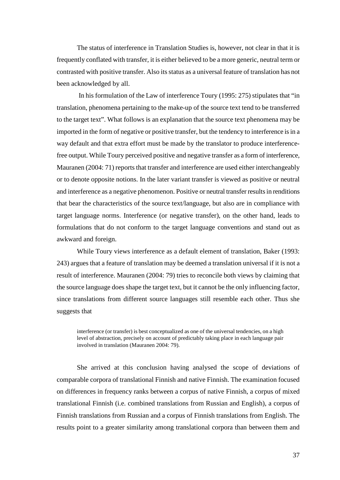The status of interference in Translation Studies is, however, not clear in that it is frequently conflated with transfer, it is either believed to be a more generic, neutral term or contrasted with positive transfer. Also its status as a universal feature of translation has not been acknowledged by all.

 In his formulation of the Law of interference Toury (1995: 275) stipulates that "in translation, phenomena pertaining to the make-up of the source text tend to be transferred to the target text". What follows is an explanation that the source text phenomena may be imported in the form of negative or positive transfer, but the tendency to interference is in a way default and that extra effort must be made by the translator to produce interferencefree output. While Toury perceived positive and negative transfer as a form of interference, Mauranen (2004: 71) reports that transfer and interference are used either interchangeably or to denote opposite notions. In the later variant transfer is viewed as positive or neutral and interference as a negative phenomenon. Positive or neutral transfer results in renditions that bear the characteristics of the source text/language, but also are in compliance with target language norms. Interference (or negative transfer), on the other hand, leads to formulations that do not conform to the target language conventions and stand out as awkward and foreign.

While Toury views interference as a default element of translation, Baker (1993: 243) argues that a feature of translation may be deemed a translation universal if it is not a result of interference. Mauranen (2004: 79) tries to reconcile both views by claiming that the source language does shape the target text, but it cannot be the only influencing factor, since translations from different source languages still resemble each other. Thus she suggests that

interference (or transfer) is best conceptualized as one of the universal tendencies, on a high level of abstraction, precisely on account of predictably taking place in each language pair involved in translation (Mauranen 2004: 79).

She arrived at this conclusion having analysed the scope of deviations of comparable corpora of translational Finnish and native Finnish. The examination focused on differences in frequency ranks between a corpus of native Finnish, a corpus of mixed translational Finnish (i.e. combined translations from Russian and English), a corpus of Finnish translations from Russian and a corpus of Finnish translations from English. The results point to a greater similarity among translational corpora than between them and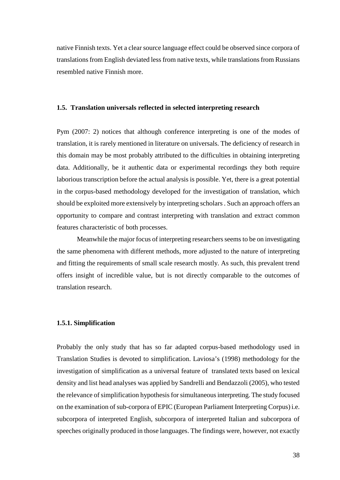native Finnish texts. Yet a clear source language effect could be observed since corpora of translations from English deviated less from native texts, while translations from Russians resembled native Finnish more.

#### **1.5. Translation universals reflected in selected interpreting research**

Pym (2007: 2) notices that although conference interpreting is one of the modes of translation, it is rarely mentioned in literature on universals. The deficiency of research in this domain may be most probably attributed to the difficulties in obtaining interpreting data. Additionally, be it authentic data or experimental recordings they both require laborious transcription before the actual analysis is possible. Yet, there is a great potential in the corpus-based methodology developed for the investigation of translation, which should be exploited more extensively by interpreting scholars . Such an approach offers an opportunity to compare and contrast interpreting with translation and extract common features characteristic of both processes.

Meanwhile the major focus of interpreting researchers seems to be on investigating the same phenomena with different methods, more adjusted to the nature of interpreting and fitting the requirements of small scale research mostly. As such, this prevalent trend offers insight of incredible value, but is not directly comparable to the outcomes of translation research.

#### **1.5.1. Simplification**

Probably the only study that has so far adapted corpus-based methodology used in Translation Studies is devoted to simplification. Laviosa's (1998) methodology for the investigation of simplification as a universal feature of translated texts based on lexical density and list head analyses was applied by Sandrelli and Bendazzoli (2005), who tested the relevance of simplification hypothesis for simultaneous interpreting. The study focused on the examination of sub-corpora of EPIC (European Parliament Interpreting Corpus) i.e. subcorpora of interpreted English, subcorpora of interpreted Italian and subcorpora of speeches originally produced in those languages. The findings were, however, not exactly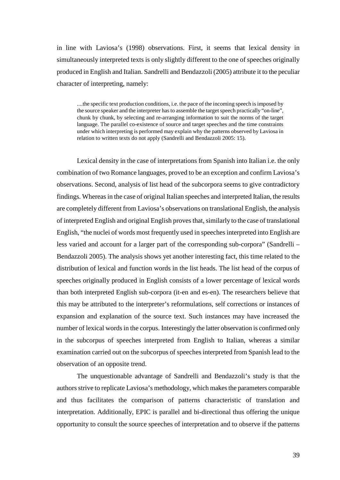in line with Laviosa's (1998) observations. First, it seems that lexical density in simultaneously interpreted texts is only slightly different to the one of speeches originally produced in English and Italian. Sandrelli and Bendazzoli (2005) attribute it to the peculiar character of interpreting, namely:

....the specific text production conditions, i.e. the pace of the incoming speech is imposed by the source speaker and the interpreter has to assemble the target speech practically "on-line", chunk by chunk, by selecting and re-arranging information to suit the norms of the target language. The parallel co-existence of source and target speeches and the time constraints under which interpreting is performed may explain why the patterns observed by Laviosa in relation to written texts do not apply (Sandrelli and Bendazzoli 2005: 15).

Lexical density in the case of interpretations from Spanish into Italian i.e. the only combination of two Romance languages, proved to be an exception and confirm Laviosa's observations. Second, analysis of list head of the subcorpora seems to give contradictory findings. Whereas in the case of original Italian speeches and interpreted Italian, the results are completely different from Laviosa's observations on translational English, the analysis of interpreted English and original English proves that, similarly to the case of translational English, "the nuclei of words most frequently used in speeches interpreted into English are less varied and account for a larger part of the corresponding sub-corpora" (Sandrelli – Bendazzoli 2005). The analysis shows yet another interesting fact, this time related to the distribution of lexical and function words in the list heads. The list head of the corpus of speeches originally produced in English consists of a lower percentage of lexical words than both interpreted English sub-corpora (it-en and es-en). The researchers believe that this may be attributed to the interpreter's reformulations, self corrections or instances of expansion and explanation of the source text. Such instances may have increased the number of lexical words in the corpus. Interestingly the latter observation is confirmed only in the subcorpus of speeches interpreted from English to Italian, whereas a similar examination carried out on the subcorpus of speeches interpreted from Spanish lead to the observation of an opposite trend.

The unquestionable advantage of Sandrelli and Bendazzoli's study is that the authors strive to replicate Laviosa's methodology, which makes the parameters comparable and thus facilitates the comparison of patterns characteristic of translation and interpretation. Additionally, EPIC is parallel and bi-directional thus offering the unique opportunity to consult the source speeches of interpretation and to observe if the patterns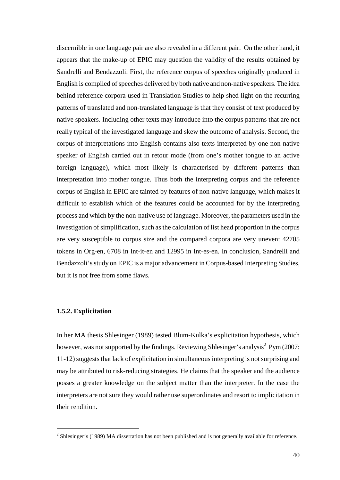discernible in one language pair are also revealed in a different pair. On the other hand, it appears that the make-up of EPIC may question the validity of the results obtained by Sandrelli and Bendazzoli. First, the reference corpus of speeches originally produced in English is compiled of speeches delivered by both native and non-native speakers. The idea behind reference corpora used in Translation Studies to help shed light on the recurring patterns of translated and non-translated language is that they consist of text produced by native speakers. Including other texts may introduce into the corpus patterns that are not really typical of the investigated language and skew the outcome of analysis. Second, the corpus of interpretations into English contains also texts interpreted by one non-native speaker of English carried out in retour mode (from one's mother tongue to an active foreign language), which most likely is characterised by different patterns than interpretation into mother tongue. Thus both the interpreting corpus and the reference corpus of English in EPIC are tainted by features of non-native language, which makes it difficult to establish which of the features could be accounted for by the interpreting process and which by the non-native use of language. Moreover, the parameters used in the investigation of simplification, such as the calculation of list head proportion in the corpus are very susceptible to corpus size and the compared corpora are very uneven: 42705 tokens in Org-en, 6708 in Int-it-en and 12995 in Int-es-en. In conclusion, Sandrelli and Bendazzoli's study on EPIC is a major advancement in Corpus-based Interpreting Studies, but it is not free from some flaws.

# **1.5.2. Explicitation**

 $\overline{a}$ 

In her MA thesis Shlesinger (1989) tested Blum-Kulka's explicitation hypothesis, which however, was not supported by the findings. Reviewing Shlesinger's analysis<sup>2</sup> Pym (2007: 11-12) suggests that lack of explicitation in simultaneous interpreting is not surprising and may be attributed to risk-reducing strategies. He claims that the speaker and the audience posses a greater knowledge on the subject matter than the interpreter. In the case the interpreters are not sure they would rather use superordinates and resort to implicitation in their rendition.

 $2$  Shlesinger's (1989) MA dissertation has not been published and is not generally available for reference.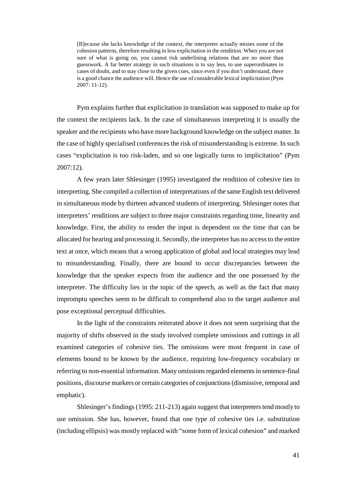[B]ecause she lacks knowledge of the context, the interpreter actually misses some of the cohesion patterns, therefore resulting in less explicitation in the rendition. When you are not sure of what is going on, you cannot risk underlining relations that are no more than guesswork. A far better strategy in such situations is to say less, to use superordinates in cases of doubt, and to stay close to the given cues, since even if you don't understand, there is a good chance the audience will. Hence the use of considerable lexical implicitation (Pym 2007: 11-12).

Pym explains further that explicitation in translation was supposed to make up for the context the recipients lack. In the case of simultaneous interpreting it is usually the speaker and the recipients who have more background knowledge on the subject matter. In the case of highly specialised conferences the risk of misunderstanding is extreme. In such cases "explicitation is too risk-laden, and so one logically turns to implicitation" (Pym 2007:12).

A few years later Shlesinger (1995) investigated the rendition of cohesive ties in interpreting. She compiled a collection of interpretations of the same English text delivered in simultaneous mode by thirteen advanced students of interpreting. Shlesinger notes that interpreters' renditions are subject to three major constraints regarding time, linearity and knowledge. First, the ability to render the input is dependent on the time that can be allocated for hearing and processing it. Secondly, the interpreter has no access to the entire text at once, which means that a wrong application of global and local strategies may lead to misunderstanding. Finally, there are bound to occur discrepancies between the knowledge that the speaker expects from the audience and the one possessed by the interpreter. The difficulty lies in the topic of the speech, as well as the fact that many impromptu speeches seem to be difficult to comprehend also to the target audience and pose exceptional perceptual difficulties.

In the light of the constraints reiterated above it does not seem surprising that the majority of shifts observed in the study involved complete omissions and cuttings in all examined categories of cohesive ties. The omissions were most frequent in case of elements bound to be known by the audience, requiring low-frequency vocabulary or referring to non-essential information. Many omissions regarded elements in sentence-final positions, discourse markers or certain categories of conjunctions (dismissive, temporal and emphatic).

Shlesinger's findings (1995: 211-213) again suggest that interpreters tend mostly to use omission. She has, however, found that one type of cohesive ties i.e. substitution (including ellipsis) was mostly replaced with "some form of lexical cohesion" and marked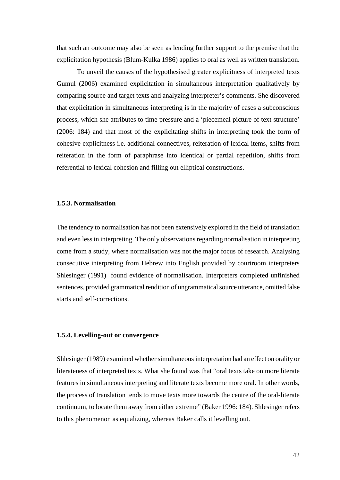that such an outcome may also be seen as lending further support to the premise that the explicitation hypothesis (Blum-Kulka 1986) applies to oral as well as written translation.

To unveil the causes of the hypothesised greater explicitness of interpreted texts Gumul (2006) examined explicitation in simultaneous interpretation qualitatively by comparing source and target texts and analyzing interpreter's comments. She discovered that explicitation in simultaneous interpreting is in the majority of cases a subconscious process, which she attributes to time pressure and a 'piecemeal picture of text structure' (2006: 184) and that most of the explicitating shifts in interpreting took the form of cohesive explicitness i.e. additional connectives, reiteration of lexical items, shifts from reiteration in the form of paraphrase into identical or partial repetition, shifts from referential to lexical cohesion and filling out elliptical constructions.

#### **1.5.3. Normalisation**

The tendency to normalisation has not been extensively explored in the field of translation and even less in interpreting. The only observations regarding normalisation in interpreting come from a study, where normalisation was not the major focus of research. Analysing consecutive interpreting from Hebrew into English provided by courtroom interpreters Shlesinger (1991) found evidence of normalisation. Interpreters completed unfinished sentences, provided grammatical rendition of ungrammatical source utterance, omitted false starts and self-corrections.

#### **1.5.4. Levelling-out or convergence**

Shlesinger (1989) examined whether simultaneous interpretation had an effect on orality or literateness of interpreted texts. What she found was that "oral texts take on more literate features in simultaneous interpreting and literate texts become more oral. In other words, the process of translation tends to move texts more towards the centre of the oral-literate continuum, to locate them away from either extreme" (Baker 1996: 184). Shlesinger refers to this phenomenon as equalizing, whereas Baker calls it levelling out.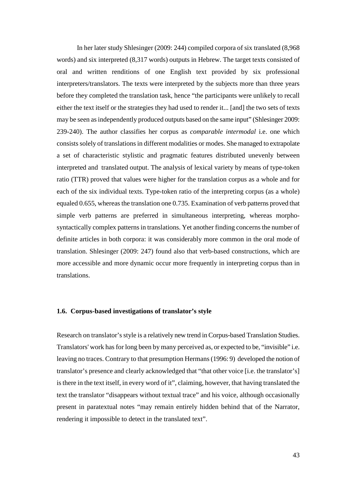In her later study Shlesinger (2009: 244) compiled corpora of six translated (8,968 words) and six interpreted (8,317 words) outputs in Hebrew. The target texts consisted of oral and written renditions of one English text provided by six professional interpreters/translators. The texts were interpreted by the subjects more than three years before they completed the translation task, hence "the participants were unlikely to recall either the text itself or the strategies they had used to render it... [and] the two sets of texts may be seen as independently produced outputs based on the same input" (Shlesinger 2009: 239-240). The author classifies her corpus as *comparable intermodal* i.e. one which consists solely of translations in different modalities or modes. She managed to extrapolate a set of characteristic stylistic and pragmatic features distributed unevenly between interpreted and translated output. The analysis of lexical variety by means of type-token ratio (TTR) proved that values were higher for the translation corpus as a whole and for each of the six individual texts. Type-token ratio of the interpreting corpus (as a whole) equaled 0.655, whereas the translation one 0.735. Examination of verb patterns proved that simple verb patterns are preferred in simultaneous interpreting, whereas morphosyntactically complex patterns in translations. Yet another finding concerns the number of definite articles in both corpora: it was considerably more common in the oral mode of translation. Shlesinger (2009: 247) found also that verb-based constructions, which are more accessible and more dynamic occur more frequently in interpreting corpus than in translations.

# **1.6. Corpus-based investigations of translator's style**

Research on translator's style is a relatively new trend in Corpus-based Translation Studies. Translators' work has for long been by many perceived as, or expected to be, "invisible" i.e. leaving no traces. Contrary to that presumption Hermans (1996: 9) developed the notion of translator's presence and clearly acknowledged that "that other voice [i.e. the translator's] is there in the text itself, in every word of it", claiming, however, that having translated the text the translator "disappears without textual trace" and his voice, although occasionally present in paratextual notes "may remain entirely hidden behind that of the Narrator, rendering it impossible to detect in the translated text".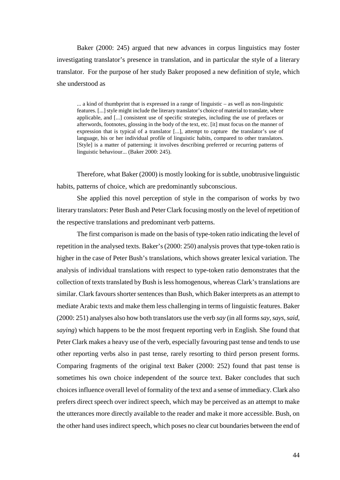Baker (2000: 245) argued that new advances in corpus linguistics may foster investigating translator's presence in translation, and in particular the style of a literary translator. For the purpose of her study Baker proposed a new definition of style, which she understood as

... a kind of thumbprint that is expressed in a range of linguistic – as well as non-linguistic features. [...] style might include the literary translator's choice of material to translate, where applicable, and [...] consistent use of specific strategies, including the use of prefaces or afterwords, footnotes, glossing in the body of the text, etc. [it] must focus on the manner of expression that is typical of a translator [...], attempt to capture the translator's use of language, his or her individual profile of linguistic habits, compared to other translators. [Style] is a matter of patterning: it involves describing preferred or recurring patterns of linguistic behaviour... (Baker 2000: 245).

Therefore, what Baker (2000) is mostly looking for is subtle, unobtrusive linguistic habits, patterns of choice, which are predominantly subconscious.

She applied this novel perception of style in the comparison of works by two literary translators: Peter Bush and Peter Clark focusing mostly on the level of repetition of the respective translations and predominant verb patterns.

The first comparison is made on the basis of type-token ratio indicating the level of repetition in the analysed texts. Baker's (2000: 250) analysis proves that type-token ratio is higher in the case of Peter Bush's translations, which shows greater lexical variation. The analysis of individual translations with respect to type-token ratio demonstrates that the collection of texts translated by Bush is less homogenous, whereas Clark's translations are similar. Clark favours shorter sentences than Bush, which Baker interprets as an attempt to mediate Arabic texts and make them less challenging in terms of linguistic features. Baker (2000: 251) analyses also how both translators use the verb *say* (in all forms *say, says, said, saying*) which happens to be the most frequent reporting verb in English*.* She found that Peter Clark makes a heavy use of the verb, especially favouring past tense and tends to use other reporting verbs also in past tense, rarely resorting to third person present forms. Comparing fragments of the original text Baker (2000: 252) found that past tense is sometimes his own choice independent of the source text. Baker concludes that such choices influence overall level of formality of the text and a sense of immediacy. Clark also prefers direct speech over indirect speech, which may be perceived as an attempt to make the utterances more directly available to the reader and make it more accessible. Bush, on the other hand uses indirect speech, which poses no clear cut boundaries between the end of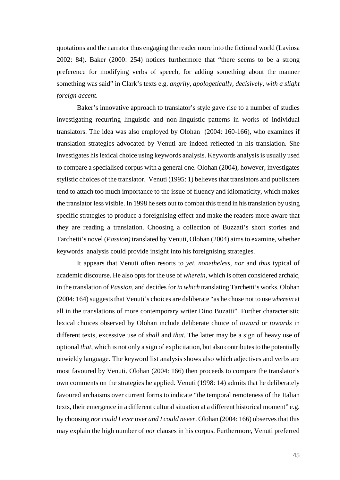quotations and the narrator thus engaging the reader more into the fictional world (Laviosa 2002: 84). Baker (2000: 254) notices furthermore that "there seems to be a strong preference for modifying verbs of speech, for adding something about the manner something was said" in Clark's texts e.g. *angrily, apologetically, decisively, with a slight foreign accent.* 

Baker's innovative approach to translator's style gave rise to a number of studies investigating recurring linguistic and non-linguistic patterns in works of individual translators. The idea was also employed by Olohan (2004: 160-166), who examines if translation strategies advocated by Venuti are indeed reflected in his translation. She investigates his lexical choice using keywords analysis. Keywords analysis is usually used to compare a specialised corpus with a general one. Olohan (2004), however, investigates stylistic choices of the translator. Venuti (1995: 1) believes that translators and publishers tend to attach too much importance to the issue of fluency and idiomaticity, which makes the translator less visible. In 1998 he sets out to combat this trend in his translation by using specific strategies to produce a foreignising effect and make the readers more aware that they are reading a translation. Choosing a collection of Buzzati's short stories and Tarchetti's novel (*Passion)* translated by Venuti*,* Olohan (2004) aims to examine, whether keywords analysis could provide insight into his foreignising strategies.

It appears that Venuti often resorts to *yet, nonetheless, nor* and *thus* typical of academic discourse. He also opts for the use of *wherein*, which is often considered archaic, in the translation of *Passion,* and decides for *in which* translating Tarchetti's works. Olohan (2004: 164) suggests that Venuti's choices are deliberate "as he chose not to use *wherein* at all in the translations of more contemporary writer Dino Buzatti". Further characteristic lexical choices observed by Olohan include deliberate choice of *toward* or *towards* in different texts*,* excessive use of *shall* and *that.* The latter may be a sign of heavy use of optional *that*, which is not only a sign of explicitation, but also contributes to the potentially unwieldy language. The keyword list analysis shows also which adjectives and verbs are most favoured by Venuti. Olohan (2004: 166) then proceeds to compare the translator's own comments on the strategies he applied. Venuti (1998: 14) admits that he deliberately favoured archaisms over current forms to indicate "the temporal remoteness of the Italian texts, their emergence in a different cultural situation at a different historical moment" e.g. by choosing *nor could I ever* over *and I could never*. Olohan (2004: 166) observes that this may explain the high number of *nor* clauses in his corpus. Furthermore, Venuti preferred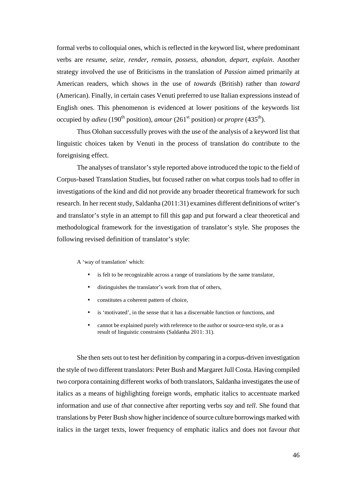formal verbs to colloquial ones, which is reflected in the keyword list, where predominant verbs are *resume, seize, render, remain, possess, abandon, depart, explain*. Another strategy involved the use of Briticisms in the translation of *Passion* aimed primarily at American readers, which shows in the use of *towards* (British) rather than *toward*  (American). Finally, in certain cases Venuti preferred to use Italian expressions instead of English ones. This phenomenon is evidenced at lower positions of the keywords list occupied by *adieu* (190<sup>th</sup> position), *amour* (261<sup>st</sup> position) or *propre* (435<sup>th</sup>).

Thus Olohan successfully proves with the use of the analysis of a keyword list that linguistic choices taken by Venuti in the process of translation do contribute to the foreignising effect.

The analyses of translator's style reported above introduced the topic to the field of Corpus-based Translation Studies, but focused rather on what corpus tools had to offer in investigations of the kind and did not provide any broader theoretical framework for such research. In her recent study, Saldanha (2011:31) examines different definitions of writer's and translator's style in an attempt to fill this gap and put forward a clear theoretical and methodological framework for the investigation of translator's style. She proposes the following revised definition of translator's style:

A 'way of translation' which:

- is felt to be recognizable across a range of translations by the same translator,
- distinguishes the translator's work from that of others,
- constitutes a coherent pattern of choice.
- is 'motivated', in the sense that it has a discernable function or functions, and
- cannot be explained purely with reference to the author or source-text style, or as a result of linguistic constraints (Saldanha 2011: 31).

She then sets out to test her definition by comparing in a corpus-driven investigation the style of two different translators: Peter Bush and Margaret Jull Costa. Having compiled two corpora containing different works of both translators, Saldanha investigates the use of italics as a means of highlighting foreign words, emphatic italics to accentuate marked information and use of *that* connective after reporting verbs *say* and *tell*. She found that translations by Peter Bush show higher incidence of source culture borrowings marked with italics in the target texts, lower frequency of emphatic italics and does not favour *that*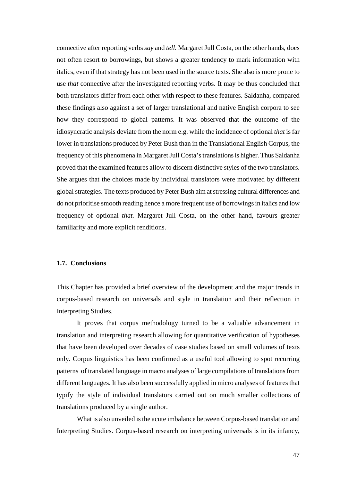connective after reporting verbs *say* and *tell.* Margaret Jull Costa, on the other hands, does not often resort to borrowings, but shows a greater tendency to mark information with italics, even if that strategy has not been used in the source texts. She also is more prone to use *that* connective after the investigated reporting verbs. It may be thus concluded that both translators differ from each other with respect to these features. Saldanha, compared these findings also against a set of larger translational and native English corpora to see how they correspond to global patterns. It was observed that the outcome of the idiosyncratic analysis deviate from the norm e.g. while the incidence of optional *that* is far lower in translations produced by Peter Bush than in the Translational English Corpus, the frequency of this phenomena in Margaret Jull Costa's translations is higher. Thus Saldanha proved that the examined features allow to discern distinctive styles of the two translators. She argues that the choices made by individual translators were motivated by different global strategies. The texts produced by Peter Bush aim at stressing cultural differences and do not prioritise smooth reading hence a more frequent use of borrowings in italics and low frequency of optional *that.* Margaret Jull Costa, on the other hand, favours greater familiarity and more explicit renditions.

# **1.7. Conclusions**

This Chapter has provided a brief overview of the development and the major trends in corpus-based research on universals and style in translation and their reflection in Interpreting Studies.

It proves that corpus methodology turned to be a valuable advancement in translation and interpreting research allowing for quantitative verification of hypotheses that have been developed over decades of case studies based on small volumes of texts only. Corpus linguistics has been confirmed as a useful tool allowing to spot recurring patterns of translated language in macro analyses of large compilations of translations from different languages. It has also been successfully applied in micro analyses of features that typify the style of individual translators carried out on much smaller collections of translations produced by a single author.

What is also unveiled is the acute imbalance between Corpus-based translation and Interpreting Studies. Corpus-based research on interpreting universals is in its infancy,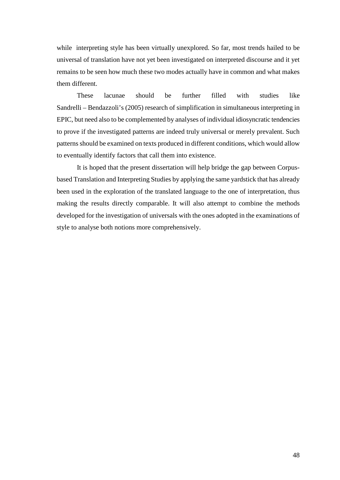while interpreting style has been virtually unexplored. So far, most trends hailed to be universal of translation have not yet been investigated on interpreted discourse and it yet remains to be seen how much these two modes actually have in common and what makes them different.

These lacunae should be further filled with studies like Sandrelli – Bendazzoli's (2005) research of simplification in simultaneous interpreting in EPIC, but need also to be complemented by analyses of individual idiosyncratic tendencies to prove if the investigated patterns are indeed truly universal or merely prevalent. Such patterns should be examined on texts produced in different conditions, which would allow to eventually identify factors that call them into existence.

It is hoped that the present dissertation will help bridge the gap between Corpusbased Translation and Interpreting Studies by applying the same yardstick that has already been used in the exploration of the translated language to the one of interpretation, thus making the results directly comparable. It will also attempt to combine the methods developed for the investigation of universals with the ones adopted in the examinations of style to analyse both notions more comprehensively.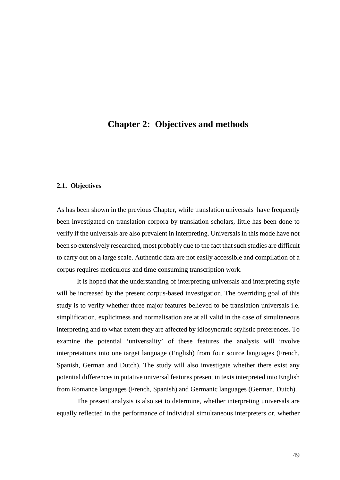# **Chapter 2: Objectives and methods**

# **2.1. Objectives**

As has been shown in the previous Chapter, while translation universals have frequently been investigated on translation corpora by translation scholars, little has been done to verify if the universals are also prevalent in interpreting. Universals in this mode have not been so extensively researched, most probably due to the fact that such studies are difficult to carry out on a large scale. Authentic data are not easily accessible and compilation of a corpus requires meticulous and time consuming transcription work.

It is hoped that the understanding of interpreting universals and interpreting style will be increased by the present corpus-based investigation. The overriding goal of this study is to verify whether three major features believed to be translation universals i.e. simplification, explicitness and normalisation are at all valid in the case of simultaneous interpreting and to what extent they are affected by idiosyncratic stylistic preferences. To examine the potential 'universality' of these features the analysis will involve interpretations into one target language (English) from four source languages (French, Spanish, German and Dutch). The study will also investigate whether there exist any potential differences in putative universal features present in texts interpreted into English from Romance languages (French, Spanish) and Germanic languages (German, Dutch).

The present analysis is also set to determine, whether interpreting universals are equally reflected in the performance of individual simultaneous interpreters or, whether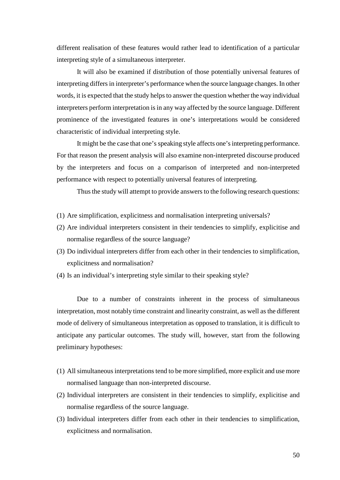different realisation of these features would rather lead to identification of a particular interpreting style of a simultaneous interpreter.

It will also be examined if distribution of those potentially universal features of interpreting differs in interpreter's performance when the source language changes. In other words, it is expected that the study helps to answer the question whether the way individual interpreters perform interpretation is in any way affected by the source language. Different prominence of the investigated features in one's interpretations would be considered characteristic of individual interpreting style.

It might be the case that one's speaking style affects one's interpreting performance. For that reason the present analysis will also examine non-interpreted discourse produced by the interpreters and focus on a comparison of interpreted and non-interpreted performance with respect to potentially universal features of interpreting.

Thus the study will attempt to provide answers to the following research questions:

- (1) Are simplification, explicitness and normalisation interpreting universals?
- (2) Are individual interpreters consistent in their tendencies to simplify, explicitise and normalise regardless of the source language?
- (3) Do individual interpreters differ from each other in their tendencies to simplification, explicitness and normalisation?
- (4) Is an individual's interpreting style similar to their speaking style?

Due to a number of constraints inherent in the process of simultaneous interpretation, most notably time constraint and linearity constraint, as well as the different mode of delivery of simultaneous interpretation as opposed to translation, it is difficult to anticipate any particular outcomes. The study will, however, start from the following preliminary hypotheses:

- (1) All simultaneous interpretations tend to be more simplified, more explicit and use more normalised language than non-interpreted discourse.
- (2) Individual interpreters are consistent in their tendencies to simplify, explicitise and normalise regardless of the source language.
- (3) Individual interpreters differ from each other in their tendencies to simplification, explicitness and normalisation.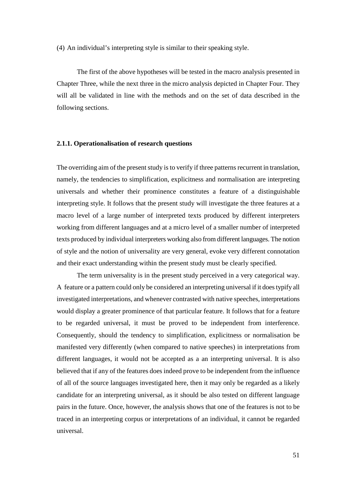(4) An individual's interpreting style is similar to their speaking style.

The first of the above hypotheses will be tested in the macro analysis presented in Chapter Three, while the next three in the micro analysis depicted in Chapter Four. They will all be validated in line with the methods and on the set of data described in the following sections.

# **2.1.1. Operationalisation of research questions**

The overriding aim of the present study is to verify if three patterns recurrent in translation, namely, the tendencies to simplification, explicitness and normalisation are interpreting universals and whether their prominence constitutes a feature of a distinguishable interpreting style. It follows that the present study will investigate the three features at a macro level of a large number of interpreted texts produced by different interpreters working from different languages and at a micro level of a smaller number of interpreted texts produced by individual interpreters working also from different languages. The notion of style and the notion of universality are very general, evoke very different connotation and their exact understanding within the present study must be clearly specified.

The term universality is in the present study perceived in a very categorical way. A feature or a pattern could only be considered an interpreting universal if it does typify all investigated interpretations, and whenever contrasted with native speeches, interpretations would display a greater prominence of that particular feature. It follows that for a feature to be regarded universal, it must be proved to be independent from interference. Consequently, should the tendency to simplification, explicitness or normalisation be manifested very differently (when compared to native speeches) in interpretations from different languages, it would not be accepted as a an interpreting universal. It is also believed that if any of the features does indeed prove to be independent from the influence of all of the source languages investigated here, then it may only be regarded as a likely candidate for an interpreting universal, as it should be also tested on different language pairs in the future. Once, however, the analysis shows that one of the features is not to be traced in an interpreting corpus or interpretations of an individual, it cannot be regarded universal.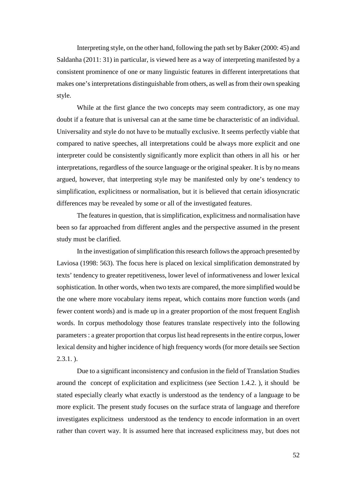Interpreting style, on the other hand, following the path set by Baker (2000: 45) and Saldanha (2011: 31) in particular, is viewed here as a way of interpreting manifested by a consistent prominence of one or many linguistic features in different interpretations that makes one's interpretations distinguishable from others, as well as from their own speaking style.

While at the first glance the two concepts may seem contradictory, as one may doubt if a feature that is universal can at the same time be characteristic of an individual. Universality and style do not have to be mutually exclusive. It seems perfectly viable that compared to native speeches, all interpretations could be always more explicit and one interpreter could be consistently significantly more explicit than others in all his or her interpretations, regardless of the source language or the original speaker. It is by no means argued, however, that interpreting style may be manifested only by one's tendency to simplification, explicitness or normalisation, but it is believed that certain idiosyncratic differences may be revealed by some or all of the investigated features.

The features in question, that is simplification, explicitness and normalisation have been so far approached from different angles and the perspective assumed in the present study must be clarified.

In the investigation of simplification this research follows the approach presented by Laviosa (1998: 563). The focus here is placed on lexical simplification demonstrated by texts' tendency to greater repetitiveness, lower level of informativeness and lower lexical sophistication. In other words, when two texts are compared, the more simplified would be the one where more vocabulary items repeat, which contains more function words (and fewer content words) and is made up in a greater proportion of the most frequent English words. In corpus methodology those features translate respectively into the following parameters : a greater proportion that corpus list head represents in the entire corpus, lower lexical density and higher incidence of high frequency words (for more details see Section  $2.3.1.$ ).

Due to a significant inconsistency and confusion in the field of Translation Studies around the concept of explicitation and explicitness (see Section 1.4.2. ), it should be stated especially clearly what exactly is understood as the tendency of a language to be more explicit. The present study focuses on the surface strata of language and therefore investigates explicitness understood as the tendency to encode information in an overt rather than covert way. It is assumed here that increased explicitness may, but does not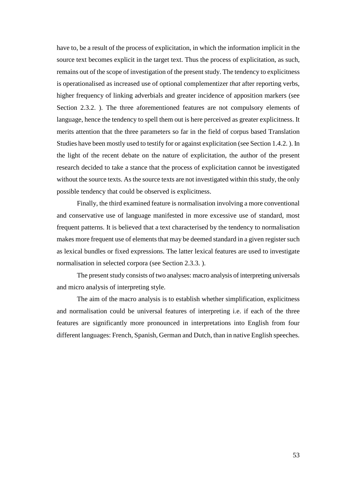have to, be a result of the process of explicitation, in which the information implicit in the source text becomes explicit in the target text. Thus the process of explicitation, as such, remains out of the scope of investigation of the present study. The tendency to explicitness is operationalised as increased use of optional complementizer *that* after reporting verbs, higher frequency of linking adverbials and greater incidence of apposition markers (see Section 2.3.2. ). The three aforementioned features are not compulsory elements of language, hence the tendency to spell them out is here perceived as greater explicitness. It merits attention that the three parameters so far in the field of corpus based Translation Studies have been mostly used to testify for or against explicitation (see Section 1.4.2. ). In the light of the recent debate on the nature of explicitation, the author of the present research decided to take a stance that the process of explicitation cannot be investigated without the source texts. As the source texts are not investigated within this study, the only possible tendency that could be observed is explicitness.

Finally, the third examined feature is normalisation involving a more conventional and conservative use of language manifested in more excessive use of standard, most frequent patterns. It is believed that a text characterised by the tendency to normalisation makes more frequent use of elements that may be deemed standard in a given register such as lexical bundles or fixed expressions. The latter lexical features are used to investigate normalisation in selected corpora (see Section 2.3.3. ).

The present study consists of two analyses: macro analysis of interpreting universals and micro analysis of interpreting style.

The aim of the macro analysis is to establish whether simplification, explicitness and normalisation could be universal features of interpreting i.e. if each of the three features are significantly more pronounced in interpretations into English from four different languages: French, Spanish, German and Dutch, than in native English speeches.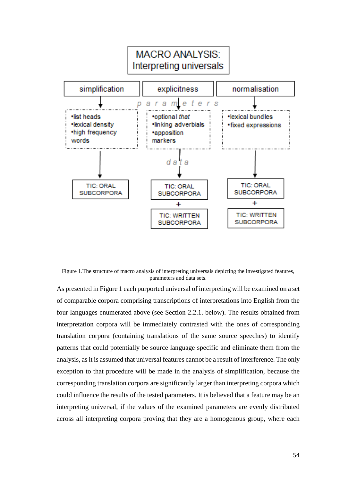

Figure 1.The structure of macro analysis of interpreting universals depicting the investigated features, parameters and data sets.

As presented in Figure 1 each purported universal of interpreting will be examined on a set of comparable corpora comprising transcriptions of interpretations into English from the four languages enumerated above (see Section 2.2.1. below). The results obtained from interpretation corpora will be immediately contrasted with the ones of corresponding translation corpora (containing translations of the same source speeches) to identify patterns that could potentially be source language specific and eliminate them from the analysis, as it is assumed that universal features cannot be a result of interference. The only exception to that procedure will be made in the analysis of simplification, because the corresponding translation corpora are significantly larger than interpreting corpora which could influence the results of the tested parameters. It is believed that a feature may be an interpreting universal, if the values of the examined parameters are evenly distributed across all interpreting corpora proving that they are a homogenous group, where each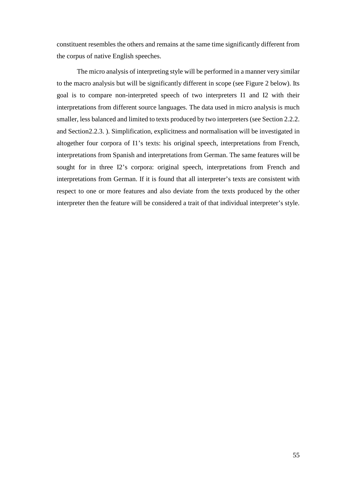constituent resembles the others and remains at the same time significantly different from the corpus of native English speeches.

The micro analysis of interpreting style will be performed in a manner very similar to the macro analysis but will be significantly different in scope (see Figure 2 below). Its goal is to compare non-interpreted speech of two interpreters I1 and I2 with their interpretations from different source languages. The data used in micro analysis is much smaller, less balanced and limited to texts produced by two interpreters (see Section 2.2.2. and Section2.2.3. ). Simplification, explicitness and normalisation will be investigated in altogether four corpora of I1's texts: his original speech, interpretations from French, interpretations from Spanish and interpretations from German. The same features will be sought for in three I2's corpora: original speech, interpretations from French and interpretations from German. If it is found that all interpreter's texts are consistent with respect to one or more features and also deviate from the texts produced by the other interpreter then the feature will be considered a trait of that individual interpreter's style.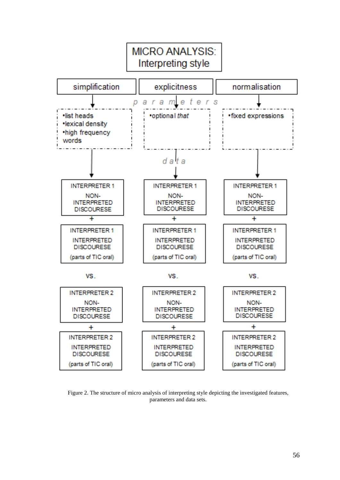

Figure 2. The structure of micro analysis of interpreting style depicting the investigated features, parameters and data sets.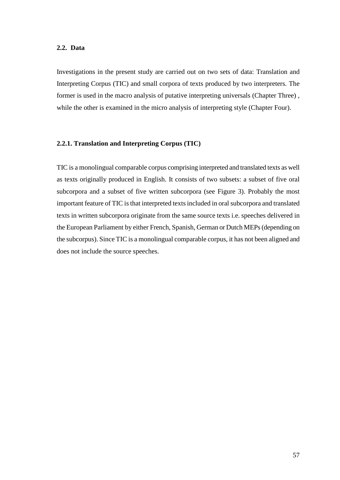## **2.2. Data**

Investigations in the present study are carried out on two sets of data: Translation and Interpreting Corpus (TIC) and small corpora of texts produced by two interpreters. The former is used in the macro analysis of putative interpreting universals (Chapter Three) , while the other is examined in the micro analysis of interpreting style (Chapter Four).

# **2.2.1. Translation and Interpreting Corpus (TIC)**

TIC is a monolingual comparable corpus comprising interpreted and translated texts as well as texts originally produced in English. It consists of two subsets: a subset of five oral subcorpora and a subset of five written subcorpora (see Figure 3). Probably the most important feature of TIC is that interpreted texts included in oral subcorpora and translated texts in written subcorpora originate from the same source texts i.e. speeches delivered in the European Parliament by either French, Spanish, German or Dutch MEPs (depending on the subcorpus). Since TIC is a monolingual comparable corpus, it has not been aligned and does not include the source speeches.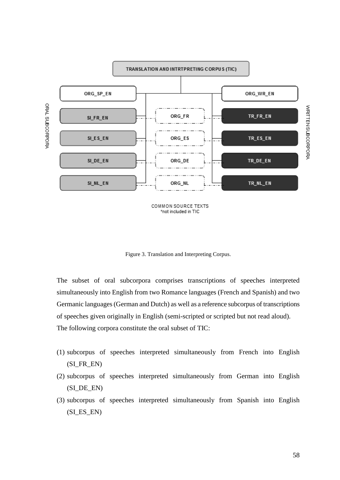

COMMON SOURCE TEXTS \*not included in TIC

Figure 3. Translation and Interpreting Corpus.

The subset of oral subcorpora comprises transcriptions of speeches interpreted simultaneously into English from two Romance languages (French and Spanish) and two Germanic languages (German and Dutch) as well as a reference subcorpus of transcriptions of speeches given originally in English (semi-scripted or scripted but not read aloud). The following corpora constitute the oral subset of TIC:

- (1) subcorpus of speeches interpreted simultaneously from French into English (SI\_FR\_EN)
- (2) subcorpus of speeches interpreted simultaneously from German into English (SI\_DE\_EN)
- (3) subcorpus of speeches interpreted simultaneously from Spanish into English (SI\_ES\_EN)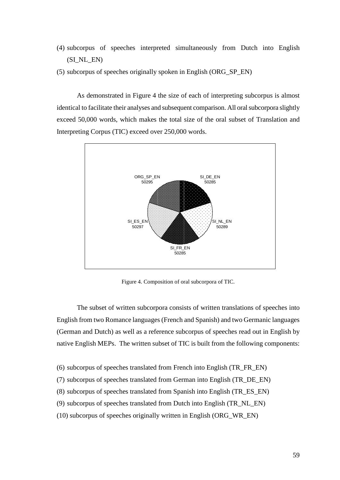- (4) subcorpus of speeches interpreted simultaneously from Dutch into English (SI\_NL\_EN)
- (5) subcorpus of speeches originally spoken in English (ORG\_SP\_EN)

As demonstrated in Figure 4 the size of each of interpreting subcorpus is almost identical to facilitate their analyses and subsequent comparison. All oral subcorpora slightly exceed 50,000 words, which makes the total size of the oral subset of Translation and Interpreting Corpus (TIC) exceed over 250,000 words.



Figure 4. Composition of oral subcorpora of TIC.

The subset of written subcorpora consists of written translations of speeches into English from two Romance languages (French and Spanish) and two Germanic languages (German and Dutch) as well as a reference subcorpus of speeches read out in English by native English MEPs. The written subset of TIC is built from the following components:

- (6) subcorpus of speeches translated from French into English (TR\_FR\_EN)
- (7) subcorpus of speeches translated from German into English (TR\_DE\_EN)
- (8) subcorpus of speeches translated from Spanish into English (TR\_ES\_EN)
- (9) subcorpus of speeches translated from Dutch into English (TR\_NL\_EN)
- (10) subcorpus of speeches originally written in English (ORG\_WR\_EN)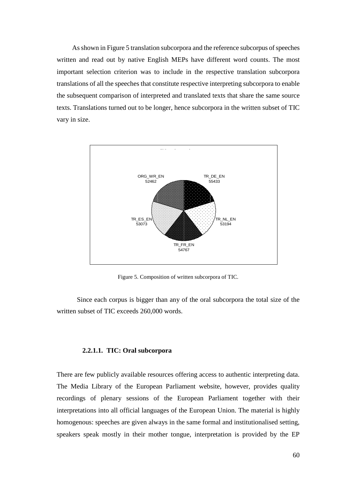As shown in Figure 5 translation subcorpora and the reference subcorpus of speeches written and read out by native English MEPs have different word counts. The most important selection criterion was to include in the respective translation subcorpora translations of all the speeches that constitute respective interpreting subcorpora to enable the subsequent comparison of interpreted and translated texts that share the same source texts. Translations turned out to be longer, hence subcorpora in the written subset of TIC vary in size.



Figure 5. Composition of written subcorpora of TIC.

Since each corpus is bigger than any of the oral subcorpora the total size of the written subset of TIC exceeds 260,000 words.

#### **2.2.1.1. TIC: Oral subcorpora**

There are few publicly available resources offering access to authentic interpreting data. The Media Library of the European Parliament website, however, provides quality recordings of plenary sessions of the European Parliament together with their interpretations into all official languages of the European Union. The material is highly homogenous: speeches are given always in the same formal and institutionalised setting, speakers speak mostly in their mother tongue, interpretation is provided by the EP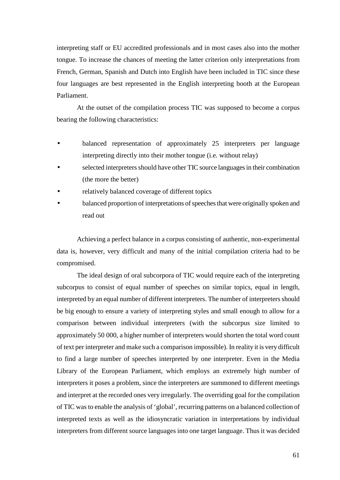interpreting staff or EU accredited professionals and in most cases also into the mother tongue. To increase the chances of meeting the latter criterion only interpretations from French, German, Spanish and Dutch into English have been included in TIC since these four languages are best represented in the English interpreting booth at the European Parliament.

At the outset of the compilation process TIC was supposed to become a corpus bearing the following characteristics:

- balanced representation of approximately 25 interpreters per language interpreting directly into their mother tongue (i.e. without relay)
- selected interpreters should have other TIC source languages in their combination (the more the better)
- relatively balanced coverage of different topics
- balanced proportion of interpretations of speeches that were originally spoken and read out

Achieving a perfect balance in a corpus consisting of authentic, non-experimental data is, however, very difficult and many of the initial compilation criteria had to be compromised.

The ideal design of oral subcorpora of TIC would require each of the interpreting subcorpus to consist of equal number of speeches on similar topics, equal in length, interpreted by an equal number of different interpreters. The number of interpreters should be big enough to ensure a variety of interpreting styles and small enough to allow for a comparison between individual interpreters (with the subcorpus size limited to approximately 50 000, a higher number of interpreters would shorten the total word count of text per interpreter and make such a comparison impossible). In reality it is very difficult to find a large number of speeches interpreted by one interpreter. Even in the Media Library of the European Parliament, which employs an extremely high number of interpreters it poses a problem, since the interpreters are summoned to different meetings and interpret at the recorded ones very irregularly. The overriding goal for the compilation of TIC was to enable the analysis of 'global', recurring patterns on a balanced collection of interpreted texts as well as the idiosyncratic variation in interpretations by individual interpreters from different source languages into one target language. Thus it was decided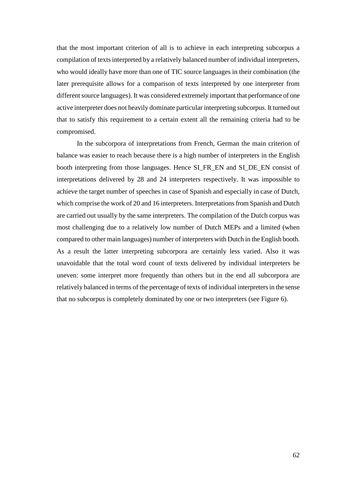that the most important criterion of all is to achieve in each interpreting subcorpus a compilation of texts interpreted by a relatively balanced number of individual interpreters, who would ideally have more than one of TIC source languages in their combination (the later prerequisite allows for a comparison of texts interpreted by one interpreter from different source languages). It was considered extremely important that performance of one active interpreter does not heavily dominate particular interpreting subcorpus. It turned out that to satisfy this requirement to a certain extent all the remaining criteria had to be compromised.

In the subcorpora of interpretations from French, German the main criterion of balance was easier to reach because there is a high number of interpreters in the English booth interpreting from those languages. Hence SI\_FR\_EN and SI\_DE\_EN consist of interpretations delivered by 28 and 24 interpreters respectively. It was impossible to achieve the target number of speeches in case of Spanish and especially in case of Dutch, which comprise the work of 20 and 16 interpreters. Interpretations from Spanish and Dutch are carried out usually by the same interpreters. The compilation of the Dutch corpus was most challenging due to a relatively low number of Dutch MEPs and a limited (when compared to other main languages) number of interpreters with Dutch in the English booth. As a result the latter interpreting subcorpora are certainly less varied. Also it was unavoidable that the total word count of texts delivered by individual interpreters be uneven: some interpret more frequently than others but in the end all subcorpora are relatively balanced in terms of the percentage of texts of individual interpreters in the sense that no subcorpus is completely dominated by one or two interpreters (see Figure 6).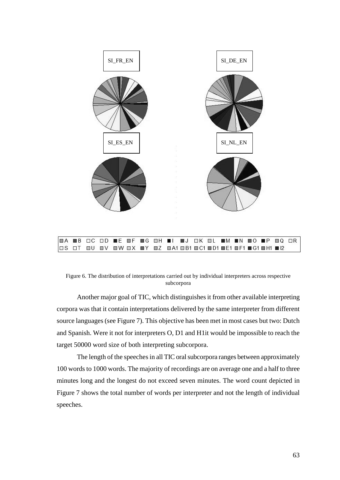

Figure 6. The distribution of interpretations carried out by individual interpreters across respective subcorpora

Another major goal of TIC, which distinguishes it from other available interpreting corpora was that it contain interpretations delivered by the same interpreter from different source languages (see Figure 7). This objective has been met in most cases but two: Dutch and Spanish. Were it not for interpreters O, D1 and H1it would be impossible to reach the target 50000 word size of both interpreting subcorpora.

The length of the speeches in all TIC oral subcorpora ranges between approximately 100 words to 1000 words. The majority of recordings are on average one and a half to three minutes long and the longest do not exceed seven minutes. The word count depicted in Figure 7 shows the total number of words per interpreter and not the length of individual speeches.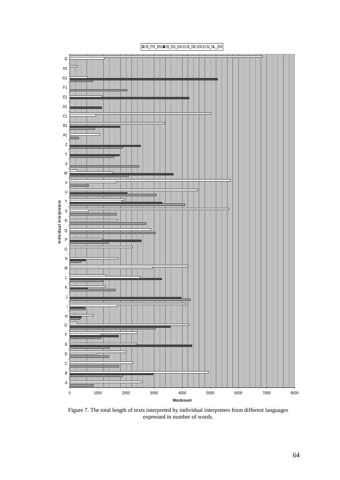

Figure 7. The total length of texts interpreted by individual interpreters from different languages expressed in number of words.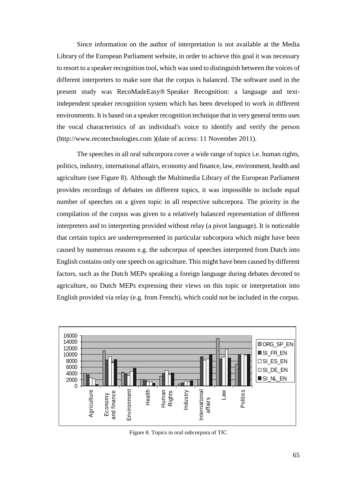Since information on the author of interpretation is not available at the Media Library of the European Parliament website, in order to achieve this goal it was necessary to resort to a speaker recognition tool, which was used to distinguish between the voices of different interpreters to make sure that the corpus is balanced. The software used in the present study was RecoMadeEasy® Speaker Recognition: a language and textindependent speaker recognition system which has been developed to work in different environments. It is based on a speaker recognition technique that in very general terms uses the vocal characteristics of an individual's voice to identify and verify the person (http://www.recotechnologies.com )(date of access: 11 November 2011).

The speeches in all oral subcorpora cover a wide range of topics i.e. human rights, politics, industry, international affairs, economy and finance, law, environment, health and agriculture (see Figure 8). Although the Multimedia Library of the European Parliament provides recordings of debates on different topics, it was impossible to include equal number of speeches on a given topic in all respective subcorpora. The priority in the compilation of the corpus was given to a relatively balanced representation of different interpreters and to interpreting provided without relay (a pivot language). It is noticeable that certain topics are underrepresented in particular subcorpora which might have been caused by numerous reasons e.g. the subcorpus of speeches interpreted from Dutch into English contains only one speech on agriculture. This might have been caused by different factors, such as the Dutch MEPs speaking a foreign language during debates devoted to agriculture, no Dutch MEPs expressing their views on this topic or interpretation into English provided via relay (e.g. from French), which could not be included in the corpus.



Figure 8. Topics in oral subcorpora of TIC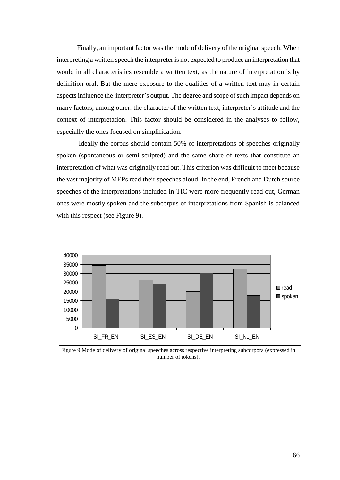Finally, an important factor was the mode of delivery of the original speech. When interpreting a written speech the interpreter is not expected to produce an interpretation that would in all characteristics resemble a written text, as the nature of interpretation is by definition oral. But the mere exposure to the qualities of a written text may in certain aspects influence the interpreter's output. The degree and scope of such impact depends on many factors, among other: the character of the written text, interpreter's attitude and the context of interpretation. This factor should be considered in the analyses to follow, especially the ones focused on simplification.

 Ideally the corpus should contain 50% of interpretations of speeches originally spoken (spontaneous or semi-scripted) and the same share of texts that constitute an interpretation of what was originally read out. This criterion was difficult to meet because the vast majority of MEPs read their speeches aloud. In the end, French and Dutch source speeches of the interpretations included in TIC were more frequently read out, German ones were mostly spoken and the subcorpus of interpretations from Spanish is balanced with this respect (see Figure 9).



Figure 9 Mode of delivery of original speeches across respective interpreting subcorpora (expressed in number of tokens).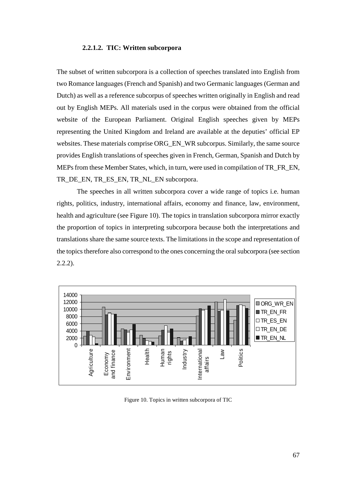#### **2.2.1.2. TIC: Written subcorpora**

The subset of written subcorpora is a collection of speeches translated into English from two Romance languages (French and Spanish) and two Germanic languages (German and Dutch) as well as a reference subcorpus of speeches written originally in English and read out by English MEPs. All materials used in the corpus were obtained from the official website of the European Parliament. Original English speeches given by MEPs representing the United Kingdom and Ireland are available at the deputies' official EP websites. These materials comprise ORG\_EN\_WR subcorpus. Similarly, the same source provides English translations of speeches given in French, German, Spanish and Dutch by MEPs from these Member States, which, in turn, were used in compilation of TR\_FR\_EN, TR\_DE\_EN, TR\_ES\_EN, TR\_NL\_EN subcorpora.

The speeches in all written subcorpora cover a wide range of topics i.e. human rights, politics, industry, international affairs, economy and finance, law, environment, health and agriculture (see Figure 10). The topics in translation subcorpora mirror exactly the proportion of topics in interpreting subcorpora because both the interpretations and translations share the same source texts. The limitations in the scope and representation of the topics therefore also correspond to the ones concerning the oral subcorpora (see section 2.2.2).



Figure 10. Topics in written subcorpora of TIC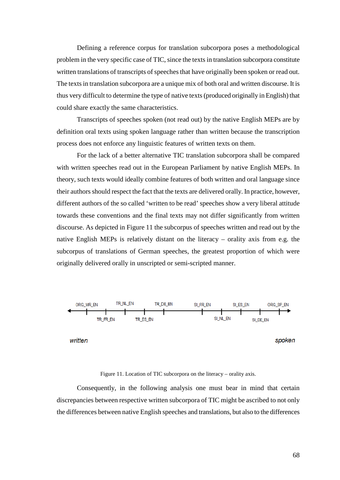Defining a reference corpus for translation subcorpora poses a methodological problem in the very specific case of TIC, since the texts in translation subcorpora constitute written translations of transcripts of speeches that have originally been spoken or read out. The texts in translation subcorpora are a unique mix of both oral and written discourse. It is thus very difficult to determine the type of native texts (produced originally in English) that could share exactly the same characteristics.

Transcripts of speeches spoken (not read out) by the native English MEPs are by definition oral texts using spoken language rather than written because the transcription process does not enforce any linguistic features of written texts on them.

For the lack of a better alternative TIC translation subcorpora shall be compared with written speeches read out in the European Parliament by native English MEPs. In theory, such texts would ideally combine features of both written and oral language since their authors should respect the fact that the texts are delivered orally. In practice, however, different authors of the so called 'written to be read' speeches show a very liberal attitude towards these conventions and the final texts may not differ significantly from written discourse. As depicted in Figure 11 the subcorpus of speeches written and read out by the native English MEPs is relatively distant on the literacy – orality axis from e.g. the subcorpus of translations of German speeches, the greatest proportion of which were originally delivered orally in unscripted or semi-scripted manner.



Figure 11. Location of TIC subcorpora on the literacy – orality axis.

Consequently, in the following analysis one must bear in mind that certain discrepancies between respective written subcorpora of TIC might be ascribed to not only the differences between native English speeches and translations, but also to the differences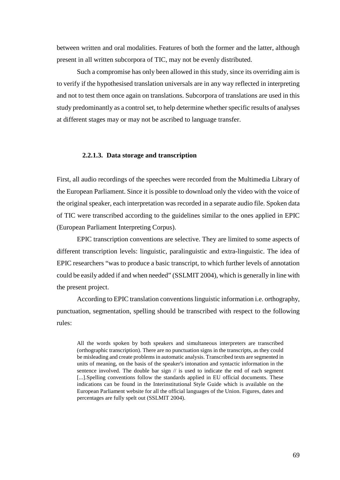between written and oral modalities. Features of both the former and the latter, although present in all written subcorpora of TIC, may not be evenly distributed.

Such a compromise has only been allowed in this study, since its overriding aim is to verify if the hypothesised translation universals are in any way reflected in interpreting and not to test them once again on translations. Subcorpora of translations are used in this study predominantly as a control set, to help determine whether specific results of analyses at different stages may or may not be ascribed to language transfer.

#### **2.2.1.3. Data storage and transcription**

First, all audio recordings of the speeches were recorded from the Multimedia Library of the European Parliament. Since it is possible to download only the video with the voice of the original speaker, each interpretation was recorded in a separate audio file. Spoken data of TIC were transcribed according to the guidelines similar to the ones applied in EPIC (European Parliament Interpreting Corpus).

EPIC transcription conventions are selective. They are limited to some aspects of different transcription levels: linguistic, paralinguistic and extra-linguistic. The idea of EPIC researchers "was to produce a basic transcript, to which further levels of annotation could be easily added if and when needed" (SSLMIT 2004), which is generally in line with the present project.

According to EPIC translation conventions linguistic information i.e. orthography, punctuation, segmentation, spelling should be transcribed with respect to the following rules:

All the words spoken by both speakers and simultaneous interpreters are transcribed (orthographic transcription). There are no punctuation signs in the transcripts, as they could be misleading and create problems in automatic analysis. Transcribed texts are segmented in units of meaning, on the basis of the speaker's intonation and syntactic information in the sentence involved. The double bar sign // is used to indicate the end of each segment [...].Spelling conventions follow the standards applied in EU official documents. These indications can be found in the Interinstitutional Style Guide which is available on the European Parliament website for all the official languages of the Union. Figures, dates and percentages are fully spelt out (SSLMIT 2004).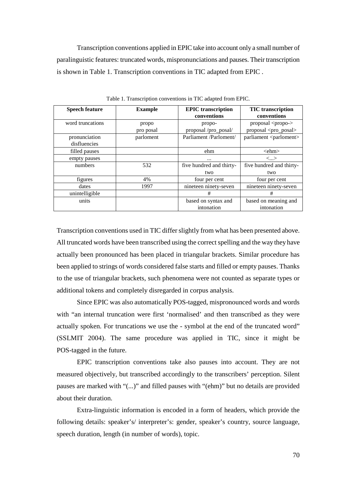Transcription conventions applied in EPIC take into account only a small number of paralinguistic features: truncated words, mispronunciations and pauses. Their transcription is shown in Table 1. Transcription conventions in TIC adapted from EPIC .

| <b>Speech feature</b> | <b>Example</b> | <b>EPIC</b> transcription<br>conventions | <b>TIC</b> transcription<br>conventions |
|-----------------------|----------------|------------------------------------------|-----------------------------------------|
|                       |                |                                          |                                         |
| word truncations      | propo          | propo-                                   | proposal <propo-></propo->              |
|                       | pro posal      | proposal/pro_posal/                      | proposal <pro_posal></pro_posal>        |
| pronunciation         | parloment      | Parliament /Parloment/                   | parliament <parloment></parloment>      |
| disfluencies          |                |                                          |                                         |
| filled pauses         |                | ehm                                      | $\le$ chm $>$                           |
| empty pauses          |                | $\cdots$                                 | $\langle \ldots \rangle$                |
| numbers               | 532            | five hundred and thirty-                 | five hundred and thirty-                |
|                       |                | two                                      | two                                     |
| figures               | 4%             | four per cent                            | four per cent                           |
| dates                 | 1997           | nineteen ninety-seven                    | nineteen ninety-seven                   |
| unintelligible        |                | #                                        | #                                       |
| units                 |                | based on syntax and                      | based on meaning and                    |
|                       |                | intonation                               | intonation                              |

Table 1. Transcription conventions in TIC adapted from EPIC.

Transcription conventions used in TIC differ slightly from what has been presented above. All truncated words have been transcribed using the correct spelling and the way they have actually been pronounced has been placed in triangular brackets. Similar procedure has been applied to strings of words considered false starts and filled or empty pauses. Thanks to the use of triangular brackets, such phenomena were not counted as separate types or additional tokens and completely disregarded in corpus analysis.

Since EPIC was also automatically POS-tagged, mispronounced words and words with "an internal truncation were first 'normalised' and then transcribed as they were actually spoken. For truncations we use the - symbol at the end of the truncated word" (SSLMIT 2004). The same procedure was applied in TIC, since it might be POS-tagged in the future.

EPIC transcription conventions take also pauses into account. They are not measured objectively, but transcribed accordingly to the transcribers' perception. Silent pauses are marked with "(...)" and filled pauses with "(ehm)" but no details are provided about their duration.

Extra-linguistic information is encoded in a form of headers, which provide the following details: speaker's/ interpreter's: gender, speaker's country, source language, speech duration, length (in number of words), topic.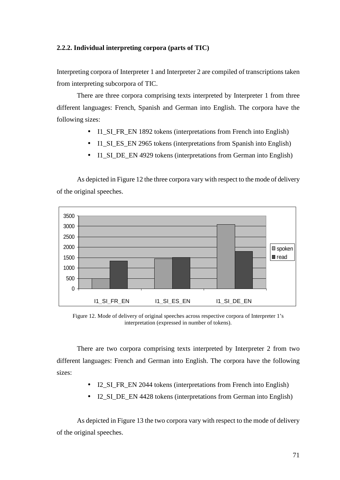# **2.2.2. Individual interpreting corpora (parts of TIC)**

Interpreting corpora of Interpreter 1 and Interpreter 2 are compiled of transcriptions taken from interpreting subcorpora of TIC.

There are three corpora comprising texts interpreted by Interpreter 1 from three different languages: French, Spanish and German into English. The corpora have the following sizes:

- Il SI FR EN 1892 tokens (interpretations from French into English)
- Il SI ES EN 2965 tokens (interpretations from Spanish into English)
- Il SI\_DE\_EN 4929 tokens (interpretations from German into English)

As depicted in Figure 12 the three corpora vary with respect to the mode of delivery of the original speeches.



Figure 12. Mode of delivery of original speeches across respective corpora of Interpreter 1's interpretation (expressed in number of tokens).

There are two corpora comprising texts interpreted by Interpreter 2 from two different languages: French and German into English. The corpora have the following sizes:

- I2\_SI\_FR\_EN 2044 tokens (interpretations from French into English)
- I2 SI DE EN 4428 tokens (interpretations from German into English)

As depicted in Figure 13 the two corpora vary with respect to the mode of delivery of the original speeches.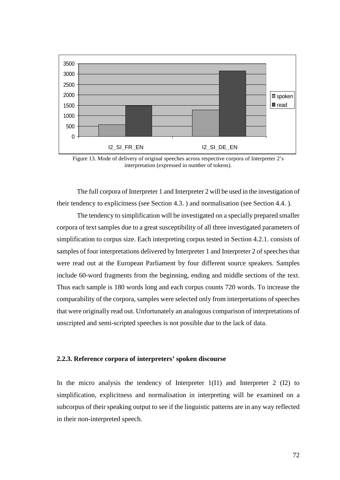

Figure 13. Mode of delivery of original speeches across respective corpora of Interpreter 2's interpretation (expressed in number of tokens).

The full corpora of Interpreter 1 and Interpreter 2 will be used in the investigation of their tendency to explicitness (see Section 4.3. ) and normalisation (see Section 4.4. ).

The tendency to simplification will be investigated on a specially prepared smaller corpora of text samples due to a great susceptibility of all three investigated parameters of simplification to corpus size. Each interpreting corpus tested in Section 4.2.1. consists of samples of four interpretations delivered by Interpreter 1 and Interpreter 2 of speeches that were read out at the European Parliament by four different source speakers. Samples include 60-word fragments from the beginning, ending and middle sections of the text. Thus each sample is 180 words long and each corpus counts 720 words. To increase the comparability of the corpora, samples were selected only from interpretations of speeches that were originally read out. Unfortunately an analogous comparison of interpretations of unscripted and semi-scripted speeches is not possible due to the lack of data.

# **2.2.3. Reference corpora of interpreters' spoken discourse**

In the micro analysis the tendency of Interpreter  $1(11)$  and Interpreter 2 (I2) to simplification, explicitness and normalisation in interpreting will be examined on a subcorpus of their speaking output to see if the linguistic patterns are in any way reflected in their non-interpreted speech.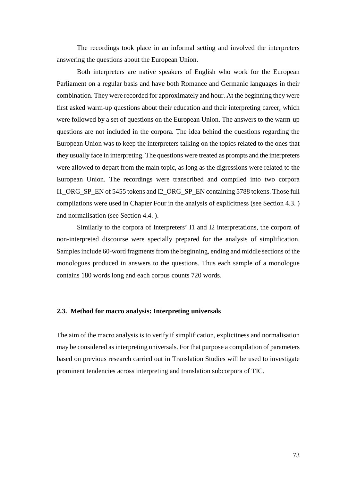The recordings took place in an informal setting and involved the interpreters answering the questions about the European Union.

Both interpreters are native speakers of English who work for the European Parliament on a regular basis and have both Romance and Germanic languages in their combination. They were recorded for approximately and hour. At the beginning they were first asked warm-up questions about their education and their interpreting career, which were followed by a set of questions on the European Union. The answers to the warm-up questions are not included in the corpora. The idea behind the questions regarding the European Union was to keep the interpreters talking on the topics related to the ones that they usually face in interpreting. The questions were treated as prompts and the interpreters were allowed to depart from the main topic, as long as the digressions were related to the European Union. The recordings were transcribed and compiled into two corpora I1\_ORG\_SP\_EN of 5455 tokens and I2\_ORG\_SP\_EN containing 5788 tokens. Those full compilations were used in Chapter Four in the analysis of explicitness (see Section 4.3. ) and normalisation (see Section 4.4. ).

Similarly to the corpora of Interpreters' I1 and I2 interpretations, the corpora of non-interpreted discourse were specially prepared for the analysis of simplification. Samples include 60-word fragments from the beginning, ending and middle sections of the monologues produced in answers to the questions. Thus each sample of a monologue contains 180 words long and each corpus counts 720 words.

# **2.3. Method for macro analysis: Interpreting universals**

The aim of the macro analysis is to verify if simplification, explicitness and normalisation may be considered as interpreting universals. For that purpose a compilation of parameters based on previous research carried out in Translation Studies will be used to investigate prominent tendencies across interpreting and translation subcorpora of TIC.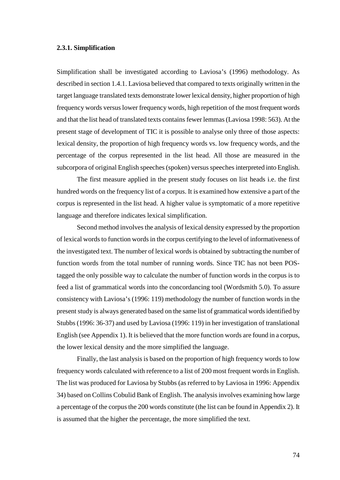# **2.3.1. Simplification**

Simplification shall be investigated according to Laviosa's (1996) methodology. As described in section 1.4.1. Laviosa believed that compared to texts originally written in the target language translated texts demonstrate lower lexical density, higher proportion of high frequency words versus lower frequency words, high repetition of the most frequent words and that the list head of translated texts contains fewer lemmas (Laviosa 1998: 563). At the present stage of development of TIC it is possible to analyse only three of those aspects: lexical density, the proportion of high frequency words vs. low frequency words, and the percentage of the corpus represented in the list head. All those are measured in the subcorpora of original English speeches (spoken) versus speeches interpreted into English.

The first measure applied in the present study focuses on list heads i.e. the first hundred words on the frequency list of a corpus. It is examined how extensive a part of the corpus is represented in the list head. A higher value is symptomatic of a more repetitive language and therefore indicates lexical simplification.

Second method involves the analysis of lexical density expressed by the proportion of lexical words to function words in the corpus certifying to the level of informativeness of the investigated text. The number of lexical words is obtained by subtracting the number of function words from the total number of running words. Since TIC has not been POStagged the only possible way to calculate the number of function words in the corpus is to feed a list of grammatical words into the concordancing tool (Wordsmith 5.0). To assure consistency with Laviosa's (1996: 119) methodology the number of function words in the present study is always generated based on the same list of grammatical words identified by Stubbs (1996: 36-37) and used by Laviosa (1996: 119) in her investigation of translational English (see Appendix 1). It is believed that the more function words are found in a corpus, the lower lexical density and the more simplified the language.

Finally, the last analysis is based on the proportion of high frequency words to low frequency words calculated with reference to a list of 200 most frequent words in English. The list was produced for Laviosa by Stubbs (as referred to by Laviosa in 1996: Appendix 34) based on Collins Cobulid Bank of English. The analysis involves examining how large a percentage of the corpus the 200 words constitute (the list can be found in Appendix 2). It is assumed that the higher the percentage, the more simplified the text.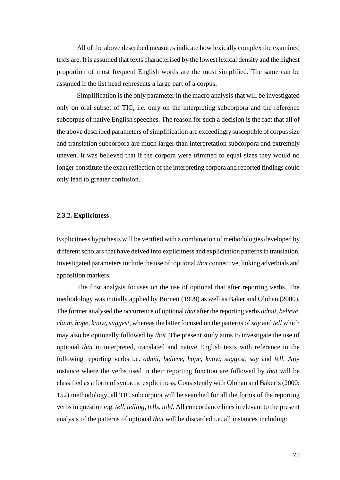All of the above described measures indicate how lexically complex the examined texts are. It is assumed that texts characterised by the lowest lexical density and the highest proportion of most frequent English words are the most simplified. The same can be assumed if the list head represents a large part of a corpus.

Simplification is the only parameter in the macro analysis that will be investigated only on oral subset of TIC, i.e. only on the interpreting subcorpora and the reference subcorpus of native English speeches. The reason for such a decision is the fact that all of the above described parameters of simplification are exceedingly susceptible of corpus size and translation subcorpora are much larger than interpretation subcorpora and extremely uneven. It was believed that if the corpora were trimmed to equal sizes they would no longer constitute the exact reflection of the interpreting corpora and reported findings could only lead to greater confusion.

# **2.3.2. Explicitness**

Explicitness hypothesis will be verified with a combination of methodologies developed by different scholars that have delved into explicitness and explicitation patterns in translation. Investigated parameters include the use of: optional *that* connective, linking adverbials and apposition markers.

The first analysis focuses on the use of optional that after reporting verbs. The methodology was initially applied by Burnett (1999) as well as Baker and Olohan (2000). The former analysed the occurrence of optional *that* after the reporting verbs *admit, believe, claim, hope, know, suggest,* whereas the latter focused on the patterns of *say* and *tell* which may also be optionally followed by *that*. The present study aims to investigate the use of optional *that* in interpreted, translated and native English texts with reference to the following reporting verbs i.e. *admit, believe, hope, know, suggest, say* and *tell.* Any instance where the verbs used in their reporting function are followed by *that* will be classified as a form of syntactic explicitness. Consistently with Olohan and Baker's (2000: 152) methodology, all TIC subcorpora will be searched for all the forms of the reporting verbs in question e.g. *tell, telling, tells*, *told.* All concordance lines irrelevant to the present analysis of the patterns of optional *that* will be discarded i.e. all instances including: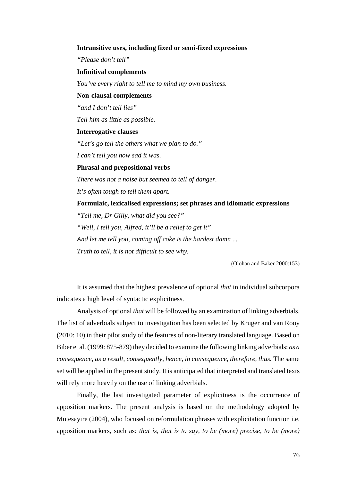# **Intransitive uses, including fixed or semi-fixed expressions**

*"Please don't tell"* 

#### **Infinitival complements**

*You've every right to tell me to mind my own business.* 

### **Non-clausal complements**

*"and I don't tell lies"* 

*Tell him as little as possible.* 

# **Interrogative clauses**

*"Let's go tell the others what we plan to do."* 

*I can't tell you how sad it was.* 

# **Phrasal and prepositional verbs**

*There was not a noise but seemed to tell of danger. It's often tough to tell them apart.* 

**Formulaic, lexicalised expressions; set phrases and idiomatic expressions** 

*"Tell me, Dr Gilly, what did you see?" "Well, I tell you, Alfred, it'll be a relief to get it" And let me tell you, coming off coke is the hardest damn ... Truth to tell, it is not difficult to see why.* 

(Olohan and Baker 2000:153)

It is assumed that the highest prevalence of optional *that* in individual subcorpora indicates a high level of syntactic explicitness.

Analysis of optional *that* will be followed by an examination of linking adverbials. The list of adverbials subject to investigation has been selected by Kruger and van Rooy (2010: 10) in their pilot study of the features of non-literary translated language. Based on Biber et al. (1999: 875-879) they decided to examine the following linking adverbials: *as a consequence, as a result, consequently, hence, in consequence, therefore, thus. The same* set will be applied in the present study. It is anticipated that interpreted and translated texts will rely more heavily on the use of linking adverbials.

Finally, the last investigated parameter of explicitness is the occurrence of apposition markers. The present analysis is based on the methodology adopted by Mutesayire (2004), who focused on reformulation phrases with explicitation function i.e. apposition markers, such as: *that is, that is to say, to be (more) precise, to be (more)*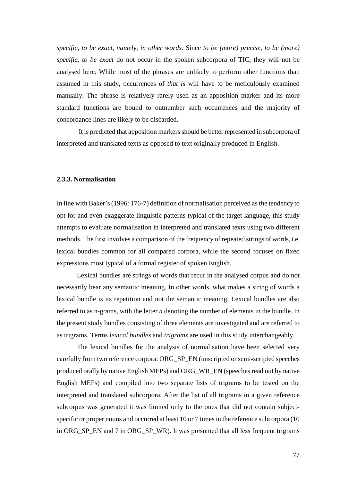*specific, to be exact, namely, in other words.* Since *to be (more) precise, to be (more) specific, to be exact* do not occur in the spoken subcorpora of TIC, they will not be analysed here. While most of the phrases are unlikely to perform other functions than assumed in this study, occurrences of *that is* will have to be meticulously examined manually. The phrase is relatively rarely used as an apposition marker and its more standard functions are bound to outnumber such occurrences and the majority of concordance lines are likely to be discarded.

 It is predicted that apposition markers should be better represented in subcorpora of interpreted and translated texts as opposed to text originally produced in English.

# **2.3.3. Normalisation**

In line with Baker's (1996: 176-7) definition of normalisation perceived as the tendency to opt for and even exaggerate linguistic patterns typical of the target language, this study attempts to evaluate normalisation in interpreted and translated texts using two different methods. The first involves a comparison of the frequency of repeated strings of words, i.e. lexical bundles common for all compared corpora, while the second focuses on fixed expressions most typical of a formal register of spoken English.

Lexical bundles are strings of words that recur in the analysed corpus and do not necessarily bear any semantic meaning. In other words, what makes a string of words a lexical bundle is its repetition and not the semantic meaning. Lexical bundles are also referred to as n-grams, with the letter *n* denoting the number of elements in the bundle. In the present study bundles consisting of three elements are investigated and are referred to as trigrams. Terms *lexical bundles* and *trigrams* are used in this study interchangeably.

The lexical bundles for the analysis of normalisation have been selected very carefully from two reference corpora: ORG\_SP\_EN (unscripted or semi-scripted speeches produced orally by native English MEPs) and ORG\_WR\_EN (speeches read out by native English MEPs) and compiled into two separate lists of trigrams to be tested on the interpreted and translated subcorpora. After the list of all trigrams in a given reference subcorpus was generated it was limited only to the ones that did not contain subjectspecific or proper nouns and occurred at least 10 or 7 times in the reference subcorpora (10) in ORG\_SP\_EN and 7 in ORG\_SP\_WR). It was presumed that all less frequent trigrams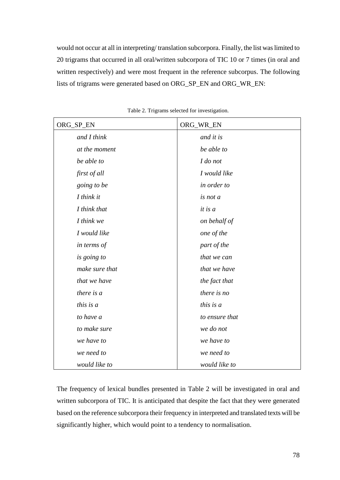would not occur at all in interpreting/ translation subcorpora. Finally, the list was limited to 20 trigrams that occurred in all oral/written subcorpora of TIC 10 or 7 times (in oral and written respectively) and were most frequent in the reference subcorpus. The following lists of trigrams were generated based on ORG\_SP\_EN and ORG\_WR\_EN:

| ORG_SP_EN      | ORG_WR_EN      |
|----------------|----------------|
| and I think    | and it is      |
| at the moment  | be able to     |
| be able to     | I do not       |
| first of all   | I would like   |
| going to be    | in order to    |
| I think it     | is not a       |
| I think that   | it is a        |
| I think we     | on behalf of   |
| I would like   | one of the     |
| in terms of    | part of the    |
| is going to    | that we can    |
| make sure that | that we have   |
| that we have   | the fact that  |
| there is a     | there is no    |
| this is a      | this is $a$    |
| to have a      | to ensure that |
| to make sure   | we do not      |
| we have to     | we have to     |
| we need to     | we need to     |
| would like to  | would like to  |

Table 2. Trigrams selected for investigation.

The frequency of lexical bundles presented in Table 2 will be investigated in oral and written subcorpora of TIC. It is anticipated that despite the fact that they were generated based on the reference subcorpora their frequency in interpreted and translated texts will be significantly higher, which would point to a tendency to normalisation.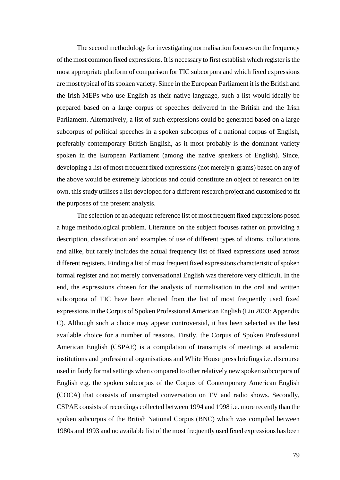The second methodology for investigating normalisation focuses on the frequency of the most common fixed expressions. It is necessary to first establish which register is the most appropriate platform of comparison for TIC subcorpora and which fixed expressions are most typical of its spoken variety. Since in the European Parliament it is the British and the Irish MEPs who use English as their native language, such a list would ideally be prepared based on a large corpus of speeches delivered in the British and the Irish Parliament. Alternatively, a list of such expressions could be generated based on a large subcorpus of political speeches in a spoken subcorpus of a national corpus of English, preferably contemporary British English, as it most probably is the dominant variety spoken in the European Parliament (among the native speakers of English). Since, developing a list of most frequent fixed expressions (not merely n-grams) based on any of the above would be extremely laborious and could constitute an object of research on its own, this study utilises a list developed for a different research project and customised to fit the purposes of the present analysis.

The selection of an adequate reference list of most frequent fixed expressions posed a huge methodological problem. Literature on the subject focuses rather on providing a description, classification and examples of use of different types of idioms, collocations and alike, but rarely includes the actual frequency list of fixed expressions used across different registers. Finding a list of most frequent fixed expressions characteristic of spoken formal register and not merely conversational English was therefore very difficult. In the end, the expressions chosen for the analysis of normalisation in the oral and written subcorpora of TIC have been elicited from the list of most frequently used fixed expressions in the Corpus of Spoken Professional American English (Liu 2003: Appendix C). Although such a choice may appear controversial, it has been selected as the best available choice for a number of reasons. Firstly, the Corpus of Spoken Professional American English (CSPAE) is a compilation of transcripts of meetings at academic institutions and professional organisations and White House press briefings i.e. discourse used in fairly formal settings when compared to other relatively new spoken subcorpora of English e.g. the spoken subcorpus of the Corpus of Contemporary American English (COCA) that consists of unscripted conversation on TV and radio shows. Secondly, CSPAE consists of recordings collected between 1994 and 1998 i.e. more recently than the spoken subcorpus of the British National Corpus (BNC) which was compiled between 1980s and 1993 and no available list of the most frequently used fixed expressions has been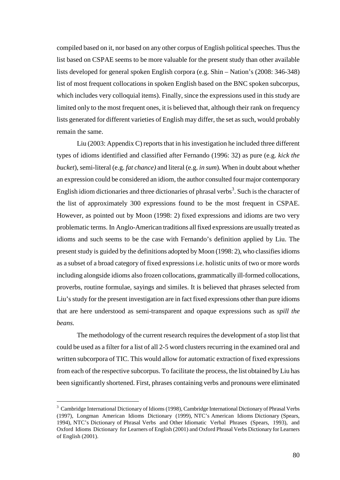compiled based on it, nor based on any other corpus of English political speeches. Thus the list based on CSPAE seems to be more valuable for the present study than other available lists developed for general spoken English corpora (e.g. Shin – Nation's (2008: 346-348) list of most frequent collocations in spoken English based on the BNC spoken subcorpus, which includes very colloquial items). Finally, since the expressions used in this study are limited only to the most frequent ones, it is believed that, although their rank on frequency lists generated for different varieties of English may differ, the set as such, would probably remain the same.

Liu (2003: Appendix C) reports that in his investigation he included three different types of idioms identified and classified after Fernando (1996: 32) as pure (e.g. *kick the bucket*), semi-literal (e.g. *fat chance)* and literal (e.g. *in sum*). When in doubt about whether an expression could be considered an idiom, the author consulted four major contemporary English idiom dictionaries and three dictionaries of phrasal verbs<sup>3</sup>. Such is the character of the list of approximately 300 expressions found to be the most frequent in CSPAE. However, as pointed out by Moon (1998: 2) fixed expressions and idioms are two very problematic terms. In Anglo-American traditions all fixed expressions are usually treated as idioms and such seems to be the case with Fernando's definition applied by Liu. The present study is guided by the definitions adopted by Moon (1998: 2), who classifies idioms as a subset of a broad category of fixed expressions i.e. holistic units of two or more words including alongside idioms also frozen collocations, grammatically ill-formed collocations, proverbs, routine formulae, sayings and similes. It is believed that phrases selected from Liu's study for the present investigation are in fact fixed expressions other than pure idioms that are here understood as semi-transparent and opaque expressions such as *spill the beans.* 

The methodology of the current research requires the development of a stop list that could be used as a filter for a list of all 2-5 word clusters recurring in the examined oral and written subcorpora of TIC. This would allow for automatic extraction of fixed expressions from each of the respective subcorpus. To facilitate the process, the list obtained by Liu has been significantly shortened. First, phrases containing verbs and pronouns were eliminated

 $\overline{a}$ 

<sup>&</sup>lt;sup>3</sup> Cambridge International Dictionary of Idioms (1998), Cambridge International Dictionary of Phrasal Verbs (1997), Longman American Idioms Dictionary (1999), NTC's American Idioms Dictionary (Spears, 1994), NTC's Dictionary of Phrasal Verbs and Other Idiomatic Verbal Phrases (Spears, 1993), and Oxford Idioms Dictionary for Learners of English (2001) and Oxford Phrasal Verbs Dictionary for Learners of English (2001).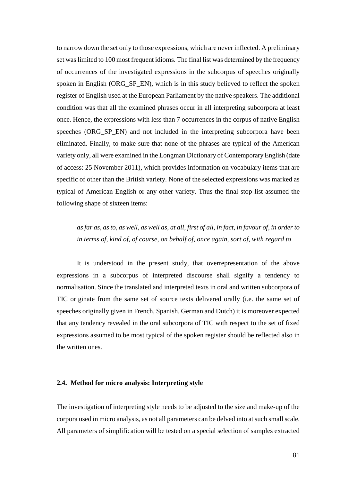to narrow down the set only to those expressions, which are never inflected. A preliminary set was limited to 100 most frequent idioms. The final list was determined by the frequency of occurrences of the investigated expressions in the subcorpus of speeches originally spoken in English (ORG\_SP\_EN), which is in this study believed to reflect the spoken register of English used at the European Parliament by the native speakers. The additional condition was that all the examined phrases occur in all interpreting subcorpora at least once. Hence, the expressions with less than 7 occurrences in the corpus of native English speeches (ORG\_SP\_EN) and not included in the interpreting subcorpora have been eliminated. Finally, to make sure that none of the phrases are typical of the American variety only, all were examined in the Longman Dictionary of Contemporary English (date of access: 25 November 2011), which provides information on vocabulary items that are specific of other than the British variety. None of the selected expressions was marked as typical of American English or any other variety. Thus the final stop list assumed the following shape of sixteen items:

*as far as, as to, as well, as well as, at all, first of all, in fact, in favour of, in order to in terms of, kind of, of course, on behalf of, once again, sort of, with regard to* 

It is understood in the present study, that overrepresentation of the above expressions in a subcorpus of interpreted discourse shall signify a tendency to normalisation. Since the translated and interpreted texts in oral and written subcorpora of TIC originate from the same set of source texts delivered orally (i.e. the same set of speeches originally given in French, Spanish, German and Dutch) it is moreover expected that any tendency revealed in the oral subcorpora of TIC with respect to the set of fixed expressions assumed to be most typical of the spoken register should be reflected also in the written ones.

# **2.4. Method for micro analysis: Interpreting style**

The investigation of interpreting style needs to be adjusted to the size and make-up of the corpora used in micro analysis, as not all parameters can be delved into at such small scale. All parameters of simplification will be tested on a special selection of samples extracted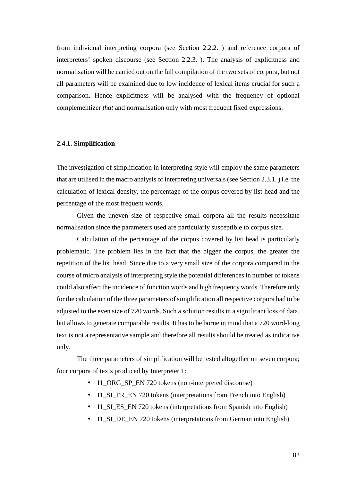from individual interpreting corpora (see Section 2.2.2. ) and reference corpora of interpreters' spoken discourse (see Section 2.2.3. ). The analysis of explicitness and normalisation will be carried out on the full compilation of the two sets of corpora, but not all parameters will be examined due to low incidence of lexical items crucial for such a comparison. Hence explicitness will be analysed with the frequency of optional complementizer *that* and normalisation only with most frequent fixed expressions.

# **2.4.1. Simplification**

The investigation of simplification in interpreting style will employ the same parameters that are utilised in the macro analysis of interpreting universals (see Section 2.3.1. ) i.e. the calculation of lexical density, the percentage of the corpus covered by list head and the percentage of the most frequent words.

Given the uneven size of respective small corpora all the results necessitate normalisation since the parameters used are particularly susceptible to corpus size.

Calculation of the percentage of the corpus covered by list head is particularly problematic. The problem lies in the fact that the bigger the corpus, the greater the repetition of the list head. Since due to a very small size of the corpora compared in the course of micro analysis of interpreting style the potential differences in number of tokens could also affect the incidence of function words and high frequency words. Therefore only for the calculation of the three parameters of simplification all respective corpora had to be adjusted to the even size of 720 words. Such a solution results in a significant loss of data, but allows to generate comparable results. It has to be borne in mind that a 720 word-long text is not a representative sample and therefore all results should be treated as indicative only.

The three parameters of simplification will be tested altogether on seven corpora; four corpora of texts produced by Interpreter 1:

- I1\_ORG\_SP\_EN 720 tokens (non-interpreted discourse)
- Il SI FR EN 720 tokens (interpretations from French into English)
- Il SI ES EN 720 tokens (interpretations from Spanish into English)
- Il SI DE EN 720 tokens (interpretations from German into English)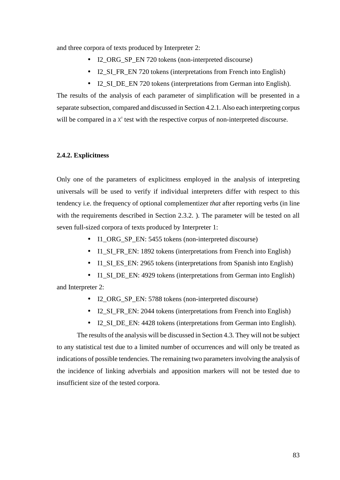and three corpora of texts produced by Interpreter 2:

- I2\_ORG\_SP\_EN 720 tokens (non-interpreted discourse)
- I2\_SI\_FR\_EN 720 tokens (interpretations from French into English)
- I2\_SI\_DE\_EN 720 tokens (interpretations from German into English).

The results of the analysis of each parameter of simplification will be presented in a separate subsection, compared and discussed in Section 4.2.1. Also each interpreting corpus will be compared in a  $X^2$  test with the respective corpus of non-interpreted discourse.

# **2.4.2. Explicitness**

Only one of the parameters of explicitness employed in the analysis of interpreting universals will be used to verify if individual interpreters differ with respect to this tendency i.e. the frequency of optional complementizer *that* after reporting verbs (in line with the requirements described in Section 2.3.2. ). The parameter will be tested on all seven full-sized corpora of texts produced by Interpreter 1:

- I1\_ORG\_SP\_EN: 5455 tokens (non-interpreted discourse)
- Il\_SI\_FR\_EN: 1892 tokens (interpretations from French into English)
- Il SI ES EN: 2965 tokens (interpretations from Spanish into English)
- Il\_SI\_DE\_EN: 4929 tokens (interpretations from German into English)

and Interpreter 2:

- I2\_ORG\_SP\_EN: 5788 tokens (non-interpreted discourse)
- I2\_SI\_FR\_EN: 2044 tokens (interpretations from French into English)
- I2 SI DE EN: 4428 tokens (interpretations from German into English).

The results of the analysis will be discussed in Section 4.3. They will not be subject to any statistical test due to a limited number of occurrences and will only be treated as indications of possible tendencies. The remaining two parameters involving the analysis of the incidence of linking adverbials and apposition markers will not be tested due to insufficient size of the tested corpora.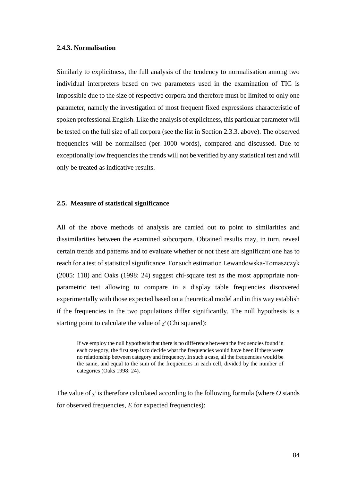# **2.4.3. Normalisation**

Similarly to explicitness, the full analysis of the tendency to normalisation among two individual interpreters based on two parameters used in the examination of TIC is impossible due to the size of respective corpora and therefore must be limited to only one parameter, namely the investigation of most frequent fixed expressions characteristic of spoken professional English. Like the analysis of explicitness, this particular parameter will be tested on the full size of all corpora (see the list in Section 2.3.3. above). The observed frequencies will be normalised (per 1000 words), compared and discussed. Due to exceptionally low frequencies the trends will not be verified by any statistical test and will only be treated as indicative results.

# **2.5. Measure of statistical significance**

All of the above methods of analysis are carried out to point to similarities and dissimilarities between the examined subcorpora. Obtained results may, in turn, reveal certain trends and patterns and to evaluate whether or not these are significant one has to reach for a test of statistical significance. For such estimation Lewandowska-Tomaszczyk (2005: 118) and Oaks (1998: 24) suggest chi-square test as the most appropriate nonparametric test allowing to compare in a display table frequencies discovered experimentally with those expected based on a theoretical model and in this way establish if the frequencies in the two populations differ significantly. The null hypothesis is a starting point to calculate the value of  $\chi^2$  (Chi squared):

If we employ the null hypothesis that there is no difference between the frequencies found in each category, the first step is to decide what the frequencies would have been if there were no relationship between category and frequency. In such a case, all the frequencies would be the same, and equal to the sum of the frequencies in each cell, divided by the number of categories (Oaks 1998: 24).

The value of  $\chi^2$  is therefore calculated according to the following formula (where O stands for observed frequencies, *E* for expected frequencies):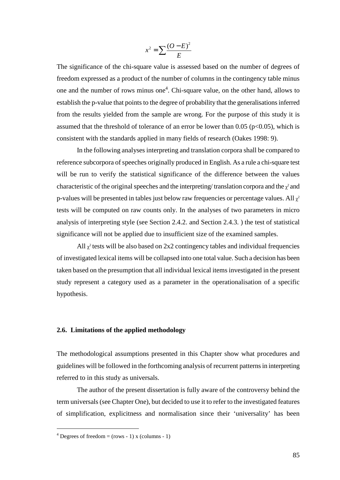$$
x^2 = \sum \frac{(O - E)^2}{E}
$$

The significance of the chi-square value is assessed based on the number of degrees of freedom expressed as a product of the number of columns in the contingency table minus one and the number of rows minus one<sup>4</sup>. Chi-square value, on the other hand, allows to establish the p-value that points to the degree of probability that the generalisations inferred from the results yielded from the sample are wrong. For the purpose of this study it is assumed that the threshold of tolerance of an error be lower than 0.05 ( $p<0.05$ ), which is consistent with the standards applied in many fields of research (Oakes 1998: 9).

In the following analyses interpreting and translation corpora shall be compared to reference subcorpora of speeches originally produced in English. As a rule a chi-square test will be run to verify the statistical significance of the difference between the values characteristic of the original speeches and the interpreting/translation corpora and the  $\chi^2$  and p-values will be presented in tables just below raw frequencies or percentage values. All  $\chi^2$ tests will be computed on raw counts only. In the analyses of two parameters in micro analysis of interpreting style (see Section 2.4.2. and Section 2.4.3. ) the test of statistical significance will not be applied due to insufficient size of the examined samples.

All  $\chi^2$  tests will be also based on 2x2 contingency tables and individual frequencies of investigated lexical items will be collapsed into one total value. Such a decision has been taken based on the presumption that all individual lexical items investigated in the present study represent a category used as a parameter in the operationalisation of a specific hypothesis.

# **2.6. Limitations of the applied methodology**

The methodological assumptions presented in this Chapter show what procedures and guidelines will be followed in the forthcoming analysis of recurrent patterns in interpreting referred to in this study as universals.

The author of the present dissertation is fully aware of the controversy behind the term universals (see Chapter One), but decided to use it to refer to the investigated features of simplification, explicitness and normalisation since their 'universality' has been

 $\overline{a}$ 

 $4$  Degrees of freedom = (rows - 1) x (columns - 1)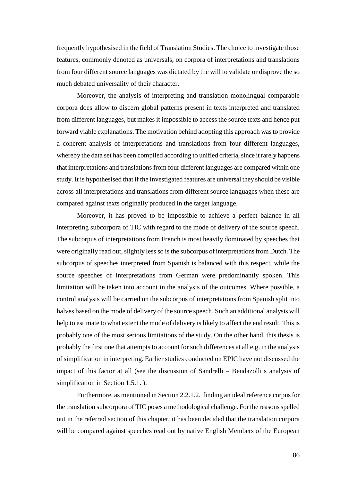frequently hypothesised in the field of Translation Studies. The choice to investigate those features, commonly denoted as universals, on corpora of interpretations and translations from four different source languages was dictated by the will to validate or disprove the so much debated universality of their character.

Moreover, the analysis of interpreting and translation monolingual comparable corpora does allow to discern global patterns present in texts interpreted and translated from different languages, but makes it impossible to access the source texts and hence put forward viable explanations. The motivation behind adopting this approach was to provide a coherent analysis of interpretations and translations from four different languages, whereby the data set has been compiled according to unified criteria, since it rarely happens that interpretations and translations from four different languages are compared within one study. It is hypothesised that if the investigated features are universal they should be visible across all interpretations and translations from different source languages when these are compared against texts originally produced in the target language.

Moreover, it has proved to be impossible to achieve a perfect balance in all interpreting subcorpora of TIC with regard to the mode of delivery of the source speech. The subcorpus of interpretations from French is most heavily dominated by speeches that were originally read out, slightly less so is the subcorpus of interpretations from Dutch. The subcorpus of speeches interpreted from Spanish is balanced with this respect, while the source speeches of interpretations from German were predominantly spoken. This limitation will be taken into account in the analysis of the outcomes. Where possible, a control analysis will be carried on the subcorpus of interpretations from Spanish split into halves based on the mode of delivery of the source speech. Such an additional analysis will help to estimate to what extent the mode of delivery is likely to affect the end result. This is probably one of the most serious limitations of the study. On the other hand, this thesis is probably the first one that attempts to account for such differences at all e.g. in the analysis of simplification in interpreting. Earlier studies conducted on EPIC have not discussed the impact of this factor at all (see the discussion of Sandrelli – Bendazolli's analysis of simplification in Section 1.5.1. ).

Furthermore, as mentioned in Section 2.2.1.2. finding an ideal reference corpus for the translation subcorpora of TIC poses a methodological challenge. For the reasons spelled out in the referred section of this chapter, it has been decided that the translation corpora will be compared against speeches read out by native English Members of the European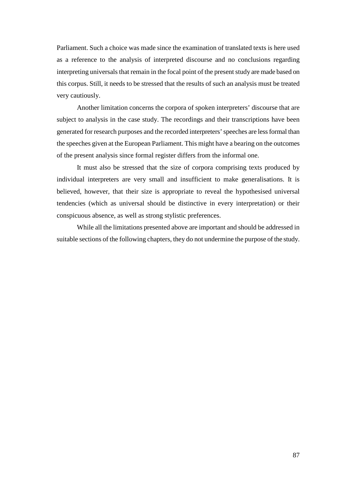Parliament. Such a choice was made since the examination of translated texts is here used as a reference to the analysis of interpreted discourse and no conclusions regarding interpreting universals that remain in the focal point of the present study are made based on this corpus. Still, it needs to be stressed that the results of such an analysis must be treated very cautiously.

Another limitation concerns the corpora of spoken interpreters' discourse that are subject to analysis in the case study. The recordings and their transcriptions have been generated for research purposes and the recorded interpreters' speeches are less formal than the speeches given at the European Parliament. This might have a bearing on the outcomes of the present analysis since formal register differs from the informal one.

It must also be stressed that the size of corpora comprising texts produced by individual interpreters are very small and insufficient to make generalisations. It is believed, however, that their size is appropriate to reveal the hypothesised universal tendencies (which as universal should be distinctive in every interpretation) or their conspicuous absence, as well as strong stylistic preferences.

While all the limitations presented above are important and should be addressed in suitable sections of the following chapters, they do not undermine the purpose of the study.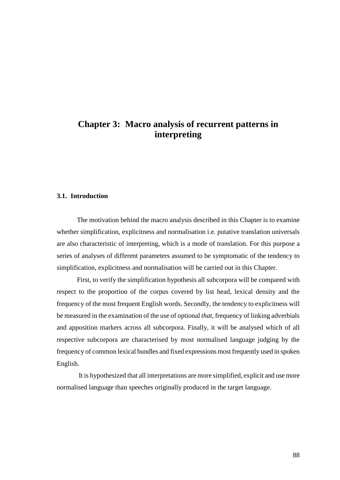# **Chapter 3: Macro analysis of recurrent patterns in interpreting**

### **3.1. Introduction**

The motivation behind the macro analysis described in this Chapter is to examine whether simplification, explicitness and normalisation i.e. putative translation universals are also characteristic of interpreting, which is a mode of translation. For this purpose a series of analyses of different parameters assumed to be symptomatic of the tendency to simplification, explicitness and normalisation will be carried out in this Chapter.

First, to verify the simplification hypothesis all subcorpora will be compared with respect to the proportion of the corpus covered by list head, lexical density and the frequency of the most frequent English words. Secondly, the tendency to explicitness will be measured in the examination of the use of optional *that*, frequency of linking adverbials and apposition markers across all subcorpora. Finally, it will be analysed which of all respective subcorpora are characterised by most normalised language judging by the frequency of common lexical bundles and fixed expressions most frequently used in spoken English.

 It is hypothesized that all interpretations are more simplified, explicit and use more normalised language than speeches originally produced in the target language.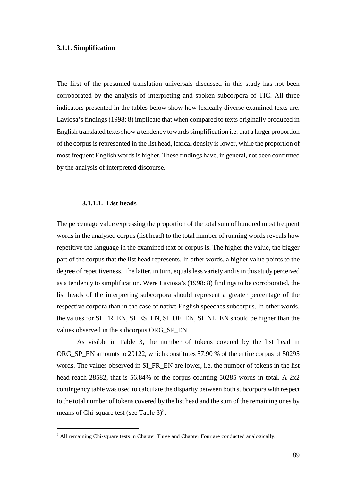# **3.1.1. Simplification**

The first of the presumed translation universals discussed in this study has not been corroborated by the analysis of interpreting and spoken subcorpora of TIC. All three indicators presented in the tables below show how lexically diverse examined texts are. Laviosa's findings (1998: 8) implicate that when compared to texts originally produced in English translated texts show a tendency towards simplification i.e. that a larger proportion of the corpus is represented in the list head, lexical density is lower, while the proportion of most frequent English words is higher. These findings have, in general, not been confirmed by the analysis of interpreted discourse.

# **3.1.1.1. List heads**

 $\overline{a}$ 

The percentage value expressing the proportion of the total sum of hundred most frequent words in the analysed corpus (list head) to the total number of running words reveals how repetitive the language in the examined text or corpus is. The higher the value, the bigger part of the corpus that the list head represents. In other words, a higher value points to the degree of repetitiveness. The latter, in turn, equals less variety and is in this study perceived as a tendency to simplification. Were Laviosa's (1998: 8) findings to be corroborated, the list heads of the interpreting subcorpora should represent a greater percentage of the respective corpora than in the case of native English speeches subcorpus. In other words, the values for SI\_FR\_EN, SI\_ES\_EN, SI\_DE\_EN, SI\_NL\_EN should be higher than the values observed in the subcorpus ORG\_SP\_EN.

As visible in Table 3, the number of tokens covered by the list head in ORG\_SP\_EN amounts to 29122, which constitutes 57.90 % of the entire corpus of 50295 words. The values observed in SI\_FR\_EN are lower, i.e. the number of tokens in the list head reach 28582, that is 56.84% of the corpus counting 50285 words in total. A 2x2 contingency table was used to calculate the disparity between both subcorpora with respect to the total number of tokens covered by the list head and the sum of the remaining ones by means of Chi-square test (see Table  $3^5$ .

<sup>&</sup>lt;sup>5</sup> All remaining Chi-square tests in Chapter Three and Chapter Four are conducted analogically.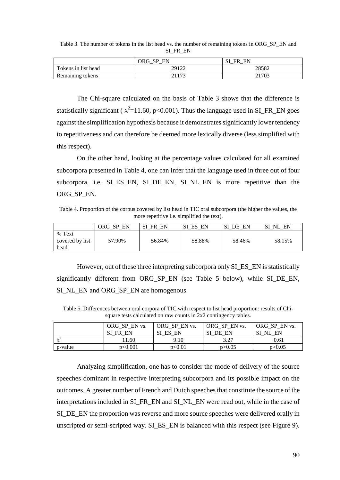|                     | - CD<br>ORG-<br>EN | C <sub>1</sub><br>EN<br>FR |
|---------------------|--------------------|----------------------------|
| Tokens in list head | 29122              | 28582                      |
| Remaining tokens    | <b>ີ</b> 1 1 7 2   | 21703                      |

Table 3. The number of tokens in the list head vs. the number of remaining tokens in ORG\_SP\_EN and SI\_FR\_EN

The Chi-square calculated on the basis of Table 3 shows that the difference is statistically significant ( $\chi^2$ =11.60, p<0.001). Thus the language used in SI\_FR\_EN goes against the simplification hypothesis because it demonstrates significantly lower tendency to repetitiveness and can therefore be deemed more lexically diverse (less simplified with this respect).

On the other hand, looking at the percentage values calculated for all examined subcorpora presented in Table 4, one can infer that the language used in three out of four subcorpora, i.e. SI\_ES\_EN, SI\_DE\_EN, SI\_NL\_EN is more repetitive than the ORG\_SP\_EN.

Table 4. Proportion of the corpus covered by list head in TIC oral subcorpora (the higher the values, the more repetitive i.e. simplified the text).

|                                   | EN<br>ORG SP | EN<br><b>FR</b> | EN<br>SI<br>ES | EN<br>SI<br>DE | EN<br>SI<br>NI |
|-----------------------------------|--------------|-----------------|----------------|----------------|----------------|
| % Text<br>covered by list<br>head | 57.90%       | 56.84%          | 58.88%         | 58.46%         | 58.15%         |

However, out of these three interpreting subcorpora only SI\_ES\_EN is statistically significantly different from ORG\_SP\_EN (see Table 5 below), while SI\_DE\_EN, SI\_NL\_EN and ORG\_SP\_EN are homogenous.

Table 5. Differences between oral corpora of TIC with respect to list head proportion: results of Chisquare tests calculated on raw counts in 2x2 contingency tables.

|            | ORG_SP_EN vs. | ORG SP EN vs. | ORG SP EN vs.      | ORG SP EN vs. |
|------------|---------------|---------------|--------------------|---------------|
|            | SI FR EN      | SI ES EN      | <b>SI</b><br>DE EN | EN<br>SI NL   |
| $\sqrt{2}$ | 1.60          | 9.10          | 3.27               | 0.61          |
| p-value    | p<0.001       | p<0.01        | p > 0.05           | p > 0.05      |

Analyzing simplification, one has to consider the mode of delivery of the source speeches dominant in respective interpreting subcorpora and its possible impact on the outcomes. A greater number of French and Dutch speeches that constitute the source of the interpretations included in SI\_FR\_EN and SI\_NL\_EN were read out, while in the case of SI\_DE\_EN the proportion was reverse and more source speeches were delivered orally in unscripted or semi-scripted way. SI\_ES\_EN is balanced with this respect (see Figure 9).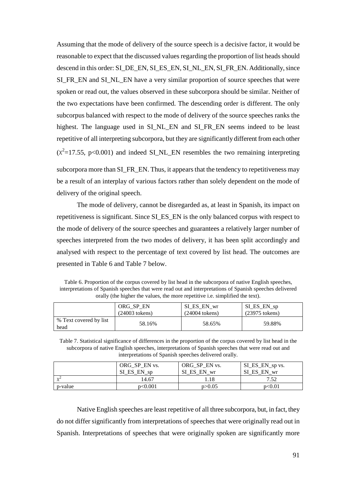Assuming that the mode of delivery of the source speech is a decisive factor, it would be reasonable to expect that the discussed values regarding the proportion of list heads should descend in this order: SI\_DE\_EN, SI\_ES\_EN, SI\_NL\_EN, SI\_FR\_EN. Additionally, since SI\_FR\_EN and SI\_NL\_EN have a very similar proportion of source speeches that were spoken or read out, the values observed in these subcorpora should be similar. Neither of the two expectations have been confirmed. The descending order is different. The only subcorpus balanced with respect to the mode of delivery of the source speeches ranks the highest. The language used in SI\_NL\_EN and SI\_FR\_EN seems indeed to be least repetitive of all interpreting subcorpora, but they are significantly different from each other  $(x^2=17.55, p<0.001)$  and indeed SL\_NL\_EN resembles the two remaining interpreting

subcorpora more than SI FR EN. Thus, it appears that the tendency to repetitiveness may be a result of an interplay of various factors rather than solely dependent on the mode of delivery of the original speech.

The mode of delivery, cannot be disregarded as, at least in Spanish, its impact on repetitiveness is significant. Since SI\_ES\_EN is the only balanced corpus with respect to the mode of delivery of the source speeches and guarantees a relatively larger number of speeches interpreted from the two modes of delivery, it has been split accordingly and analysed with respect to the percentage of text covered by list head. The outcomes are presented in Table 6 and Table 7 below.

Table 6. Proportion of the corpus covered by list head in the subcorpora of native English speeches, interpretations of Spanish speeches that were read out and interpretations of Spanish speeches delivered orally (the higher the values, the more repetitive i.e. simplified the text).

|                                | ORG SP EN        | SI ES EN wr      | $SI$ <sub>ES</sub> $EN$ <sub>sp</sub> |
|--------------------------------|------------------|------------------|---------------------------------------|
|                                | $(24003$ tokens) | $(24004$ tokens) | $(23975$ tokens)                      |
| % Text covered by list<br>head | 58.16%           | 58.65%           | 59.88%                                |

Table 7. Statistical significance of differences in the proportion of the corpus covered by list head in the subcorpora of native English speeches, interpretations of Spanish speeches that were read out and interpretations of Spanish speeches delivered orally.

|          | ORG SP EN vs.<br>SI_ES_EN_sp | ORG_SP_EN vs.<br>SI ES EN wr | SI_ES_EN_sp vs.<br>SI ES EN wr |
|----------|------------------------------|------------------------------|--------------------------------|
| $\gamma$ | 14.67                        |                              | 7.52                           |
| p-value  | p<0.001                      | p > 0.05                     | p<0.01                         |

Native English speeches are least repetitive of all three subcorpora, but, in fact, they do not differ significantly from interpretations of speeches that were originally read out in Spanish. Interpretations of speeches that were originally spoken are significantly more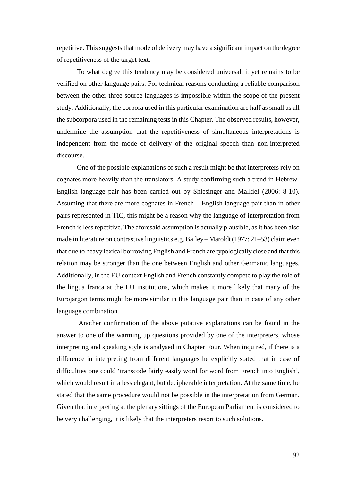repetitive. This suggests that mode of delivery may have a significant impact on the degree of repetitiveness of the target text.

To what degree this tendency may be considered universal, it yet remains to be verified on other language pairs. For technical reasons conducting a reliable comparison between the other three source languages is impossible within the scope of the present study. Additionally, the corpora used in this particular examination are half as small as all the subcorpora used in the remaining tests in this Chapter. The observed results, however, undermine the assumption that the repetitiveness of simultaneous interpretations is independent from the mode of delivery of the original speech than non-interpreted discourse.

One of the possible explanations of such a result might be that interpreters rely on cognates more heavily than the translators. A study confirming such a trend in Hebrew-English language pair has been carried out by Shlesinger and Malkiel (2006: 8-10). Assuming that there are more cognates in French – English language pair than in other pairs represented in TIC, this might be a reason why the language of interpretation from French is less repetitive. The aforesaid assumption is actually plausible, as it has been also made in literature on contrastive linguistics e.g. Bailey – Maroldt (1977: 21–53) claim even that due to heavy lexical borrowing English and French are typologically close and that this relation may be stronger than the one between English and other Germanic languages. Additionally, in the EU context English and French constantly compete to play the role of the lingua franca at the EU institutions, which makes it more likely that many of the Eurojargon terms might be more similar in this language pair than in case of any other language combination.

 Another confirmation of the above putative explanations can be found in the answer to one of the warming up questions provided by one of the interpreters, whose interpreting and speaking style is analysed in Chapter Four. When inquired, if there is a difference in interpreting from different languages he explicitly stated that in case of difficulties one could 'transcode fairly easily word for word from French into English', which would result in a less elegant, but decipherable interpretation. At the same time, he stated that the same procedure would not be possible in the interpretation from German. Given that interpreting at the plenary sittings of the European Parliament is considered to be very challenging, it is likely that the interpreters resort to such solutions.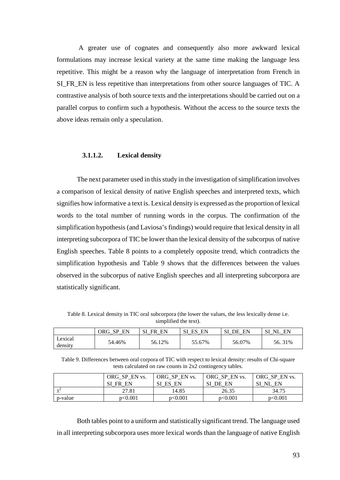A greater use of cognates and consequently also more awkward lexical formulations may increase lexical variety at the same time making the language less repetitive. This might be a reason why the language of interpretation from French in SI\_FR\_EN is less repetitive than interpretations from other source languages of TIC. A contrastive analysis of both source texts and the interpretations should be carried out on a parallel corpus to confirm such a hypothesis. Without the access to the source texts the above ideas remain only a speculation.

# **3.1.1.2. Lexical density**

The next parameter used in this study in the investigation of simplification involves a comparison of lexical density of native English speeches and interpreted texts, which signifies how informative a text is. Lexical density is expressed as the proportion of lexical words to the total number of running words in the corpus. The confirmation of the simplification hypothesis (and Laviosa's findings) would require that lexical density in all interpreting subcorpora of TIC be lower than the lexical density of the subcorpus of native English speeches. Table 8 points to a completely opposite trend, which contradicts the simplification hypothesis and Table 9 shows that the differences between the values observed in the subcorpus of native English speeches and all interpreting subcorpora are statistically significant.

Table 8. Lexical density in TIC oral subcorpora (the lower the values, the less lexically dense i.e. simplified the text).

|                    | EN<br>ORG SP | EN<br>SI<br>FR | EN<br>ES | EN<br>SI<br>DE. | SI<br>EN<br>NL |
|--------------------|--------------|----------------|----------|-----------------|----------------|
| Lexical<br>density | 54.46%       | 56.12%         | 55.67%   | 56.07%          | 56.31%         |

Table 9. Differences between oral corpora of TIC with respect to lexical density: results of Chi-square tests calculated on raw counts in 2x2 contingency tables.

|           | ORG SP EN vs. | ORG SP EN vs. | ORG SP EN vs. | ORG SP EN vs. |
|-----------|---------------|---------------|---------------|---------------|
|           | SI FR EN      | SI ES EN      | SI<br>DE EN   | SI NL EN      |
| $\lambda$ | 27.81         | 14.85         | 26.35         | 34.75         |
| p-value   | p<0.001       | p<0.001       | p<0.001       | p<0.001       |

Both tables point to a uniform and statistically significant trend. The language used in all interpreting subcorpora uses more lexical words than the language of native English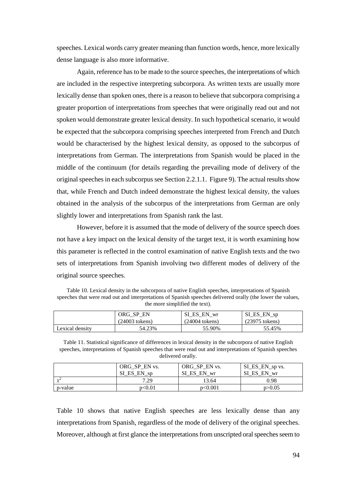speeches. Lexical words carry greater meaning than function words, hence, more lexically dense language is also more informative.

Again, reference has to be made to the source speeches, the interpretations of which are included in the respective interpreting subcorpora. As written texts are usually more lexically dense than spoken ones, there is a reason to believe that subcorpora comprising a greater proportion of interpretations from speeches that were originally read out and not spoken would demonstrate greater lexical density. In such hypothetical scenario, it would be expected that the subcorpora comprising speeches interpreted from French and Dutch would be characterised by the highest lexical density, as opposed to the subcorpus of interpretations from German. The interpretations from Spanish would be placed in the middle of the continuum (for details regarding the prevailing mode of delivery of the original speeches in each subcorpus see Section 2.2.1.1. Figure 9). The actual results show that, while French and Dutch indeed demonstrate the highest lexical density, the values obtained in the analysis of the subcorpus of the interpretations from German are only slightly lower and interpretations from Spanish rank the last.

However, before it is assumed that the mode of delivery of the source speech does not have a key impact on the lexical density of the target text, it is worth examining how this parameter is reflected in the control examination of native English texts and the two sets of interpretations from Spanish involving two different modes of delivery of the original source speeches.

Table 10. Lexical density in the subcorpora of native English speeches, interpretations of Spanish speeches that were read out and interpretations of Spanish speeches delivered orally (the lower the values, the more simplified the text).

|                 | ORG SP<br>EN<br>(24003 tokens) | ES EN wr<br>SI<br>$(24004$ tokens) | SI_ES_EN_sp<br>$(23975$ tokens) |
|-----------------|--------------------------------|------------------------------------|---------------------------------|
| Lexical densitv | 54.23%                         | 55.90%                             | 55.45%                          |

Table 11. Statistical significance of differences in lexical density in the subcorpora of native English speeches, interpretations of Spanish speeches that were read out and interpretations of Spanish speeches delivered orally.

|            | ORG SP EN vs. | ORG SP EN vs. | SI_ES_EN_sp vs. |
|------------|---------------|---------------|-----------------|
|            | SI ES EN sp   | SI ES EN wr   | SI ES EN wr     |
| $\sqrt{2}$ | 7.29          | 13.64         | 0.98            |
| p-value    | p<0.01        | p<0.001       | p > 0.05        |

Table 10 shows that native English speeches are less lexically dense than any interpretations from Spanish, regardless of the mode of delivery of the original speeches. Moreover, although at first glance the interpretations from unscripted oral speeches seem to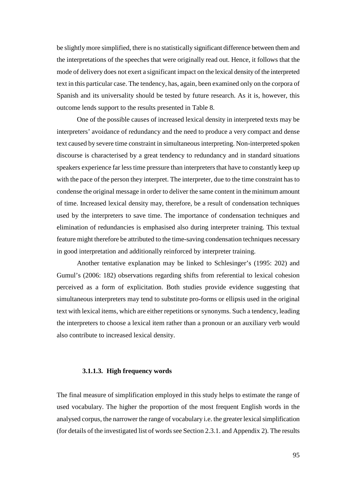be slightly more simplified, there is no statistically significant difference between them and the interpretations of the speeches that were originally read out. Hence, it follows that the mode of delivery does not exert a significant impact on the lexical density of the interpreted text in this particular case. The tendency, has, again, been examined only on the corpora of Spanish and its universality should be tested by future research. As it is, however, this outcome lends support to the results presented in Table 8.

One of the possible causes of increased lexical density in interpreted texts may be interpreters' avoidance of redundancy and the need to produce a very compact and dense text caused by severe time constraint in simultaneous interpreting. Non-interpreted spoken discourse is characterised by a great tendency to redundancy and in standard situations speakers experience far less time pressure than interpreters that have to constantly keep up with the pace of the person they interpret. The interpreter, due to the time constraint has to condense the original message in order to deliver the same content in the minimum amount of time. Increased lexical density may, therefore, be a result of condensation techniques used by the interpreters to save time. The importance of condensation techniques and elimination of redundancies is emphasised also during interpreter training. This textual feature might therefore be attributed to the time-saving condensation techniques necessary in good interpretation and additionally reinforced by interpreter training.

Another tentative explanation may be linked to Schlesinger's (1995: 202) and Gumul's (2006: 182) observations regarding shifts from referential to lexical cohesion perceived as a form of explicitation. Both studies provide evidence suggesting that simultaneous interpreters may tend to substitute pro-forms or ellipsis used in the original text with lexical items, which are either repetitions or synonyms. Such a tendency, leading the interpreters to choose a lexical item rather than a pronoun or an auxiliary verb would also contribute to increased lexical density.

# **3.1.1.3. High frequency words**

The final measure of simplification employed in this study helps to estimate the range of used vocabulary. The higher the proportion of the most frequent English words in the analysed corpus, the narrower the range of vocabulary i.e. the greater lexical simplification (for details of the investigated list of words see Section 2.3.1. and Appendix 2). The results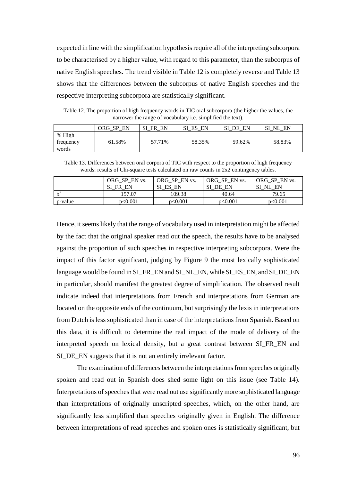expected in line with the simplification hypothesis require all of the interpreting subcorpora to be characterised by a higher value, with regard to this parameter, than the subcorpus of native English speeches. The trend visible in Table 12 is completely reverse and Table 13 shows that the differences between the subcorpus of native English speeches and the respective interpreting subcorpora are statistically significant.

Table 12. The proportion of high frequency words in TIC oral subcorpora (the higher the values, the narrower the range of vocabulary i.e. simplified the text).

|                              | EN<br>ORG SP | EN<br>Sl<br>FR. | ES<br>EN | EN<br>SI<br>DE | SI<br>EN<br>NL |
|------------------------------|--------------|-----------------|----------|----------------|----------------|
| % High<br>frequency<br>words | 61.58%       | 57.71%          | 58.35%   | 59.62%         | 58.83%         |

Table 13. Differences between oral corpora of TIC with respect to the proportion of high frequency words: results of Chi-square tests calculated on raw counts in 2x2 contingency tables.

|            | ORG SP EN vs. | ORG SP EN vs. | ORG SP EN vs. | ORG SP EN vs.    |
|------------|---------------|---------------|---------------|------------------|
|            | SI<br>FR EN   | SI ES<br>EN   | DE EN         | EN<br>$\sqrt{N}$ |
| $\sqrt{2}$ | 57.07         | 109.38        | 40.64         | 79.65            |
| p-value    | p<0.001       | p<0.001       | p<0.001       | p<0.001          |

Hence, it seems likely that the range of vocabulary used in interpretation might be affected by the fact that the original speaker read out the speech, the results have to be analysed against the proportion of such speeches in respective interpreting subcorpora. Were the impact of this factor significant, judging by Figure 9 the most lexically sophisticated language would be found in SI\_FR\_EN and SI\_NL\_EN, while SI\_ES\_EN, and SI\_DE\_EN in particular, should manifest the greatest degree of simplification. The observed result indicate indeed that interpretations from French and interpretations from German are located on the opposite ends of the continuum, but surprisingly the lexis in interpretations from Dutch is less sophisticated than in case of the interpretations from Spanish. Based on this data, it is difficult to determine the real impact of the mode of delivery of the interpreted speech on lexical density, but a great contrast between SI\_FR\_EN and SI\_DE\_EN suggests that it is not an entirely irrelevant factor.

The examination of differences between the interpretations from speeches originally spoken and read out in Spanish does shed some light on this issue (see Table 14). Interpretations of speeches that were read out use significantly more sophisticated language than interpretations of originally unscripted speeches, which, on the other hand, are significantly less simplified than speeches originally given in English. The difference between interpretations of read speeches and spoken ones is statistically significant, but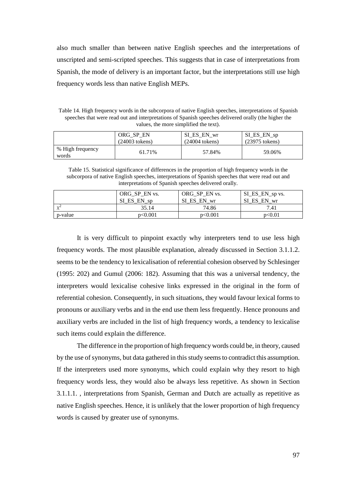also much smaller than between native English speeches and the interpretations of unscripted and semi-scripted speeches. This suggests that in case of interpretations from Spanish, the mode of delivery is an important factor, but the interpretations still use high frequency words less than native English MEPs.

Table 14. High frequency words in the subcorpora of native English speeches, interpretations of Spanish speeches that were read out and interpretations of Spanish speeches delivered orally (the higher the values, the more simplified the text).

|                           | ORG SP EN        | SI ES EN wr      | SI_ES_EN_sp      |
|---------------------------|------------------|------------------|------------------|
|                           | $(24003$ tokens) | $(24004$ tokens) | $(23975$ tokens) |
| % High frequency<br>words | 61.71%           | 57.84%           | 59.06%           |

Table 15. Statistical significance of differences in the proportion of high frequency words in the subcorpora of native English speeches, interpretations of Spanish speeches that were read out and interpretations of Spanish speeches delivered orally.

|            | ORG_SP_EN vs.<br>SI_ES_EN_sp | ORG_SP_EN vs.<br>ES EN wr<br>SI | SI_ES_EN_sp vs.<br>EN wr<br>ES |
|------------|------------------------------|---------------------------------|--------------------------------|
| $\sqrt{2}$ | 35.14                        | 74.86                           | 7.41                           |
| p-value    | p<0.001                      | p<0.001                         | p<0.01                         |

It is very difficult to pinpoint exactly why interpreters tend to use less high frequency words. The most plausible explanation, already discussed in Section 3.1.1.2. seems to be the tendency to lexicalisation of referential cohesion observed by Schlesinger (1995: 202) and Gumul (2006: 182). Assuming that this was a universal tendency, the interpreters would lexicalise cohesive links expressed in the original in the form of referential cohesion. Consequently, in such situations, they would favour lexical forms to pronouns or auxiliary verbs and in the end use them less frequently. Hence pronouns and auxiliary verbs are included in the list of high frequency words, a tendency to lexicalise such items could explain the difference.

 The difference in the proportion of high frequency words could be, in theory, caused by the use of synonyms, but data gathered in this study seems to contradict this assumption. If the interpreters used more synonyms, which could explain why they resort to high frequency words less, they would also be always less repetitive. As shown in Section 3.1.1.1. , interpretations from Spanish, German and Dutch are actually as repetitive as native English speeches. Hence, it is unlikely that the lower proportion of high frequency words is caused by greater use of synonyms.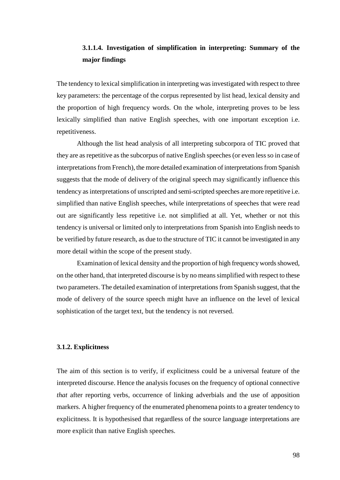# **3.1.1.4. Investigation of simplification in interpreting: Summary of the major findings**

The tendency to lexical simplification in interpreting was investigated with respect to three key parameters: the percentage of the corpus represented by list head, lexical density and the proportion of high frequency words. On the whole, interpreting proves to be less lexically simplified than native English speeches, with one important exception i.e. repetitiveness.

Although the list head analysis of all interpreting subcorpora of TIC proved that they are as repetitive as the subcorpus of native English speeches (or even less so in case of interpretations from French), the more detailed examination of interpretations from Spanish suggests that the mode of delivery of the original speech may significantly influence this tendency as interpretations of unscripted and semi-scripted speeches are more repetitive i.e. simplified than native English speeches, while interpretations of speeches that were read out are significantly less repetitive i.e. not simplified at all. Yet, whether or not this tendency is universal or limited only to interpretations from Spanish into English needs to be verified by future research, as due to the structure of TIC it cannot be investigated in any more detail within the scope of the present study.

Examination of lexical density and the proportion of high frequency words showed, on the other hand, that interpreted discourse is by no means simplified with respect to these two parameters. The detailed examination of interpretations from Spanish suggest, that the mode of delivery of the source speech might have an influence on the level of lexical sophistication of the target text, but the tendency is not reversed.

# **3.1.2. Explicitness**

The aim of this section is to verify, if explicitness could be a universal feature of the interpreted discourse. Hence the analysis focuses on the frequency of optional connective *that* after reporting verbs, occurrence of linking adverbials and the use of apposition markers. A higher frequency of the enumerated phenomena points to a greater tendency to explicitness. It is hypothesised that regardless of the source language interpretations are more explicit than native English speeches.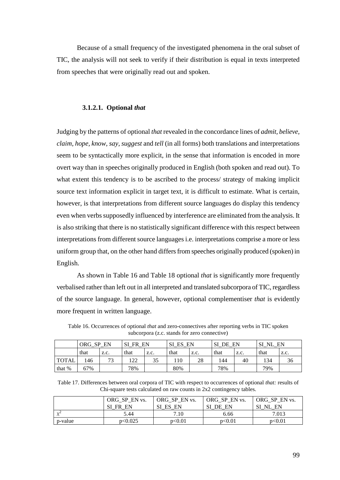Because of a small frequency of the investigated phenomena in the oral subset of TIC, the analysis will not seek to verify if their distribution is equal in texts interpreted from speeches that were originally read out and spoken.

### **3.1.2.1. Optional** *that*

Judging by the patterns of optional *that* revealed in the concordance lines of *admit, believe, claim, hope, know, say, suggest* and *tell* (in all forms) both translations and interpretations seem to be syntactically more explicit, in the sense that information is encoded in more overt way than in speeches originally produced in English (both spoken and read out). To what extent this tendency is to be ascribed to the process/ strategy of making implicit source text information explicit in target text, it is difficult to estimate. What is certain, however, is that interpretations from different source languages do display this tendency even when verbs supposedly influenced by interference are eliminated from the analysis. It is also striking that there is no statistically significant difference with this respect between interpretations from different source languages i.e. interpretations comprise a more or less uniform group that, on the other hand differs from speeches originally produced (spoken) in English.

As shown in Table 16 and Table 18 optional *that* is significantly more frequently verbalised rather than left out in all interpreted and translated subcorpora of TIC, regardless of the source language. In general, however, optional complementiser *that* is evidently more frequent in written language.

|              | ORG SP | EN        | <b>FR</b> | EN   | ES<br>EN<br>SI |      | СT<br>DE | EN   | Sl<br>NL | EN   |
|--------------|--------|-----------|-----------|------|----------------|------|----------|------|----------|------|
|              | that   | Z.C.      | that      | Z.C. | that           | Z.C. | that     | Z.C. | that     | Z.C. |
| <b>TOTAL</b> | 146    | 73<br>ر ر | 122       | 35   | 10             | 28   | 144      | 40   | 134      | 36   |
| that %       | 67%    |           | 78%       |      | 80%            |      | 78%      |      | 79%      |      |

Table 16. Occurrences of optional *that* and zero-connectives after reporting verbs in TIC spoken subcorpora (z.c. stands for zero connective)

| Table 17. Differences between oral corpora of TIC with respect to occurrences of optional <i>that:</i> results of |  |
|-------------------------------------------------------------------------------------------------------------------|--|
| Chi-square tests calculated on raw counts in 2x2 contingency tables.                                              |  |

|            | ORG_SP_EN vs. | ORG SP EN vs. | ORG SP EN vs. | ORG SP EN vs. |
|------------|---------------|---------------|---------------|---------------|
|            | SI<br>FR EN   | SI ES EN      | SI DE EN      | SI NL EN      |
| $\gamma$ / | 5.44          | 7.10          | 6.66          | 7.013         |
| p-value    | p<0.025       | p<0.01        | p<0.01        | p<0.01        |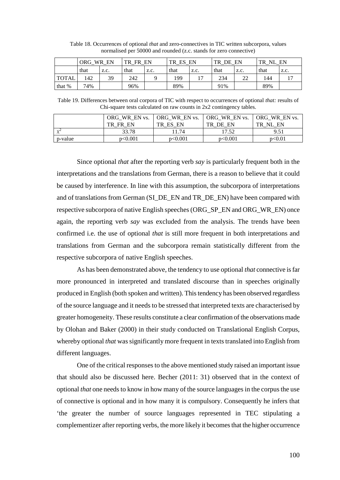|              | ORG. | EN<br>WR. | тp<br>ED | EN   | TR<br>ES | EN   | TP.<br>DE | EN   | ТP<br>NI | EN   |
|--------------|------|-----------|----------|------|----------|------|-----------|------|----------|------|
|              | that | Z.C.      | that     | Z.C. | that     | Z.C. | that      | Z.C. | that     | Z.C. |
| <b>TOTAL</b> | !42  | 39        | 242      |      | 199      | - י  | 234       | 22   | 144      |      |
| that %       | 74%  |           | 96%      |      | 89%      |      | 91%       |      | 89%      |      |

Table 18. Occurrences of optional *that* and zero-connectives in TIC written subcorpora, values normalised per 50000 and rounded (z.c. stands for zero connective)

Table 19. Differences between oral corpora of TIC with respect to occurrences of optional *that:* results of Chi-square tests calculated on raw counts in 2x2 contingency tables.

|            | ORG WR EN vs. | ORG WR EN vs. | <b>ORG WR EN vs. ORG WR EN vs.</b> |                |
|------------|---------------|---------------|------------------------------------|----------------|
|            | TR<br>FR EN   | TR ES EN      | TR DE EN                           | NI<br>EN<br>TR |
| $\gamma$ / | 33.78         | 11.74         | 17.52                              | 9.51           |
| p-value    | p<0.001       | p<0.001       | p<0.001                            | p<0.01         |

Since optional *that* after the reporting verb *say* is particularly frequent both in the interpretations and the translations from German, there is a reason to believe that it could be caused by interference. In line with this assumption, the subcorpora of interpretations and of translations from German (SI\_DE\_EN and TR\_DE\_EN) have been compared with respective subcorpora of native English speeches (ORG\_SP\_EN and ORG\_WR\_EN) once again, the reporting verb *say* was excluded from the analysis. The trends have been confirmed i.e. the use of optional *that* is still more frequent in both interpretations and translations from German and the subcorpora remain statistically different from the respective subcorpora of native English speeches.

As has been demonstrated above, the tendency to use optional *that* connective is far more pronounced in interpreted and translated discourse than in speeches originally produced in English (both spoken and written). This tendency has been observed regardless of the source language and it needs to be stressed that interpreted texts are characterised by greater homogeneity. These results constitute a clear confirmation of the observations made by Olohan and Baker (2000) in their study conducted on Translational English Corpus, whereby optional *that* was significantly more frequent in texts translated into English from different languages.

One of the critical responses to the above mentioned study raised an important issue that should also be discussed here. Becher (2011: 31) observed that in the context of optional *that* one needs to know in how many of the source languages in the corpus the use of connective is optional and in how many it is compulsory. Consequently he infers that 'the greater the number of source languages represented in TEC stipulating a complementizer after reporting verbs, the more likely it becomes that the higher occurrence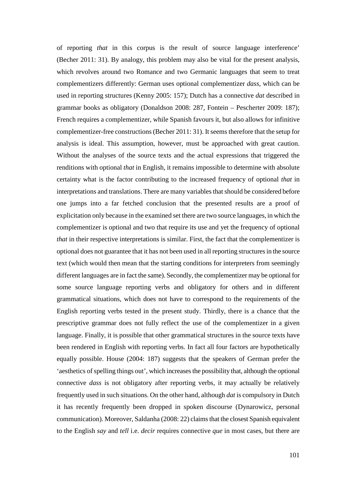of reporting *that* in this corpus is the result of source language interference' (Becher 2011: 31). By analogy, this problem may also be vital for the present analysis, which revolves around two Romance and two Germanic languages that seem to treat complementizers differently: German uses optional complementizer *dass*, which can be used in reporting structures (Kenny 2005: 157); Dutch has a connective *dat* described in grammar books as obligatory (Donaldson 2008: 287, Fontein – Pescherter 2009: 187); French requires a complementizer, while Spanish favours it, but also allows for infinitive complementizer-free constructions (Becher 2011: 31). It seems therefore that the setup for analysis is ideal. This assumption, however, must be approached with great caution. Without the analyses of the source texts and the actual expressions that triggered the renditions with optional *that* in English, it remains impossible to determine with absolute certainty what is the factor contributing to the increased frequency of optional *that* in interpretations and translations. There are many variables that should be considered before one jumps into a far fetched conclusion that the presented results are a proof of explicitation only because in the examined set there are two source languages, in which the complementizer is optional and two that require its use and yet the frequency of optional *that* in their respective interpretations is similar. First, the fact that the complementizer is optional does not guarantee that it has not been used in all reporting structures in the source text (which would then mean that the starting conditions for interpreters from seemingly different languages are in fact the same). Secondly, the complementizer may be optional for some source language reporting verbs and obligatory for others and in different grammatical situations, which does not have to correspond to the requirements of the English reporting verbs tested in the present study. Thirdly, there is a chance that the prescriptive grammar does not fully reflect the use of the complementizer in a given language. Finally, it is possible that other grammatical structures in the source texts have been rendered in English with reporting verbs. In fact all four factors are hypothetically equally possible. House (2004: 187) suggests that the speakers of German prefer the 'aesthetics of spelling things out', which increases the possibility that, although the optional connective *dass* is not obligatory after reporting verbs, it may actually be relatively frequently used in such situations. On the other hand, although *dat* is compulsory in Dutch it has recently frequently been dropped in spoken discourse (Dynarowicz, personal communication). Moreover, Saldanha (2008: 22) claims that the closest Spanish equivalent to the English *say* and *tell* i.e. *decir* requires connective *que* in most cases, but there are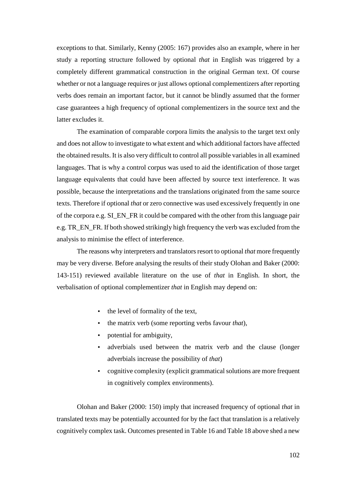exceptions to that. Similarly, Kenny (2005: 167) provides also an example, where in her study a reporting structure followed by optional *that* in English was triggered by a completely different grammatical construction in the original German text. Of course whether or not a language requires or just allows optional complementizers after reporting verbs does remain an important factor, but it cannot be blindly assumed that the former case guarantees a high frequency of optional complementizers in the source text and the latter excludes it.

The examination of comparable corpora limits the analysis to the target text only and does not allow to investigate to what extent and which additional factors have affected the obtained results. It is also very difficult to control all possible variables in all examined languages. That is why a control corpus was used to aid the identification of those target language equivalents that could have been affected by source text interference. It was possible, because the interpretations and the translations originated from the same source texts. Therefore if optional *that* or zero connective was used excessively frequently in one of the corpora e.g. SI\_EN\_FR it could be compared with the other from this language pair e.g. TR\_EN\_FR. If both showed strikingly high frequency the verb was excluded from the analysis to minimise the effect of interference.

The reasons why interpreters and translators resort to optional *that* more frequently may be very diverse. Before analysing the results of their study Olohan and Baker (2000: 143-151) reviewed available literature on the use of *that* in English. In short, the verbalisation of optional complementizer *that* in English may depend on:

- the level of formality of the text,
- the matrix verb (some reporting verbs favour *that*),
- potential for ambiguity,
- adverbials used between the matrix verb and the clause (longer adverbials increase the possibility of *that*)
- cognitive complexity (explicit grammatical solutions are more frequent in cognitively complex environments).

Olohan and Baker (2000: 150) imply that increased frequency of optional *that* in translated texts may be potentially accounted for by the fact that translation is a relatively cognitively complex task. Outcomes presented in Table 16 and Table 18 above shed a new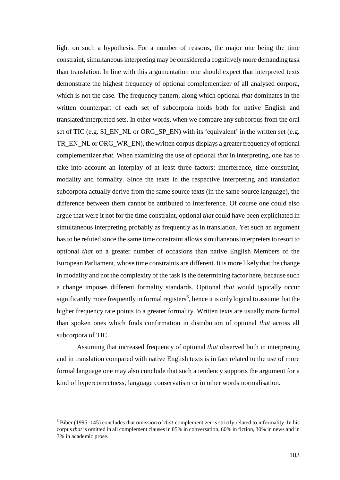light on such a hypothesis. For a number of reasons, the major one being the time constraint, simultaneous interpreting may be considered a cognitively more demanding task than translation. In line with this argumentation one should expect that interpreted texts demonstrate the highest frequency of optional complementizer of all analysed corpora, which is not the case. The frequency pattern, along which optional *that* dominates in the written counterpart of each set of subcorpora holds both for native English and translated/interpreted sets. In other words, when we compare any subcorpus from the oral set of TIC (e.g. SI\_EN\_NL or ORG\_SP\_EN) with its 'equivalent' in the written set (e.g. TR\_EN\_NL or ORG\_WR\_EN), the written corpus displays a greater frequency of optional complementizer *that.* When examining the use of optional *that* in interpreting, one has to take into account an interplay of at least three factors: interference, time constraint, modality and formality. Since the texts in the respective interpreting and translation subcorpora actually derive from the same source texts (in the same source language), the difference between them cannot be attributed to interference. Of course one could also argue that were it not for the time constraint, optional *that* could have been explicitated in simultaneous interpreting probably as frequently as in translation. Yet such an argument has to be refuted since the same time constraint allows simultaneous interpreters to resort to optional *that* on a greater number of occasions than native English Members of the European Parliament, whose time constraints are different. It is more likely that the change in modality and not the complexity of the task is the determining factor here, because such a change imposes different formality standards. Optional *that* would typically occur significantly more frequently in formal registers<sup>6</sup>, hence it is only logical to assume that the higher frequency rate points to a greater formality. Written texts are usually more formal than spoken ones which finds confirmation in distribution of optional *that* across all subcorpora of TIC.

Assuming that increased frequency of optional *that* observed both in interpreting and in translation compared with native English texts is in fact related to the use of more formal language one may also conclude that such a tendency supports the argument for a kind of hypercorrectness, language conservatism or in other words normalisation.

 $\overline{a}$ 

<sup>6</sup> Biber (1995: 145) concludes that omission of *that*-complementizer is strictly related to informality. In his corpus *that* is omitted in all complement clauses in 85% in conversation, 60% in fiction, 30% in news and in 3% in academic prose.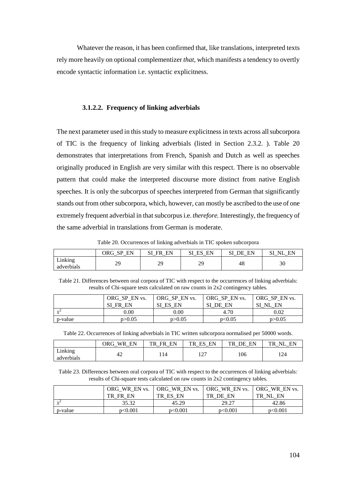Whatever the reason, it has been confirmed that, like translations, interpreted texts rely more heavily on optional complementizer *that*, which manifests a tendency to overtly encode syntactic information i.e. syntactic explicitness.

### **3.1.2.2. Frequency of linking adverbials**

The next parameter used in this study to measure explicitness in texts across all subcorpora of TIC is the frequency of linking adverbials (listed in Section 2.3.2. ). Table 20 demonstrates that interpretations from French, Spanish and Dutch as well as speeches originally produced in English are very similar with this respect. There is no observable pattern that could make the interpreted discourse more distinct from native English speeches. It is only the subcorpus of speeches interpreted from German that significantly stands out from other subcorpora, which, however, can mostly be ascribed to the use of one extremely frequent adverbial in that subcorpus i.e. *therefore.* Interestingly, the frequency of the same adverbial in translations from German is moderate.

Table 20. Occurrences of linking adverbials in TIC spoken subcorpora

|                            | cр<br>EN<br>ORG | FΝ<br>FR | FN<br>н.<br>ມ⊥ | ЕN<br>ŊЕ<br>_<br>_ | N  |
|----------------------------|-----------------|----------|----------------|--------------------|----|
| .<br>∟ınkıng<br>adverbials | dΩ<br>ر،        | 29       | 2C<br>رے       | 48                 | 30 |

Table 21. Differences between oral corpora of TIC with respect to the occurrences of linking adverbials: results of Chi-square tests calculated on raw counts in 2x2 contingency tables.

|           | ORG SP EN vs.         | ORG SP EN vs. | ORG_SP_EN vs. | ORG SP EN vs. |
|-----------|-----------------------|---------------|---------------|---------------|
|           | <b>FR</b><br>SI<br>EN | SI ES<br>EN   | SI<br>DE EN   | EN<br>SI NL   |
| $\lambda$ | $0.00\,$              | $0.00\,$      | 4.70          | 0.02          |
| p-value   | p > 0.05              | p > 0.05      | p<0.05        | p > 0.05      |

Table 22. Occurrences of linking adverbials in TIC written subcorpora normalised per 50000 words.

|                                   | <b>WR</b><br>EN<br>ORG | EN<br>TR<br>ER | EN<br>TR<br>FК<br>دند<br>_ | EN<br>TR<br>DE<br>$-$ | TR<br>EN<br>NI |
|-----------------------------------|------------------------|----------------|----------------------------|-----------------------|----------------|
| <b>T</b><br>∟ınkıng<br>adverbials | 44                     | 114            | ר הו<br>$\mathbf{1}$       | 106                   | 124            |

Table 23. Differences between oral corpora of TIC with respect to the occurrences of linking adverbials*:*  results of Chi-square tests calculated on raw counts in 2x2 contingency tables.

|           | ORG WR EN vs.    | ORG WR EN vs. | <b>ORG WR EN vs.</b> | ORG WR EN vs.               |
|-----------|------------------|---------------|----------------------|-----------------------------|
|           | TR.<br>FR.<br>EN | ES EN<br>TR.  | TR<br>DE<br>EN       | EN<br>$\mathbf{N}$ .<br>TR. |
| $\lambda$ | 35.32            | 45.29         | 29.27                | 42.86                       |
| p-value   | p<0.001          | p<0.001       | p<0.001              | p<0.001                     |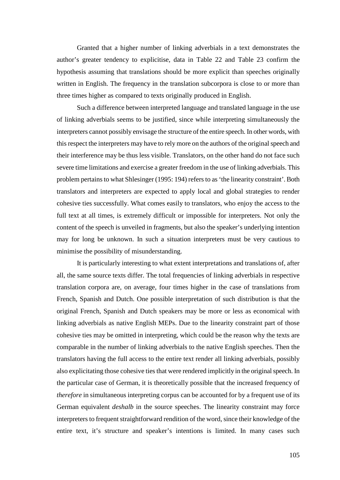Granted that a higher number of linking adverbials in a text demonstrates the author's greater tendency to explicitise, data in Table 22 and Table 23 confirm the hypothesis assuming that translations should be more explicit than speeches originally written in English. The frequency in the translation subcorpora is close to or more than three times higher as compared to texts originally produced in English.

Such a difference between interpreted language and translated language in the use of linking adverbials seems to be justified, since while interpreting simultaneously the interpreters cannot possibly envisage the structure of the entire speech. In other words, with this respect the interpreters may have to rely more on the authors of the original speech and their interference may be thus less visible. Translators, on the other hand do not face such severe time limitations and exercise a greater freedom in the use of linking adverbials. This problem pertains to what Shlesinger (1995: 194) refers to as 'the linearity constraint'. Both translators and interpreters are expected to apply local and global strategies to render cohesive ties successfully. What comes easily to translators, who enjoy the access to the full text at all times, is extremely difficult or impossible for interpreters. Not only the content of the speech is unveiled in fragments, but also the speaker's underlying intention may for long be unknown. In such a situation interpreters must be very cautious to minimise the possibility of misunderstanding.

It is particularly interesting to what extent interpretations and translations of, after all, the same source texts differ. The total frequencies of linking adverbials in respective translation corpora are, on average, four times higher in the case of translations from French, Spanish and Dutch. One possible interpretation of such distribution is that the original French, Spanish and Dutch speakers may be more or less as economical with linking adverbials as native English MEPs. Due to the linearity constraint part of those cohesive ties may be omitted in interpreting, which could be the reason why the texts are comparable in the number of linking adverbials to the native English speeches. Then the translators having the full access to the entire text render all linking adverbials, possibly also explicitating those cohesive ties that were rendered implicitly in the original speech. In the particular case of German, it is theoretically possible that the increased frequency of *therefore* in simultaneous interpreting corpus can be accounted for by a frequent use of its German equivalent *deshalb* in the source speeches. The linearity constraint may force interpreters to frequent straightforward rendition of the word, since their knowledge of the entire text, it's structure and speaker's intentions is limited. In many cases such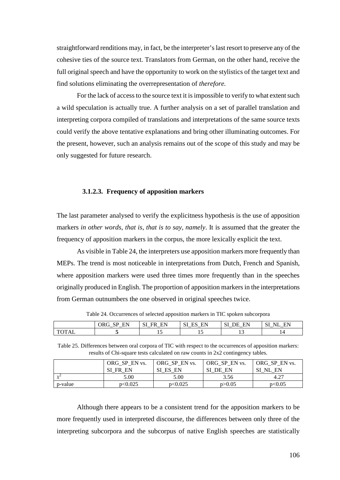straightforward renditions may, in fact, be the interpreter's last resort to preserve any of the cohesive ties of the source text. Translators from German, on the other hand, receive the full original speech and have the opportunity to work on the stylistics of the target text and find solutions eliminating the overrepresentation of *therefore.* 

For the lack of access to the source text it is impossible to verify to what extent such a wild speculation is actually true. A further analysis on a set of parallel translation and interpreting corpora compiled of translations and interpretations of the same source texts could verify the above tentative explanations and bring other illuminating outcomes. For the present, however, such an analysis remains out of the scope of this study and may be only suggested for future research.

# **3.1.2.3. Frequency of apposition markers**

The last parameter analysed to verify the explicitness hypothesis is the use of apposition markers *in other words, that is, that is to say, namely*. It is assumed that the greater the frequency of apposition markers in the corpus, the more lexically explicit the text.

As visible in Table 24, the interpreters use apposition markers more frequently than MEPs. The trend is most noticeable in interpretations from Dutch, French and Spanish, where apposition markers were used three times more frequently than in the speeches originally produced in English. The proportion of apposition markers in the interpretations from German outnumbers the one observed in original speeches twice.

|     | EN<br><b>CD</b><br>ORG<br>້<br>. .<br>$-$ | ЕN<br>ER | EN<br>L.J<br>ມ⊥<br>__<br>$-$ | <b>EN</b><br>λE<br>⊷<br>$-$<br>$\overline{\phantom{0}}$ | $\sim$<br>E١<br>NΊ<br>ມ<br>_<br>$\overline{\phantom{0}}$ |
|-----|-------------------------------------------|----------|------------------------------|---------------------------------------------------------|----------------------------------------------------------|
| TAL |                                           | ⊥ັ       | $\sim$                       | . .                                                     | <b>1</b>                                                 |
|     |                                           |          |                              |                                                         |                                                          |

Table 24. Occurrences of selected apposition markers in TIC spoken subcorpora

Table 25. Differences between oral corpora of TIC with respect to the occurrences of apposition markers: results of Chi-square tests calculated on raw counts in 2x2 contingency tables.

|          | ORG SP EN vs. | ORG SP EN vs. | ORG SP EN vs. | ORG SP EN vs. |
|----------|---------------|---------------|---------------|---------------|
|          | SI<br>FR EN   | SI ES EN      | DE EN         | EN<br>'NL     |
| $\gamma$ | 5.00          | 5.00          | 3.56          | 4.27          |
| p-value  | p<0.025       | p<0.025       | p > 0.05      | p<0.05        |

Although there appears to be a consistent trend for the apposition markers to be more frequently used in interpreted discourse, the differences between only three of the interpreting subcorpora and the subcorpus of native English speeches are statistically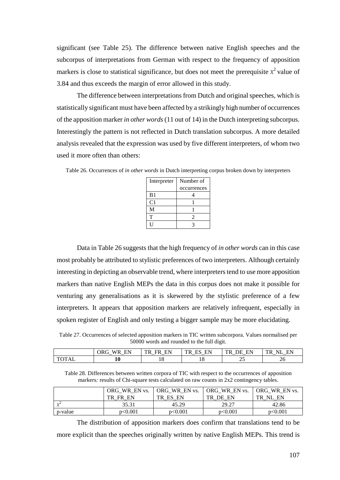significant (see Table 25). The difference between native English speeches and the subcorpus of interpretations from German with respect to the frequency of apposition markers is close to statistical significance, but does not meet the prerequisite  $x^2$  value of 3.84 and thus exceeds the margin of error allowed in this study.

The difference between interpretations from Dutch and original speeches, which is statistically significant must have been affected by a strikingly high number of occurrences of the apposition marker *in other words* (11 out of 14) in the Dutch interpreting subcorpus. Interestingly the pattern is not reflected in Dutch translation subcorpus. A more detailed analysis revealed that the expression was used by five different interpreters, of whom two used it more often than others:

| Interpreter    | Number of   |  |  |
|----------------|-------------|--|--|
|                | occurrences |  |  |
| B <sub>1</sub> |             |  |  |
| C <sub>1</sub> |             |  |  |
| M              |             |  |  |
| т              | 2           |  |  |
|                |             |  |  |

Table 26. Occurrences of *in other words* in Dutch interpreting corpus broken down by interpreters

Data in Table 26 suggests that the high frequency of *in other words* can in this case most probably be attributed to stylistic preferences of two interpreters. Although certainly interesting in depicting an observable trend, where interpreters tend to use more apposition markers than native English MEPs the data in this corpus does not make it possible for venturing any generalisations as it is skewered by the stylistic preference of a few interpreters. It appears that apposition markers are relatively infrequent, especially in spoken register of English and only testing a bigger sample may be more elucidating.

Table 27. Occurrences of selected apposition markers in TIC written subcorpora. Values normalised per 50000 words and rounded to the full digit.

|                | EN<br>- ORC<br>W R<br>$-$ | EN<br>TD.<br>FR<br>$\overline{\phantom{0}}$<br>$-$ | $\blacksquare$<br>mp<br>. .<br>╌<br>$-$ | FN<br>mr<br>. <del>. .</del><br>۱н<br>ĸ<br>___<br>$\overline{\phantom{0}}$ | ΝI<br>$T_{\rm R}$<br>ПN.<br>$-$<br>$\overline{\phantom{0}}$ |
|----------------|---------------------------|----------------------------------------------------|-----------------------------------------|----------------------------------------------------------------------------|-------------------------------------------------------------|
| $\Lambda$<br>. | πu                        | 1 U                                                | 10                                      | ت                                                                          | ZU                                                          |

Table 28. Differences between written corpora of TIC with respect to the occurrences of apposition markers*:* results of Chi-square tests calculated on raw counts in 2x2 contingency tables.

|            | ORG WR EN vs. | ORG WR EN vs. | <b>ORG WR EN vs.</b> | <b>ORG WR EN vs.</b> |
|------------|---------------|---------------|----------------------|----------------------|
|            | TR.<br>FR EN  | TR ES EN      | TR DE EN             | TR.<br>NL EN         |
| $\sqrt{2}$ | 35.31         | 45.29         | 29.27                | 42.86                |
| p-value    | p<0.001       | p<0.001       | p<0.001              | p<0.001              |

The distribution of apposition markers does confirm that translations tend to be more explicit than the speeches originally written by native English MEPs. This trend is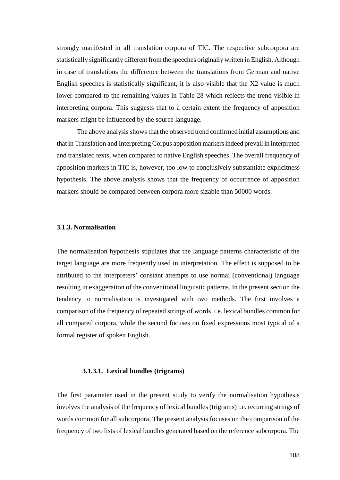strongly manifested in all translation corpora of TIC. The respective subcorpora are statistically significantly different from the speeches originally written in English. Although in case of translations the difference between the translations from German and native English speeches is statistically significant, it is also visible that the X2 value is much lower compared to the remaining values in Table 28 which reflects the trend visible in interpreting corpora. This suggests that to a certain extent the frequency of apposition markers might be influenced by the source language.

The above analysis shows that the observed trend confirmed initial assumptions and that in Translation and Interpreting Corpus apposition markers indeed prevail in interpreted and translated texts, when compared to native English speeches. The overall frequency of apposition markers in TIC is, however, too low to conclusively substantiate explicitness hypothesis. The above analysis shows that the frequency of occurrence of apposition markers should be compared between corpora more sizable than 50000 words.

# **3.1.3. Normalisation**

The normalisation hypothesis stipulates that the language patterns characteristic of the target language are more frequently used in interpretation. The effect is supposed to be attributed to the interpreters' constant attempts to use normal (conventional) language resulting in exaggeration of the conventional linguistic patterns. In the present section the tendency to normalisation is investigated with two methods. The first involves a comparison of the frequency of repeated strings of words, i.e. lexical bundles common for all compared corpora, while the second focuses on fixed expressions most typical of a formal register of spoken English.

# **3.1.3.1. Lexical bundles (trigrams)**

The first parameter used in the present study to verify the normalisation hypothesis involves the analysis of the frequency of lexical bundles (trigrams) i.e. recurring strings of words common for all subcorpora. The present analysis focuses on the comparison of the frequency of two lists of lexical bundles generated based on the reference subcorpora. The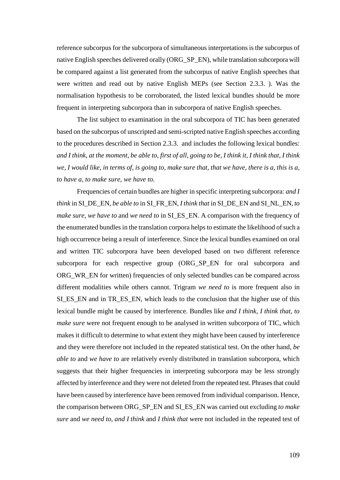reference subcorpus for the subcorpora of simultaneous interpretations is the subcorpus of native English speeches delivered orally (ORG\_SP\_EN), while translation subcorpora will be compared against a list generated from the subcorpus of native English speeches that were written and read out by native English MEPs (see Section 2.3.3. ). Was the normalisation hypothesis to be corroborated, the listed lexical bundles should be more frequent in interpreting subcorpora than in subcorpora of native English speeches.

The list subject to examination in the oral subcorpora of TIC has been generated based on the subcorpus of unscripted and semi-scripted native English speeches according to the procedures described in Section 2.3.3. and includes the following lexical bundles: *and I think, at the moment, be able to, first of all, going to be, I think it, I think that, I think we, I would like, in terms of, is going to, make sure that, that we have, there is a, this is a, to have a, to make sure, we have to.* 

Frequencies of certain bundles are higher in specific interpreting subcorpora: *and I think* in SI\_DE\_EN*, be able to* in SI\_FR\_EN, *I think that* in SI\_DE\_EN and SI\_NL\_EN*, to make sure, we have to* and *we need to* in SI\_ES\_EN. A comparison with the frequency of the enumerated bundles in the translation corpora helps to estimate the likelihood of such a high occurrence being a result of interference. Since the lexical bundles examined on oral and written TIC subcorpora have been developed based on two different reference subcorpora for each respective group (ORG\_SP\_EN for oral subcorpora and ORG\_WR\_EN for written) frequencies of only selected bundles can be compared across different modalities while others cannot. Trigram *we need to* is more frequent also in SI\_ES\_EN and in TR\_ES\_EN, which leads to the conclusion that the higher use of this lexical bundle might be caused by interference. Bundles like *and I think, I think that, to make sure* were not frequent enough to be analysed in written subcorpora of TIC, which makes it difficult to determine to what extent they might have been caused by interference and they were therefore not included in the repeated statistical test. On the other hand, *be able to* and *we have to* are relatively evenly distributed in translation subcorpora, which suggests that their higher frequencies in interpreting subcorpora may be less strongly affected by interference and they were not deleted from the repeated test. Phrases that could have been caused by interference have been removed from individual comparison. Hence, the comparison between ORG\_SP\_EN and SI\_ES\_EN was carried out excluding *to make sure* and *we need to, and I think* and *I think that* were not included in the repeated test of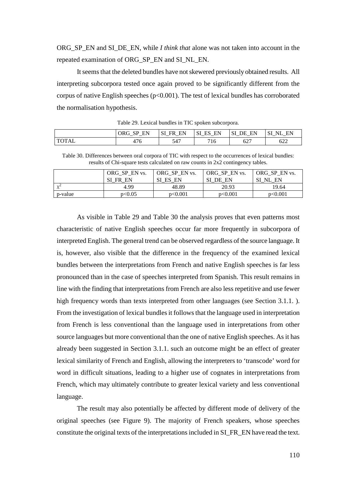ORG\_SP\_EN and SI\_DE\_EN, while *I think that* alone was not taken into account in the repeated examination of ORG\_SP\_EN and SI\_NL\_EN.

It seems that the deleted bundles have not skewered previously obtained results. All interpreting subcorpora tested once again proved to be significantly different from the corpus of native English speeches ( $p<0.001$ ). The test of lexical bundles has corroborated the normalisation hypothesis.

|              | <b>ORG</b><br>FN<br><b>CD</b><br>14 L<br>$-$ | EN<br>-SI<br><b>FR</b><br>$-$<br>$-$ | EN<br>ייפו<br>൧ഄ<br>$\overline{\phantom{0}}$<br>$\overline{\phantom{a}}$ | o٦<br>EN<br>DЕ<br>ມ<br>$-$ | NΊ<br>⊷<br>$\overline{\phantom{0}}$ |
|--------------|----------------------------------------------|--------------------------------------|--------------------------------------------------------------------------|----------------------------|-------------------------------------|
| <b>TOTAL</b> | 4/0                                          | 547                                  | 10                                                                       | 627                        | $\sim$<br>622                       |

Table 29. Lexical bundles in TIC spoken subcorpora.

Table 30. Differences between oral corpora of TIC with respect to the occurrences of lexical bundles: results of Chi-square tests calculated on raw counts in 2x2 contingency tables.

|            | ORG SP EN vs.<br>SІ<br>FR EN | ORG SP EN vs.<br>SI ES EN | ORG SP EN vs.<br>SI<br>DE EN | ORG SP EN vs.<br>EN<br>NL |
|------------|------------------------------|---------------------------|------------------------------|---------------------------|
| $\sqrt{2}$ | 4.99                         | 48.89                     | 20.93                        | 19.64                     |
| p-value    | p<0.05                       | p<0.001                   | p<0.001                      | p<0.001                   |

As visible in Table 29 and Table 30 the analysis proves that even patterns most characteristic of native English speeches occur far more frequently in subcorpora of interpreted English. The general trend can be observed regardless of the source language. It is, however, also visible that the difference in the frequency of the examined lexical bundles between the interpretations from French and native English speeches is far less pronounced than in the case of speeches interpreted from Spanish. This result remains in line with the finding that interpretations from French are also less repetitive and use fewer high frequency words than texts interpreted from other languages (see Section 3.1.1.). From the investigation of lexical bundles it follows that the language used in interpretation from French is less conventional than the language used in interpretations from other source languages but more conventional than the one of native English speeches. As it has already been suggested in Section 3.1.1. such an outcome might be an effect of greater lexical similarity of French and English, allowing the interpreters to 'transcode' word for word in difficult situations, leading to a higher use of cognates in interpretations from French, which may ultimately contribute to greater lexical variety and less conventional language.

The result may also potentially be affected by different mode of delivery of the original speeches (see Figure 9). The majority of French speakers, whose speeches constitute the original texts of the interpretations included in SI\_FR\_EN have read the text.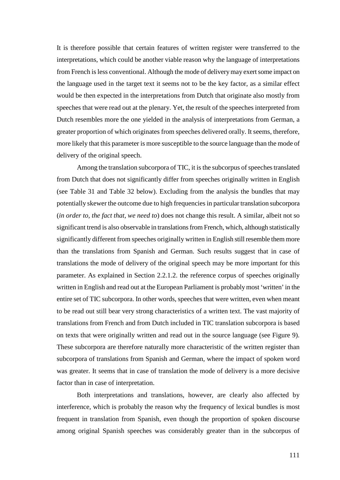It is therefore possible that certain features of written register were transferred to the interpretations, which could be another viable reason why the language of interpretations from French is less conventional. Although the mode of delivery may exert some impact on the language used in the target text it seems not to be the key factor, as a similar effect would be then expected in the interpretations from Dutch that originate also mostly from speeches that were read out at the plenary. Yet, the result of the speeches interpreted from Dutch resembles more the one yielded in the analysis of interpretations from German, a greater proportion of which originates from speeches delivered orally. It seems, therefore, more likely that this parameter is more susceptible to the source language than the mode of delivery of the original speech.

Among the translation subcorpora of TIC, it is the subcorpus of speeches translated from Dutch that does not significantly differ from speeches originally written in English (see Table 31 and Table 32 below). Excluding from the analysis the bundles that may potentially skewer the outcome due to high frequencies in particular translation subcorpora (*in order to, the fact that, we need to*) does not change this result. A similar, albeit not so significant trend is also observable in translations from French, which, although statistically significantly different from speeches originally written in English still resemble them more than the translations from Spanish and German. Such results suggest that in case of translations the mode of delivery of the original speech may be more important for this parameter. As explained in Section 2.2.1.2. the reference corpus of speeches originally written in English and read out at the European Parliament is probably most 'written' in the entire set of TIC subcorpora. In other words, speeches that were written, even when meant to be read out still bear very strong characteristics of a written text. The vast majority of translations from French and from Dutch included in TIC translation subcorpora is based on texts that were originally written and read out in the source language (see Figure 9). These subcorpora are therefore naturally more characteristic of the written register than subcorpora of translations from Spanish and German, where the impact of spoken word was greater. It seems that in case of translation the mode of delivery is a more decisive factor than in case of interpretation.

Both interpretations and translations, however, are clearly also affected by interference, which is probably the reason why the frequency of lexical bundles is most frequent in translation from Spanish, even though the proportion of spoken discourse among original Spanish speeches was considerably greater than in the subcorpus of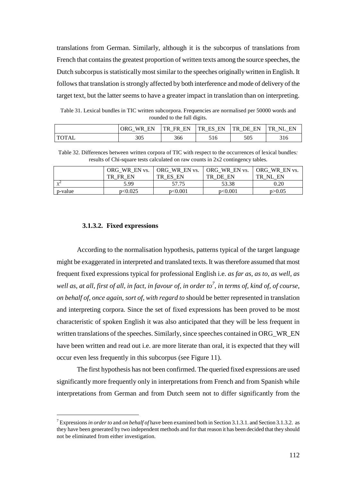translations from German. Similarly, although it is the subcorpus of translations from French that contains the greatest proportion of written texts among the source speeches, the Dutch subcorpus is statistically most similar to the speeches originally written in English. It follows that translation is strongly affected by both interference and mode of delivery of the target text, but the latter seems to have a greater impact in translation than on interpreting.

Table 31. Lexical bundles in TIC written subcorpora. Frequencies are normalised per 50000 words and rounded to the full digits.

|              | WP.<br>ORG-<br>FN | EN<br>TR.<br>FR<br>$\overline{\phantom{0}}$ | EN<br>TR.<br>ES<br>$-$<br>$-$ | EN<br>TR.<br>DЕ<br>$\overline{\phantom{0}}$ | EN<br>NI<br>`R'<br>_ |
|--------------|-------------------|---------------------------------------------|-------------------------------|---------------------------------------------|----------------------|
| <b>TOTAL</b> | 305               | 366                                         | 516                           | 505                                         | 316                  |

Table 32. Differences between written corpora of TIC with respect to the occurrences of lexical bundles*:*  results of Chi-square tests calculated on raw counts in 2x2 contingency tables.

|         | ORG WR EN vs.<br>TR.<br>FN<br>FR. | ORG WR EN vs.<br>ES<br>EN<br>TR | ORG WR EN vs.<br>TR DE EN | ORG WR EN vs.<br>NI<br>EN<br>TR. |
|---------|-----------------------------------|---------------------------------|---------------------------|----------------------------------|
|         | 5.99                              | 57.75                           | 53.38                     | 0.20                             |
| p-value | p<0.025                           | p<0.001                         | p<0.001                   | p > 0.05                         |

#### **3.1.3.2. Fixed expressions**

 $\overline{a}$ 

According to the normalisation hypothesis, patterns typical of the target language might be exaggerated in interpreted and translated texts. It was therefore assumed that most frequent fixed expressions typical for professional English i.e. *as far as, as to, as well, as*  well as, at all, first of all, in fact, in favour of, in order to<sup>7</sup>, in terms of, kind of, of course, *on behalf of, once again, sort of, with regard to* should be better represented in translation and interpreting corpora. Since the set of fixed expressions has been proved to be most characteristic of spoken English it was also anticipated that they will be less frequent in written translations of the speeches. Similarly, since speeches contained in ORG\_WR\_EN have been written and read out i.e. are more literate than oral, it is expected that they will occur even less frequently in this subcorpus (see Figure 11).

The first hypothesis has not been confirmed. The queried fixed expressions are used significantly more frequently only in interpretations from French and from Spanish while interpretations from German and from Dutch seem not to differ significantly from the

<sup>7</sup> Expressions *in order to* and *on behalf of* have been examined both in Section 3.1.3.1. and Section 3.1.3.2. as they have been generated by two independent methods and for that reason it has been decided that they should not be eliminated from either investigation.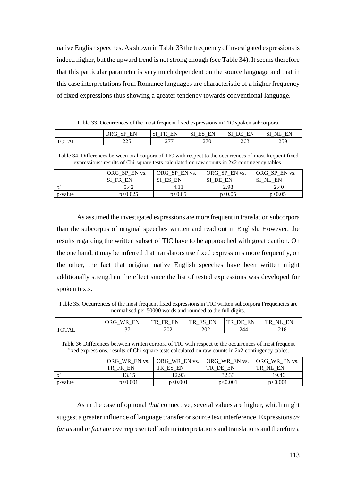native English speeches. As shown in Table 33 the frequency of investigated expressions is indeed higher, but the upward trend is not strong enough (see Table 34). It seems therefore that this particular parameter is very much dependent on the source language and that in this case interpretations from Romance languages are characteristic of a higher frequency of fixed expressions thus showing a greater tendency towards conventional language.

Table 33. Occurrences of the most frequent fixed expressions in TIC spoken subcorpora.

|                       | сD<br>FN<br>ORG  | $\sim$ T<br>FN<br>нк<br>$\overline{\phantom{0}}$ | <b></b><br><b>HIV</b><br>IJΙ<br>12 L V<br>⊥ພ<br>$-$ | FN<br>λF<br>ມ<br>$-$<br>$\overline{\phantom{a}}$ | $\sim$<br><b>DI</b><br>ыr<br>WH.<br><u>یں</u><br>$-$ |
|-----------------------|------------------|--------------------------------------------------|-----------------------------------------------------|--------------------------------------------------|------------------------------------------------------|
| <b>TOT</b> A<br>'I AL | າາເ<br>ل ريم ريم | ההמ<br>$\sim$ $\prime$ $\prime$                  | 270                                                 | 263                                              | 250<br>ر ب سه                                        |

Table 34. Differences between oral corpora of TIC with respect to the occurrences of most frequent fixed expressions*:* results of Chi-square tests calculated on raw counts in 2x2 contingency tables.

|            | ORG SP EN vs.<br>SI FR EN | ORG SP EN vs.<br>SI ES EN | ORG SP EN vs.<br>SI<br>DE EN | ORG SP EN vs.<br>SI NL EN |
|------------|---------------------------|---------------------------|------------------------------|---------------------------|
| $\sqrt{2}$ | 5.42                      | 4.11                      | 2.98                         | 2.40                      |
| p-value    | p<0.025                   | p<0.05                    | p > 0.05                     | p > 0.05                  |

As assumed the investigated expressions are more frequent in translation subcorpora than the subcorpus of original speeches written and read out in English. However, the results regarding the written subset of TIC have to be approached with great caution. On the one hand, it may be inferred that translators use fixed expressions more frequently, on the other, the fact that original native English speeches have been written might additionally strengthen the effect since the list of tested expressions was developed for spoken texts.

Table 35. Occurrences of the most frequent fixed expressions in TIC written subcorpora Frequencies are normalised per 50000 words and rounded to the full digits.

|                       | FN<br>ORG<br>W<br>$\overline{\phantom{0}}$ | FК<br>TR<br>FR<br>$-$ | EN<br>TR<br>-<br>້<br>$\overline{\phantom{0}}$<br>_ | EN<br>חר<br>$\overline{\phantom{0}}$<br>$-$ | TR.<br>NH<br>$\overline{\phantom{0}}$ |
|-----------------------|--------------------------------------------|-----------------------|-----------------------------------------------------|---------------------------------------------|---------------------------------------|
| T <sub>0</sub><br>TAL | $\sim$<br>1 J I                            | 202                   | 202                                                 | 244                                         | ി 1 റ<br>210                          |

Table 36 Differences between written corpora of TIC with respect to the occurrences of most frequent fixed expressions*:* results of Chi-square tests calculated on raw counts in 2x2 contingency tables.

|         | ORG WR EN vs.<br>TR<br>FR EN | ORG WR EN vs.<br>TR ES EN | ORG WR EN vs.<br>TR DE EN | ORG WR EN vs.<br>NL EN<br>TR |
|---------|------------------------------|---------------------------|---------------------------|------------------------------|
|         | 13.15                        | 12.93                     | 32.33                     | 19.46                        |
| p-value | p<0.001                      | p<0.001                   | p<0.001                   | p<0.001                      |

As in the case of optional *that* connective, several values are higher, which might suggest a greater influence of language transfer or source text interference. Expressions *as far as* and *in fact* are overrepresented both in interpretations and translations and therefore a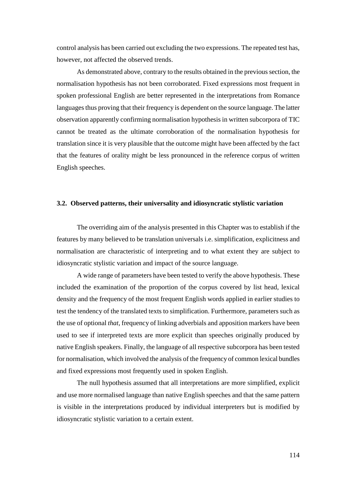control analysis has been carried out excluding the two expressions. The repeated test has, however, not affected the observed trends.

As demonstrated above, contrary to the results obtained in the previous section, the normalisation hypothesis has not been corroborated. Fixed expressions most frequent in spoken professional English are better represented in the interpretations from Romance languages thus proving that their frequency is dependent on the source language. The latter observation apparently confirming normalisation hypothesis in written subcorpora of TIC cannot be treated as the ultimate corroboration of the normalisation hypothesis for translation since it is very plausible that the outcome might have been affected by the fact that the features of orality might be less pronounced in the reference corpus of written English speeches.

#### **3.2. Observed patterns, their universality and idiosyncratic stylistic variation**

The overriding aim of the analysis presented in this Chapter was to establish if the features by many believed to be translation universals i.e. simplification, explicitness and normalisation are characteristic of interpreting and to what extent they are subject to idiosyncratic stylistic variation and impact of the source language.

A wide range of parameters have been tested to verify the above hypothesis. These included the examination of the proportion of the corpus covered by list head, lexical density and the frequency of the most frequent English words applied in earlier studies to test the tendency of the translated texts to simplification. Furthermore, parameters such as the use of optional *that*, frequency of linking adverbials and apposition markers have been used to see if interpreted texts are more explicit than speeches originally produced by native English speakers. Finally, the language of all respective subcorpora has been tested for normalisation, which involved the analysis of the frequency of common lexical bundles and fixed expressions most frequently used in spoken English.

The null hypothesis assumed that all interpretations are more simplified, explicit and use more normalised language than native English speeches and that the same pattern is visible in the interpretations produced by individual interpreters but is modified by idiosyncratic stylistic variation to a certain extent.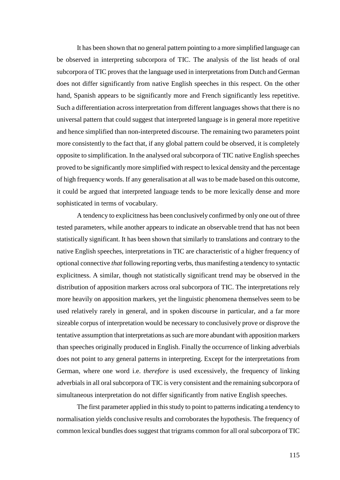It has been shown that no general pattern pointing to a more simplified language can be observed in interpreting subcorpora of TIC. The analysis of the list heads of oral subcorpora of TIC proves that the language used in interpretations from Dutch and German does not differ significantly from native English speeches in this respect. On the other hand, Spanish appears to be significantly more and French significantly less repetitive. Such a differentiation across interpretation from different languages shows that there is no universal pattern that could suggest that interpreted language is in general more repetitive and hence simplified than non-interpreted discourse. The remaining two parameters point more consistently to the fact that, if any global pattern could be observed, it is completely opposite to simplification. In the analysed oral subcorpora of TIC native English speeches proved to be significantly more simplified with respect to lexical density and the percentage of high frequency words. If any generalisation at all was to be made based on this outcome, it could be argued that interpreted language tends to be more lexically dense and more sophisticated in terms of vocabulary.

 A tendency to explicitness has been conclusively confirmed by only one out of three tested parameters, while another appears to indicate an observable trend that has not been statistically significant. It has been shown that similarly to translations and contrary to the native English speeches, interpretations in TIC are characteristic of a higher frequency of optional connective *that* following reporting verbs, thus manifesting a tendency to syntactic explicitness. A similar, though not statistically significant trend may be observed in the distribution of apposition markers across oral subcorpora of TIC. The interpretations rely more heavily on apposition markers, yet the linguistic phenomena themselves seem to be used relatively rarely in general, and in spoken discourse in particular, and a far more sizeable corpus of interpretation would be necessary to conclusively prove or disprove the tentative assumption that interpretations as such are more abundant with apposition markers than speeches originally produced in English. Finally the occurrence of linking adverbials does not point to any general patterns in interpreting. Except for the interpretations from German, where one word i.e. *therefore* is used excessively, the frequency of linking adverbials in all oral subcorpora of TIC is very consistent and the remaining subcorpora of simultaneous interpretation do not differ significantly from native English speeches.

The first parameter applied in this study to point to patterns indicating a tendency to normalisation yields conclusive results and corroborates the hypothesis. The frequency of common lexical bundles does suggest that trigrams common for all oral subcorpora of TIC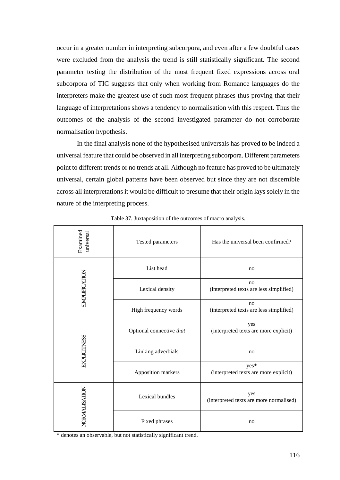occur in a greater number in interpreting subcorpora, and even after a few doubtful cases were excluded from the analysis the trend is still statistically significant. The second parameter testing the distribution of the most frequent fixed expressions across oral subcorpora of TIC suggests that only when working from Romance languages do the interpreters make the greatest use of such most frequent phrases thus proving that their language of interpretations shows a tendency to normalisation with this respect. Thus the outcomes of the analysis of the second investigated parameter do not corroborate normalisation hypothesis.

In the final analysis none of the hypothesised universals has proved to be indeed a universal feature that could be observed in all interpreting subcorpora. Different parameters point to different trends or no trends at all. Although no feature has proved to be ultimately universal, certain global patterns have been observed but since they are not discernible across all interpretations it would be difficult to presume that their origin lays solely in the nature of the interpreting process.

| Examined<br>universal            | Tested parameters        | Has the universal been confirmed?                         |
|----------------------------------|--------------------------|-----------------------------------------------------------|
|                                  | List head                | no                                                        |
| <b>SIMPLIFICATION</b>            | Lexical density          | no<br>(interpreted texts are less simplified)             |
|                                  | High frequency words     | n <sub>0</sub><br>(interpreted texts are less simplified) |
|                                  | Optional connective that | yes<br>(interpreted texts are more explicit)              |
| <b>EXPLICITNESS</b>              | Linking adverbials       | no                                                        |
|                                  | Apposition markers       | yes*<br>(interpreted texts are more explicit)             |
| NORMALISATION<br>Lexical bundles |                          | yes<br>(interpreted texts are more normalised)            |
|                                  | Fixed phrases            | no                                                        |

Table 37. Juxtaposition of the outcomes of macro analysis.

\* denotes an observable, but not statistically significant trend.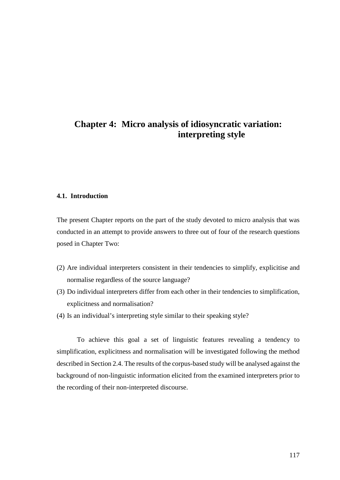# **Chapter 4: Micro analysis of idiosyncratic variation: interpreting style**

## **4.1. Introduction**

The present Chapter reports on the part of the study devoted to micro analysis that was conducted in an attempt to provide answers to three out of four of the research questions posed in Chapter Two:

- (2) Are individual interpreters consistent in their tendencies to simplify, explicitise and normalise regardless of the source language?
- (3) Do individual interpreters differ from each other in their tendencies to simplification, explicitness and normalisation?
- (4) Is an individual's interpreting style similar to their speaking style?

To achieve this goal a set of linguistic features revealing a tendency to simplification, explicitness and normalisation will be investigated following the method described in Section 2.4. The results of the corpus-based study will be analysed against the background of non-linguistic information elicited from the examined interpreters prior to the recording of their non-interpreted discourse.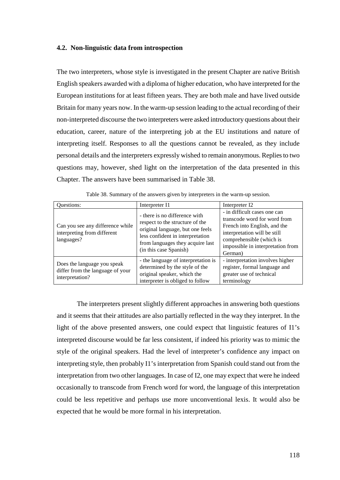#### **4.2. Non-linguistic data from introspection**

The two interpreters, whose style is investigated in the present Chapter are native British English speakers awarded with a diploma of higher education, who have interpreted for the European institutions for at least fifteen years. They are both male and have lived outside Britain for many years now. In the warm-up session leading to the actual recording of their non-interpreted discourse the two interpreters were asked introductory questions about their education, career, nature of the interpreting job at the EU institutions and nature of interpreting itself. Responses to all the questions cannot be revealed, as they include personal details and the interpreters expressly wished to remain anonymous. Replies to two questions may, however, shed light on the interpretation of the data presented in this Chapter. The answers have been summarised in Table 38.

| Questions:                                                                         | Interpreter I1                                                                                                                                                                                         | Interpreter I2                                                                                                                                                                                           |
|------------------------------------------------------------------------------------|--------------------------------------------------------------------------------------------------------------------------------------------------------------------------------------------------------|----------------------------------------------------------------------------------------------------------------------------------------------------------------------------------------------------------|
| Can you see any difference while<br>interpreting from different<br>languages?      | - there is no difference with<br>respect to the structure of the<br>original language, but one feels<br>less confident in interpretation<br>from languages they acquire last<br>(in this case Spanish) | - in difficult cases one can<br>transcode word for word from<br>French into English, and the<br>interpretation will be still<br>comprehensible (which is<br>impossible in interpretation from<br>German) |
| Does the language you speak<br>differ from the language of your<br>interpretation? | - the language of interpretation is<br>determined by the style of the<br>original speaker, which the<br>interpreter is obliged to follow                                                               | - interpretation involves higher<br>register, formal language and<br>greater use of technical<br>terminology                                                                                             |

Table 38. Summary of the answers given by interpreters in the warm-up session.

The interpreters present slightly different approaches in answering both questions and it seems that their attitudes are also partially reflected in the way they interpret. In the light of the above presented answers, one could expect that linguistic features of I1's interpreted discourse would be far less consistent, if indeed his priority was to mimic the style of the original speakers. Had the level of interpreter's confidence any impact on interpreting style, then probably I1's interpretation from Spanish could stand out from the interpretation from two other languages. In case of I2, one may expect that were he indeed occasionally to transcode from French word for word, the language of this interpretation could be less repetitive and perhaps use more unconventional lexis. It would also be expected that he would be more formal in his interpretation.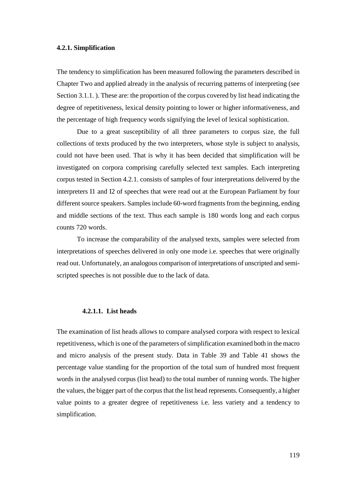#### **4.2.1. Simplification**

The tendency to simplification has been measured following the parameters described in Chapter Two and applied already in the analysis of recurring patterns of interpreting (see Section 3.1.1. ). These are: the proportion of the corpus covered by list head indicating the degree of repetitiveness, lexical density pointing to lower or higher informativeness, and the percentage of high frequency words signifying the level of lexical sophistication.

Due to a great susceptibility of all three parameters to corpus size, the full collections of texts produced by the two interpreters, whose style is subject to analysis, could not have been used. That is why it has been decided that simplification will be investigated on corpora comprising carefully selected text samples. Each interpreting corpus tested in Section 4.2.1. consists of samples of four interpretations delivered by the interpreters I1 and I2 of speeches that were read out at the European Parliament by four different source speakers. Samples include 60-word fragments from the beginning, ending and middle sections of the text. Thus each sample is 180 words long and each corpus counts 720 words.

To increase the comparability of the analysed texts, samples were selected from interpretations of speeches delivered in only one mode i.e. speeches that were originally read out. Unfortunately, an analogous comparison of interpretations of unscripted and semiscripted speeches is not possible due to the lack of data.

## **4.2.1.1. List heads**

The examination of list heads allows to compare analysed corpora with respect to lexical repetitiveness, which is one of the parameters of simplification examined both in the macro and micro analysis of the present study. Data in Table 39 and Table 41 shows the percentage value standing for the proportion of the total sum of hundred most frequent words in the analysed corpus (list head) to the total number of running words. The higher the values, the bigger part of the corpus that the list head represents. Consequently, a higher value points to a greater degree of repetitiveness i.e. less variety and a tendency to simplification.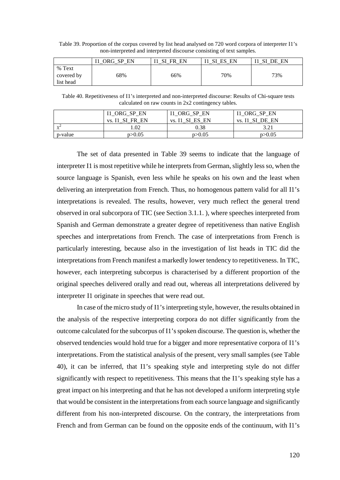Table 39. Proportion of the corpus covered by list head analysed on 720 word corpora of interpreter I1's non-interpreted and interpreted discourse consisting of text samples.

|                                   | ORG-<br>EN<br><b>SP</b><br>ᅭ | EN<br>SТ<br><b>FR</b><br>ᅭ | SI<br>EN<br>ES | C٦<br>EN<br>DF |
|-----------------------------------|------------------------------|----------------------------|----------------|----------------|
| % Text<br>covered by<br>list head | 68%                          | 66%                        | 70%            | 73%            |

Table 40. Repetitiveness of I1's interpreted and non-interpreted discourse: Results of Chi-square tests calculated on raw counts in 2x2 contingency tables.

|            | I1_ORG_SP_EN       | I1 ORG SP EN    | I1 ORG SP EN    |
|------------|--------------------|-----------------|-----------------|
|            | SI FR EN<br>vs. 11 | vs. I1 SI ES EN | DE EN<br>vs. I1 |
| $\sqrt{2}$ | .02                | 0.38            | 3.21            |
| p-value    | p > 0.05           | p > 0.05        | p > 0.05        |

The set of data presented in Table 39 seems to indicate that the language of interpreter I1 is most repetitive while he interprets from German, slightly less so, when the source language is Spanish, even less while he speaks on his own and the least when delivering an interpretation from French. Thus, no homogenous pattern valid for all I1's interpretations is revealed. The results, however, very much reflect the general trend observed in oral subcorpora of TIC (see Section 3.1.1. ), where speeches interpreted from Spanish and German demonstrate a greater degree of repetitiveness than native English speeches and interpretations from French. The case of interpretations from French is particularly interesting, because also in the investigation of list heads in TIC did the interpretations from French manifest a markedly lower tendency to repetitiveness. In TIC, however, each interpreting subcorpus is characterised by a different proportion of the original speeches delivered orally and read out, whereas all interpretations delivered by interpreter I1 originate in speeches that were read out.

In case of the micro study of I1's interpreting style, however, the results obtained in the analysis of the respective interpreting corpora do not differ significantly from the outcome calculated for the subcorpus of I1's spoken discourse. The question is, whether the observed tendencies would hold true for a bigger and more representative corpora of I1's interpretations. From the statistical analysis of the present, very small samples (see Table 40), it can be inferred, that I1's speaking style and interpreting style do not differ significantly with respect to repetitiveness. This means that the I1's speaking style has a great impact on his interpreting and that he has not developed a uniform interpreting style that would be consistent in the interpretations from each source language and significantly different from his non-interpreted discourse. On the contrary, the interpretations from French and from German can be found on the opposite ends of the continuum, with I1's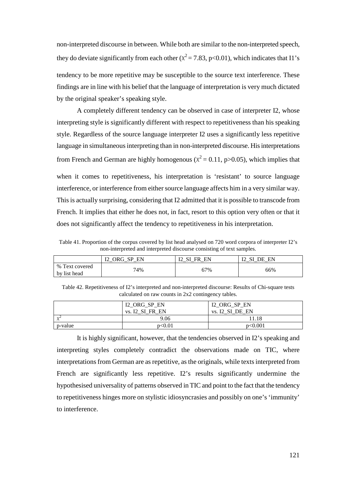non-interpreted discourse in between. While both are similar to the non-interpreted speech, they do deviate significantly from each other ( $\chi^2$  = 7.83, p<0.01), which indicates that I1's tendency to be more repetitive may be susceptible to the source text interference. These findings are in line with his belief that the language of interpretation is very much dictated by the original speaker's speaking style.

A completely different tendency can be observed in case of interpreter I2, whose interpreting style is significantly different with respect to repetitiveness than his speaking style. Regardless of the source language interpreter I2 uses a significantly less repetitive language in simultaneous interpreting than in non-interpreted discourse. His interpretations from French and German are highly homogenous ( $\chi^2$  = 0.11, p>0.05), which implies that when it comes to repetitiveness, his interpretation is 'resistant' to source language

interference, or interference from either source language affects him in a very similar way. This is actually surprising, considering that I2 admitted that it is possible to transcode from French. It implies that either he does not, in fact, resort to this option very often or that it does not significantly affect the tendency to repetitiveness in his interpretation.

Table 41. Proportion of the corpus covered by list head analysed on 720 word corpora of interpreter I2's non-interpreted and interpreted discourse consisting of text samples.

|                                      | EN<br>TO.<br>$\cap$ $\cap$<br><b>CD</b><br>1 R J<br><b>UIVU</b><br>$\overline{\phantom{0}}$ | <b>C</b><br>EN<br>FR<br>┸ | FΝ<br>$\alpha$ T<br>DE<br>. .<br>_ |
|--------------------------------------|---------------------------------------------------------------------------------------------|---------------------------|------------------------------------|
| Text covered<br>$\%$<br>by list head | 74%                                                                                         | 67%                       | 66%                                |

| Table 42. Repetitiveness of I2's interpreted and non-interpreted discourse: Results of Chi-square tests |
|---------------------------------------------------------------------------------------------------------|
| calculated on raw counts in 2x2 contingency tables.                                                     |

|          | I2_ORG_SP_EN<br>SI FR EN<br>vs. I2 | I2_ORG_SP_EN<br>SI DE EN<br>. I2<br>VS. |
|----------|------------------------------------|-----------------------------------------|
| $\chi^2$ | 9.06                               | 11.18                                   |
| p-value  | p<0.01                             | p<0.001                                 |

It is highly significant, however, that the tendencies observed in I2's speaking and interpreting styles completely contradict the observations made on TIC, where interpretations from German are as repetitive, as the originals, while texts interpreted from French are significantly less repetitive. I2's results significantly undermine the hypothesised universality of patterns observed in TIC and point to the fact that the tendency to repetitiveness hinges more on stylistic idiosyncrasies and possibly on one's 'immunity' to interference.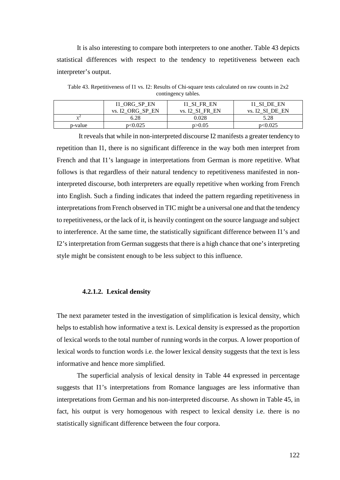It is also interesting to compare both interpreters to one another. Table 43 depicts statistical differences with respect to the tendency to repetitiveness between each interpreter's output.

Table 43. Repetitiveness of I1 vs. I2: Results of Chi-square tests calculated on raw counts in 2x2 contingency tables.

|         | I1 ORG SP EN<br>vs. I2 ORG SP EN | I1 SI FR EN<br>vs. I2 SI FR EN | I1 SI DE EN<br>vs. I2 SI DE EN |
|---------|----------------------------------|--------------------------------|--------------------------------|
|         |                                  |                                |                                |
| ے ر     | 6.28                             | 0.028                          | 5.28                           |
| p-value | p<0.025                          | p > 0.05                       | p<0.025                        |

 It reveals that while in non-interpreted discourse I2 manifests a greater tendency to repetition than I1, there is no significant difference in the way both men interpret from French and that I1's language in interpretations from German is more repetitive. What follows is that regardless of their natural tendency to repetitiveness manifested in noninterpreted discourse, both interpreters are equally repetitive when working from French into English. Such a finding indicates that indeed the pattern regarding repetitiveness in interpretations from French observed in TIC might be a universal one and that the tendency to repetitiveness, or the lack of it, is heavily contingent on the source language and subject to interference. At the same time, the statistically significant difference between I1's and I2's interpretation from German suggests that there is a high chance that one's interpreting style might be consistent enough to be less subject to this influence.

## **4.2.1.2. Lexical density**

The next parameter tested in the investigation of simplification is lexical density, which helps to establish how informative a text is. Lexical density is expressed as the proportion of lexical words to the total number of running words in the corpus. A lower proportion of lexical words to function words i.e. the lower lexical density suggests that the text is less informative and hence more simplified.

The superficial analysis of lexical density in Table 44 expressed in percentage suggests that I1's interpretations from Romance languages are less informative than interpretations from German and his non-interpreted discourse. As shown in Table 45, in fact, his output is very homogenous with respect to lexical density i.e. there is no statistically significant difference between the four corpora.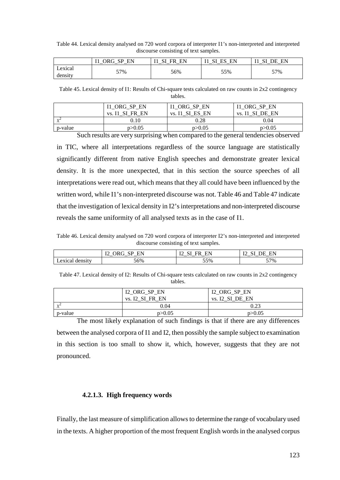Table 44. Lexical density analysed on 720 word corpora of interpreter I1's non-interpreted and interpreted discourse consisting of text samples.

|         | EN<br>ORG<br>CD<br>- | EN<br>FR<br><br>- | EN<br>CΤ<br>$\mathbf{m}$ $\alpha$<br>_<br>_ | FN<br>o٦<br>ŊБ<br>_ |
|---------|----------------------|-------------------|---------------------------------------------|---------------------|
| Lexical | 57%                  | 56%               | 55%                                         | 57%                 |
| density |                      |                   |                                             | ັ                   |

Table 45. Lexical density of I1: Results of Chi-square tests calculated on raw counts in 2x2 contingency tables.

|                             | ORG SP EN       | I1 ORG SP EN           | I1 ORG SP EN           |
|-----------------------------|-----------------|------------------------|------------------------|
|                             | vs. I1 SI FR EN | ES EN<br>SI.<br>vs. 11 | SI.<br>DE EN<br>vs. I1 |
| $\mathcal{V}^{\mathcal{L}}$ | 0.10            | 0.28                   | 0.04                   |
| p-value                     | p > 0.05        | p > 0.05               | p > 0.05               |

Such results are very surprising when compared to the general tendencies observed in TIC, where all interpretations regardless of the source language are statistically significantly different from native English speeches and demonstrate greater lexical density. It is the more unexpected, that in this section the source speeches of all interpretations were read out, which means that they all could have been influenced by the written word, while I1's non-interpreted discourse was not. Table 46 and Table 47 indicate that the investigation of lexical density in I2's interpretations and non-interpreted discourse reveals the same uniformity of all analysed texts as in the case of I1.

Table 46. Lexical density analysed on 720 word corpora of interpreter I2's non-interpreted and interpreted discourse consisting of text samples.

|                   | ЕN<br>PЪ<br>∼<br><br>--<br>∽<br>$-$<br>$-$ | <b>TO</b><br>--<br>--<br>-<br>י<br>$\overline{ }$<br>∸<br>$\overline{\phantom{0}}$<br>$-$ | <b>TM</b><br><br>_ |
|-------------------|--------------------------------------------|-------------------------------------------------------------------------------------------|--------------------|
| exica.<br>density | 56%                                        | 55%                                                                                       | 57%                |

Table 47. Lexical density of I2: Results of Chi-square tests calculated on raw counts in 2x2 contingency tables.

|                         | I2_ORG_SP_EN        | I2_ORG_SP_EN    |
|-------------------------|---------------------|-----------------|
|                         | .I2 SI FR EN<br>VS. | vs. I2 SI DE EN |
| $\sqrt{2}$<br>$\lambda$ | 0.04                | 0.23            |
| p-value                 | p>0.05              | p > 0.05        |

The most likely explanation of such findings is that if there are any differences between the analysed corpora of I1 and I2, then possibly the sample subject to examination in this section is too small to show it, which, however, suggests that they are not pronounced.

### **4.2.1.3. High frequency words**

Finally, the last measure of simplification allows to determine the range of vocabulary used in the texts. A higher proportion of the most frequent English words in the analysed corpus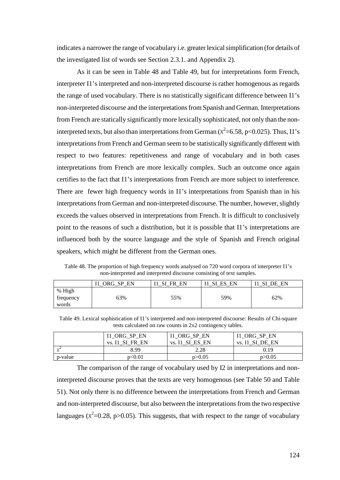indicates a narrower the range of vocabulary i.e. greater lexical simplification (for details of the investigated list of words see Section 2.3.1. and Appendix 2).

As it can be seen in Table 48 and Table 49, but for interpretations form French, interpreter I1's interpreted and non-interpreted discourse is rather homogenous as regards the range of used vocabulary. There is no statistically significant difference between I1's non-interpreted discourse and the interpretations from Spanish and German. Interpretations from French are statically significantly more lexically sophisticated, not only than the noninterpreted texts, but also than interpretations from German ( $\chi^2$ =6.58, p<0.025). Thus, I1's interpretations from French and German seem to be statistically significantly different with respect to two features: repetitiveness and range of vocabulary and in both cases interpretations from French are more lexically complex. Such an outcome once again certifies to the fact that I1's interpretations from French are more subject to interference. There are fewer high frequency words in I1's interpretations from Spanish than in his interpretations from German and non-interpreted discourse. The number, however, slightly exceeds the values observed in interpretations from French. It is difficult to conclusively point to the reasons of such a distribution, but it is possible that I1's interpretations are influenced both by the source language and the style of Spanish and French original speakers, which might be different from the German ones.

Table 48. The proportion of high frequency words analysed on 720 word corpora of interpreter I1's non-interpreted and interpreted discourse consisting of text samples.

|                              | EN<br><b>CD</b><br>ORG | SI<br>FR<br>EN | EN<br>FС<br>SI | EN<br>DE |
|------------------------------|------------------------|----------------|----------------|----------|
| % High<br>trequency<br>words | 63%                    | 55%            | 59%            | 62%      |

Table 49. Lexical sophistication of I1's interpreted and non-interpreted discourse: Results of Chi-square tests calculated on raw counts in 2x2 contingency tables.

|                      | I1_ORG_SP_EN       | I1_ORG_SP_EN    | I1_ORG_SP_EN       |
|----------------------|--------------------|-----------------|--------------------|
|                      | SI FR EN<br>vs. 11 | vs. I1 SI ES EN | SI DE EN<br>vs. 11 |
| $\nu^2$<br>$\lambda$ | 8.99               | 2.28            | 0.19               |
| p-value              | p<0.01             | p > 0.05        | p > 0.05           |

The comparison of the range of vocabulary used by I2 in interpretations and noninterpreted discourse proves that the texts are very homogenous (see Table 50 and Table 51). Not only there is no difference between the interpretations from French and German and non-interpreted discourse, but also between the interpretations from the two respective languages ( $\chi^2$ =0.28, p>0.05). This suggests, that with respect to the range of vocabulary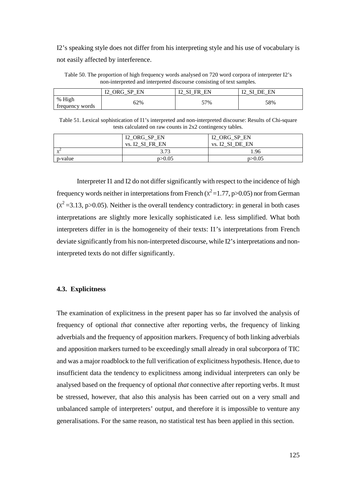I2's speaking style does not differ from his interpreting style and his use of vocabulary is not easily affected by interference.

Table 50. The proportion of high frequency words analysed on 720 word corpora of interpreter I2's non-interpreted and interpreted discourse consisting of text samples.

|                           | то<br>ORG<br>EN<br><b>CD</b><br>υı<br>w<br>∸<br>_ | то<br>EN<br>СI<br>FR<br>┸<br>υı<br>_ | EN<br>то<br>$\alpha$ T<br>DE<br>∸ |
|---------------------------|---------------------------------------------------|--------------------------------------|-----------------------------------|
| % High<br>frequency words | 62%                                               | 57%                                  | 58%                               |

Table 51. Lexical sophistication of I1's interpreted and non-interpreted discourse: Results of Chi-square tests calculated on raw counts in 2x2 contingency tables.

|                     | I2_ORG_SP_EN    | I2_ORG_SP_EN    |
|---------------------|-----------------|-----------------|
|                     | vs. I2 SI FR EN | vs. I2 SI DE EN |
| $\sqrt{ }$<br>$X^2$ | 3.73            | 1.96            |
| p-value             | p > 0.05        | p > 0.05        |

 Interpreter I1 and I2 do not differ significantly with respect to the incidence of high frequency words neither in interpretations from French ( $\chi^2$  = 1.77, p > 0.05) nor from German  $(x^2 = 3.13, p > 0.05)$ . Neither is the overall tendency contradictory: in general in both cases interpretations are slightly more lexically sophisticated i.e. less simplified. What both interpreters differ in is the homogeneity of their texts: I1's interpretations from French deviate significantly from his non-interpreted discourse, while I2's interpretations and noninterpreted texts do not differ significantly.

#### **4.3. Explicitness**

The examination of explicitness in the present paper has so far involved the analysis of frequency of optional *that* connective after reporting verbs, the frequency of linking adverbials and the frequency of apposition markers. Frequency of both linking adverbials and apposition markers turned to be exceedingly small already in oral subcorpora of TIC and was a major roadblock to the full verification of explicitness hypothesis. Hence, due to insufficient data the tendency to explicitness among individual interpreters can only be analysed based on the frequency of optional *that* connective after reporting verbs. It must be stressed, however, that also this analysis has been carried out on a very small and unbalanced sample of interpreters' output, and therefore it is impossible to venture any generalisations. For the same reason, no statistical test has been applied in this section.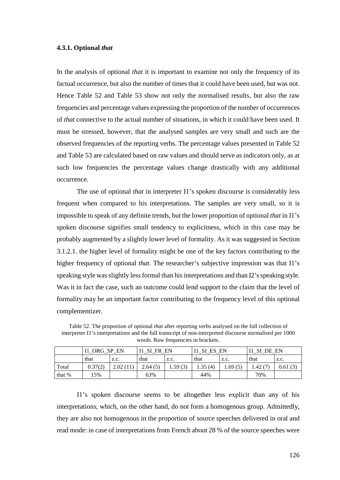#### **4.3.1. Optional** *that*

In the analysis of optional *that* it is important to examine not only the frequency of its factual occurrence, but also the number of times that it could have been used, but was not. Hence Table 52 and Table 53 show not only the normalised results, but also the raw frequencies and percentage values expressing the proportion of the number of occurrences of *that* connective to the actual number of situations, in which it could have been used. It must be stressed, however, that the analysed samples are very small and such are the observed frequencies of the reporting verbs. The percentage values presented in Table 52 and Table 53 are calculated based on raw values and should serve as indicators only, as at such low frequencies the percentage values change drastically with any additional occurrence.

The use of optional *that* in interpreter I1's spoken discourse is considerably less frequent when compared to his interpretations. The samples are very small, so it is impossible to speak of any definite trends, but the lower proportion of optional *that* in I1's spoken discourse signifies small tendency to explicitness, which in this case may be probably augmented by a slightly lower level of formality. As it was suggested in Section 3.1.2.1. the higher level of formality might be one of the key factors contributing to the higher frequency of optional *that*. The researcher's subjective impression was that I1's speaking style was slightly less formal than his interpretations and than I2's speaking style. Was it in fact the case, such an outcome could lend support to the claim that the level of formality may be an important factor contributing to the frequency level of this optional complementizer.

Table 52. The proportion of optional *that* after reporting verbs analysed on the full collection of interpreter I1's interpretations and the full transcript of non-interpreted discourse normalised per 1000 words. Raw frequencies in brackets.

|        | ORG SP EN |          | <b>SI</b><br>FR EN |         | ES EN<br>SI |         | EN<br>DE |         |
|--------|-----------|----------|--------------------|---------|-------------|---------|----------|---------|
|        | that      | Z.C.     | that               | Z.C.    | that        | Z.C.    | that     | Z.C.    |
| Total  | 0.37(2)   | 2.02(11) | 2.64(5)            | 1.59(3) | 1.35(4)     | 1.69(5) | 4.42(7)  | 0.61(3) |
| that % | 15%       |          | 63%                |         | 44%         |         | 70%      |         |

I1's spoken discourse seems to be altogether less explicit than any of his interpretations, which, on the other hand, do not form a homogenous group. Admittedly, they are also not homogenous in the proportion of source speeches delivered in oral and read mode: in case of interpretations from French about 28 % of the source speeches were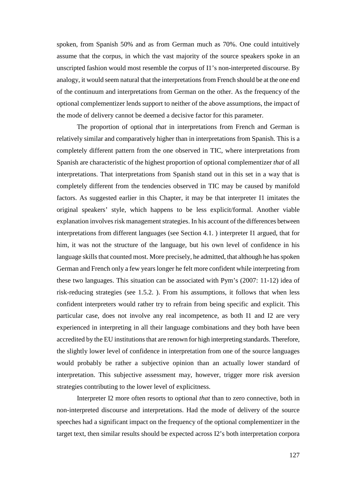spoken, from Spanish 50% and as from German much as 70%. One could intuitively assume that the corpus, in which the vast majority of the source speakers spoke in an unscripted fashion would most resemble the corpus of I1's non-interpreted discourse. By analogy, it would seem natural that the interpretations from French should be at the one end of the continuum and interpretations from German on the other. As the frequency of the optional complementizer lends support to neither of the above assumptions, the impact of the mode of delivery cannot be deemed a decisive factor for this parameter.

The proportion of optional *that* in interpretations from French and German is relatively similar and comparatively higher than in interpretations from Spanish. This is a completely different pattern from the one observed in TIC, where interpretations from Spanish are characteristic of the highest proportion of optional complementizer *that* of all interpretations. That interpretations from Spanish stand out in this set in a way that is completely different from the tendencies observed in TIC may be caused by manifold factors. As suggested earlier in this Chapter, it may be that interpreter I1 imitates the original speakers' style, which happens to be less explicit/formal. Another viable explanation involves risk management strategies. In his account of the differences between interpretations from different languages (see Section 4.1. ) interpreter I1 argued, that for him, it was not the structure of the language, but his own level of confidence in his language skills that counted most. More precisely, he admitted, that although he has spoken German and French only a few years longer he felt more confident while interpreting from these two languages. This situation can be associated with Pym's (2007: 11-12) idea of risk-reducing strategies (see 1.5.2. ). From his assumptions, it follows that when less confident interpreters would rather try to refrain from being specific and explicit. This particular case, does not involve any real incompetence, as both I1 and I2 are very experienced in interpreting in all their language combinations and they both have been accredited by the EU institutions that are renown for high interpreting standards. Therefore, the slightly lower level of confidence in interpretation from one of the source languages would probably be rather a subjective opinion than an actually lower standard of interpretation. This subjective assessment may, however, trigger more risk aversion strategies contributing to the lower level of explicitness.

Interpreter I2 more often resorts to optional *that* than to zero connective, both in non-interpreted discourse and interpretations. Had the mode of delivery of the source speeches had a significant impact on the frequency of the optional complementizer in the target text, then similar results should be expected across I2's both interpretation corpora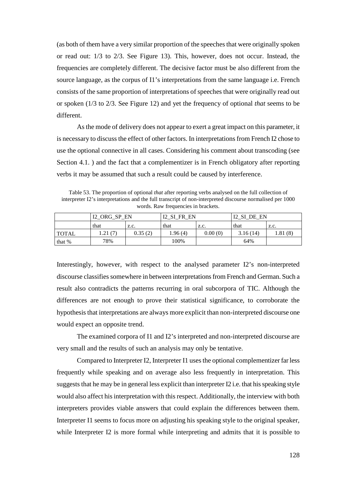(as both of them have a very similar proportion of the speeches that were originally spoken or read out: 1/3 to 2/3. See Figure 13). This, however, does not occur. Instead, the frequencies are completely different. The decisive factor must be also different from the source language, as the corpus of I1's interpretations from the same language i.e. French consists of the same proportion of interpretations of speeches that were originally read out or spoken (1/3 to 2/3. See Figure 12) and yet the frequency of optional *that* seems to be different.

As the mode of delivery does not appear to exert a great impact on this parameter, it is necessary to discuss the effect of other factors. In interpretations from French I2 chose to use the optional connective in all cases. Considering his comment about transcoding (see Section 4.1. ) and the fact that a complementizer is in French obligatory after reporting verbs it may be assumed that such a result could be caused by interference.

Table 53. The proportion of optional *that* after reporting verbs analysed on the full collection of interpreter I2's interpretations and the full transcript of non-interpreted discourse normalised per 1000 words. Raw frequencies in brackets.

|              | I2 ORG SP EN |         | SI FR EN |         | 12 SI DE EN |          |
|--------------|--------------|---------|----------|---------|-------------|----------|
|              | that         | Z.C.    | that     | Z.C.    | that        | Z.C.     |
| <b>TOTAL</b> | 1.21 (7)     | 0.35(2) | 1.96 (4) | 0.00(0) | 3.16(14)    | 1.81 (8) |
| that $%$     | 78%          |         | 100%     |         | 64%         |          |

Interestingly, however, with respect to the analysed parameter I2's non-interpreted discourse classifies somewhere in between interpretations from French and German. Such a result also contradicts the patterns recurring in oral subcorpora of TIC. Although the differences are not enough to prove their statistical significance, to corroborate the hypothesis that interpretations are always more explicit than non-interpreted discourse one would expect an opposite trend.

The examined corpora of I1 and I2's interpreted and non-interpreted discourse are very small and the results of such an analysis may only be tentative.

Compared to Interpreter I2, Interpreter I1 uses the optional complementizer far less frequently while speaking and on average also less frequently in interpretation. This suggests that he may be in general less explicit than interpreter I2 i.e. that his speaking style would also affect his interpretation with this respect. Additionally, the interview with both interpreters provides viable answers that could explain the differences between them. Interpreter I1 seems to focus more on adjusting his speaking style to the original speaker, while Interpreter I2 is more formal while interpreting and admits that it is possible to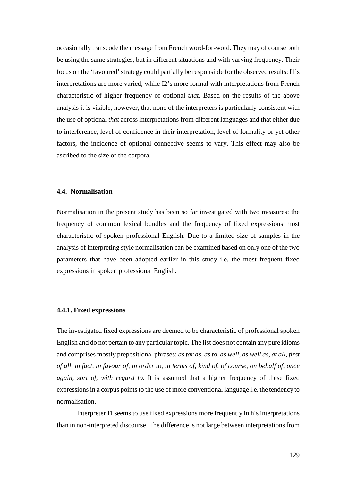occasionally transcode the message from French word-for-word. They may of course both be using the same strategies, but in different situations and with varying frequency. Their focus on the 'favoured' strategy could partially be responsible for the observed results: I1's interpretations are more varied, while I2's more formal with interpretations from French characteristic of higher frequency of optional *that.* Based on the results of the above analysis it is visible, however, that none of the interpreters is particularly consistent with the use of optional *that* across interpretations from different languages and that either due to interference, level of confidence in their interpretation, level of formality or yet other factors, the incidence of optional connective seems to vary. This effect may also be ascribed to the size of the corpora.

## **4.4. Normalisation**

Normalisation in the present study has been so far investigated with two measures: the frequency of common lexical bundles and the frequency of fixed expressions most characteristic of spoken professional English. Due to a limited size of samples in the analysis of interpreting style normalisation can be examined based on only one of the two parameters that have been adopted earlier in this study i.e. the most frequent fixed expressions in spoken professional English.

## **4.4.1. Fixed expressions**

The investigated fixed expressions are deemed to be characteristic of professional spoken English and do not pertain to any particular topic. The list does not contain any pure idioms and comprises mostly prepositional phrases: *as far as, as to, as well, as well as, at all, first of all, in fact, in favour of, in order to, in terms of, kind of, of course, on behalf of, once again, sort of, with regard to.* It is assumed that a higher frequency of these fixed expressions in a corpus points to the use of more conventional language i.e. the tendency to normalisation.

Interpreter I1 seems to use fixed expressions more frequently in his interpretations than in non-interpreted discourse. The difference is not large between interpretations from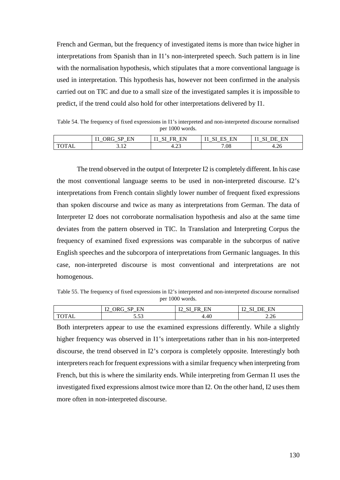French and German, but the frequency of investigated items is more than twice higher in interpretations from Spanish than in I1's non-interpreted speech. Such pattern is in line with the normalisation hypothesis, which stipulates that a more conventional language is used in interpretation. This hypothesis has, however not been confirmed in the analysis carried out on TIC and due to a small size of the investigated samples it is impossible to predict, if the trend could also hold for other interpretations delivered by I1.

Table 54. The frequency of fixed expressions in I1's interpreted and non-interpreted discourse normalised per 1000 words.

|            | EN<br>.<br>ж<br><u>ын</u><br>. .<br>$\overline{\phantom{0}}$<br>$-$ | EN<br>ЧК<br>. .<br>. .<br>__ _<br>$-$ | --<br>ПN.<br>ЕP<br>— N<br>. .<br>$-$<br>$\overline{\phantom{0}}$ | EN<br>$-$<br>⊢<br>. .<br>$-$<br>$-$ |
|------------|---------------------------------------------------------------------|---------------------------------------|------------------------------------------------------------------|-------------------------------------|
| $\sqrt{ }$ | $\sim$                                                              | $\sim$                                | 7.08                                                             | $\sim$                              |
| 7 L        | ے ب                                                                 | т.∠…                                  |                                                                  | 4.26                                |

The trend observed in the output of Interpreter I2 is completely different. In his case the most conventional language seems to be used in non-interpreted discourse. I2's interpretations from French contain slightly lower number of frequent fixed expressions than spoken discourse and twice as many as interpretations from German. The data of Interpreter I2 does not corroborate normalisation hypothesis and also at the same time deviates from the pattern observed in TIC. In Translation and Interpreting Corpus the frequency of examined fixed expressions was comparable in the subcorpus of native English speeches and the subcorpora of interpretations from Germanic languages. In this case, non-interpreted discourse is most conventional and interpretations are not homogenous.

Table 55. The frequency of fixed expressions in I2's interpreted and non-interpreted discourse normalised per 1000 words.

|            | <br>ЕN<br>' ∕ا ا<br>. .<br>ົ<br>шr<br>-<br>$\overline{\phantom{0}}$<br>$\overline{\phantom{0}}$<br>$-$ | --<br>EN<br>Lυ<br><br>$\overline{\phantom{a}}$<br>$\overline{\phantom{0}}$ | TH.<br>HN<br>۱.<br>1.41<br>$\overline{ }$<br>$\overline{\phantom{0}}$<br>$-$ |
|------------|--------------------------------------------------------------------------------------------------------|----------------------------------------------------------------------------|------------------------------------------------------------------------------|
| $\sqrt{2}$ | -                                                                                                      | 4.40                                                                       | $\sim$                                                                       |
| 1 A.L      | $\sim$                                                                                                 |                                                                            | 2.26                                                                         |
| È          | .                                                                                                      |                                                                            |                                                                              |

Both interpreters appear to use the examined expressions differently. While a slightly higher frequency was observed in I1's interpretations rather than in his non-interpreted discourse, the trend observed in I2's corpora is completely opposite. Interestingly both interpreters reach for frequent expressions with a similar frequency when interpreting from French, but this is where the similarity ends. While interpreting from German I1 uses the investigated fixed expressions almost twice more than I2. On the other hand, I2 uses them more often in non-interpreted discourse.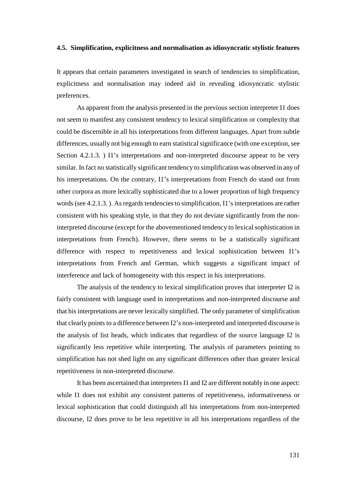#### **4.5. Simplification, explicitness and normalisation as idiosyncratic stylistic features**

It appears that certain parameters investigated in search of tendencies to simplification, explicitness and normalisation may indeed aid in revealing idiosyncratic stylistic preferences.

As apparent from the analysis presented in the previous section interpreter I1 does not seem to manifest any consistent tendency to lexical simplification or complexity that could be discernible in all his interpretations from different languages. Apart from subtle differences, usually not big enough to earn statistical significance (with one exception, see Section 4.2.1.3. ) I1's interpretations and non-interpreted discourse appear to be very similar. In fact no statistically significant tendency to simplification was observed in any of his interpretations. On the contrary, I1's interpretations from French do stand out from other corpora as more lexically sophisticated due to a lower proportion of high frequency words (see 4.2.1.3. ). As regards tendencies to simplification, I1's interpretations are rather consistent with his speaking style, in that they do not deviate significantly from the noninterpreted discourse (except for the abovementioned tendency to lexical sophistication in interpretations from French). However, there seems to be a statistically significant difference with respect to repetitiveness and lexical sophistication between I1's interpretations from French and German, which suggests a significant impact of interference and lack of homogeneity with this respect in his interpretations.

The analysis of the tendency to lexical simplification proves that interpreter I2 is fairly consistent with language used in interpretations and non-interpreted discourse and that his interpretations are never lexically simplified. The only parameter of simplification that clearly points to a difference between I2's non-interpreted and interpreted discourse is the analysis of list heads, which indicates that regardless of the source language I2 is significantly less repetitive while interpreting. The analysis of parameters pointing to simplification has not shed light on any significant differences other than greater lexical repetitiveness in non-interpreted discourse.

It has been ascertained that interpreters I1 and I2 are different notably in one aspect: while I1 does not exhibit any consistent patterns of repetitiveness, informativeness or lexical sophistication that could distinguish all his interpretations from non-interpreted discourse, I2 does prove to be less repetitive in all his interpretations regardless of the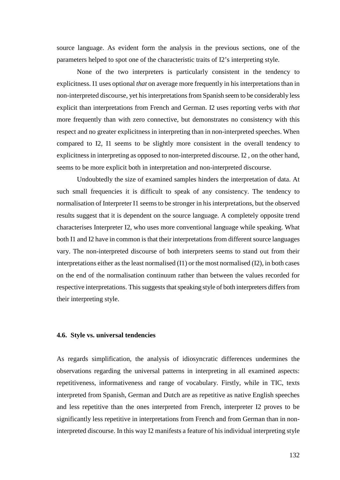source language. As evident form the analysis in the previous sections, one of the parameters helped to spot one of the characteristic traits of I2's interpreting style.

None of the two interpreters is particularly consistent in the tendency to explicitness. I1 uses optional *that* on average more frequently in his interpretations than in non-interpreted discourse, yet his interpretations from Spanish seem to be considerably less explicit than interpretations from French and German. I2 uses reporting verbs with *that*  more frequently than with zero connective, but demonstrates no consistency with this respect and no greater explicitness in interpreting than in non-interpreted speeches. When compared to I2, I1 seems to be slightly more consistent in the overall tendency to explicitness in interpreting as opposed to non-interpreted discourse. I2 , on the other hand, seems to be more explicit both in interpretation and non-interpreted discourse.

Undoubtedly the size of examined samples hinders the interpretation of data. At such small frequencies it is difficult to speak of any consistency. The tendency to normalisation of Interpreter I1 seems to be stronger in his interpretations, but the observed results suggest that it is dependent on the source language. A completely opposite trend characterises Interpreter I2, who uses more conventional language while speaking. What both I1 and I2 have in common is that their interpretations from different source languages vary. The non-interpreted discourse of both interpreters seems to stand out from their interpretations either as the least normalised (I1) or the most normalised (I2), in both cases on the end of the normalisation continuum rather than between the values recorded for respective interpretations. This suggests that speaking style of both interpreters differs from their interpreting style.

#### **4.6. Style vs. universal tendencies**

As regards simplification, the analysis of idiosyncratic differences undermines the observations regarding the universal patterns in interpreting in all examined aspects: repetitiveness, informativeness and range of vocabulary. Firstly, while in TIC, texts interpreted from Spanish, German and Dutch are as repetitive as native English speeches and less repetitive than the ones interpreted from French, interpreter I2 proves to be significantly less repetitive in interpretations from French and from German than in noninterpreted discourse. In this way I2 manifests a feature of his individual interpreting style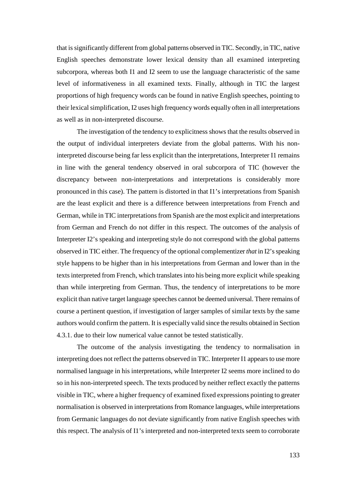that is significantly different from global patterns observed in TIC. Secondly, in TIC, native English speeches demonstrate lower lexical density than all examined interpreting subcorpora, whereas both I1 and I2 seem to use the language characteristic of the same level of informativeness in all examined texts. Finally, although in TIC the largest proportions of high frequency words can be found in native English speeches, pointing to their lexical simplification, I2 uses high frequency words equally often in all interpretations as well as in non-interpreted discourse.

The investigation of the tendency to explicitness shows that the results observed in the output of individual interpreters deviate from the global patterns. With his noninterpreted discourse being far less explicit than the interpretations, Interpreter I1 remains in line with the general tendency observed in oral subcorpora of TIC (however the discrepancy between non-interpretations and interpretations is considerably more pronounced in this case). The pattern is distorted in that I1's interpretations from Spanish are the least explicit and there is a difference between interpretations from French and German, while in TIC interpretations from Spanish are the most explicit and interpretations from German and French do not differ in this respect. The outcomes of the analysis of Interpreter I2's speaking and interpreting style do not correspond with the global patterns observed in TIC either. The frequency of the optional complementizer *that* in I2's speaking style happens to be higher than in his interpretations from German and lower than in the texts interpreted from French, which translates into his being more explicit while speaking than while interpreting from German. Thus, the tendency of interpretations to be more explicit than native target language speeches cannot be deemed universal. There remains of course a pertinent question, if investigation of larger samples of similar texts by the same authors would confirm the pattern. It is especially valid since the results obtained in Section 4.3.1. due to their low numerical value cannot be tested statistically.

The outcome of the analysis investigating the tendency to normalisation in interpreting does not reflect the patterns observed in TIC. Interpreter I1 appears to use more normalised language in his interpretations, while Interpreter I2 seems more inclined to do so in his non-interpreted speech. The texts produced by neither reflect exactly the patterns visible in TIC, where a higher frequency of examined fixed expressions pointing to greater normalisation is observed in interpretations from Romance languages, while interpretations from Germanic languages do not deviate significantly from native English speeches with this respect. The analysis of I1's interpreted and non-interpreted texts seem to corroborate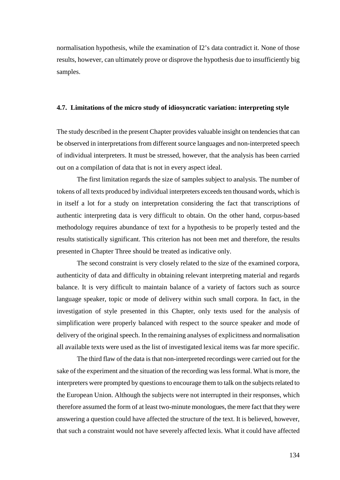normalisation hypothesis, while the examination of I2's data contradict it. None of those results, however, can ultimately prove or disprove the hypothesis due to insufficiently big samples.

#### **4.7. Limitations of the micro study of idiosyncratic variation: interpreting style**

The study described in the present Chapter provides valuable insight on tendencies that can be observed in interpretations from different source languages and non-interpreted speech of individual interpreters. It must be stressed, however, that the analysis has been carried out on a compilation of data that is not in every aspect ideal.

The first limitation regards the size of samples subject to analysis. The number of tokens of all texts produced by individual interpreters exceeds ten thousand words, which is in itself a lot for a study on interpretation considering the fact that transcriptions of authentic interpreting data is very difficult to obtain. On the other hand, corpus-based methodology requires abundance of text for a hypothesis to be properly tested and the results statistically significant. This criterion has not been met and therefore, the results presented in Chapter Three should be treated as indicative only.

The second constraint is very closely related to the size of the examined corpora, authenticity of data and difficulty in obtaining relevant interpreting material and regards balance. It is very difficult to maintain balance of a variety of factors such as source language speaker, topic or mode of delivery within such small corpora. In fact, in the investigation of style presented in this Chapter, only texts used for the analysis of simplification were properly balanced with respect to the source speaker and mode of delivery of the original speech. In the remaining analyses of explicitness and normalisation all available texts were used as the list of investigated lexical items was far more specific.

The third flaw of the data is that non-interpreted recordings were carried out for the sake of the experiment and the situation of the recording was less formal. What is more, the interpreters were prompted by questions to encourage them to talk on the subjects related to the European Union. Although the subjects were not interrupted in their responses, which therefore assumed the form of at least two-minute monologues, the mere fact that they were answering a question could have affected the structure of the text. It is believed, however, that such a constraint would not have severely affected lexis. What it could have affected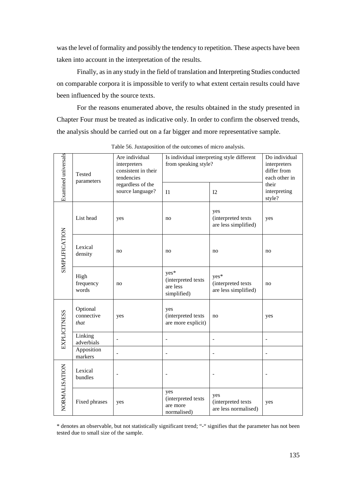was the level of formality and possibly the tendency to repetition. These aspects have been taken into account in the interpretation of the results.

Finally, as in any study in the field of translation and Interpreting Studies conducted on comparable corpora it is impossible to verify to what extent certain results could have been influenced by the source texts.

For the reasons enumerated above, the results obtained in the study presented in Chapter Four must be treated as indicative only. In order to confirm the observed trends, the analysis should be carried out on a far bigger and more representative sample.

| Examined universals   | Tested<br>parameters           | Are individual<br>interpreters<br>consistent in their<br>tendencies<br>regardless of the | Is individual interpreting style different<br>from speaking style? | Do individual<br>interpreters<br>differ from<br>each other in<br>their<br>interpreting |     |
|-----------------------|--------------------------------|------------------------------------------------------------------------------------------|--------------------------------------------------------------------|----------------------------------------------------------------------------------------|-----|
|                       |                                | source language?                                                                         | I <sub>1</sub>                                                     | 12                                                                                     |     |
| <b>SIMPLIFICATION</b> | List head                      | yes                                                                                      | no                                                                 | yes<br>(interpreted texts<br>are less simplified)                                      | yes |
|                       | Lexical<br>density             | no                                                                                       | no                                                                 | no                                                                                     | no  |
|                       | High<br>frequency<br>words     | no                                                                                       | yes*<br>(interpreted texts<br>are less<br>simplified)              | yes*<br>(interpreted texts<br>are less simplified)                                     | no  |
| <b>EXPLICITNESS</b>   | Optional<br>connective<br>that | yes                                                                                      | yes<br>(interpreted texts<br>are more explicit)                    | no                                                                                     | yes |
|                       | Linking<br>adverbials          |                                                                                          |                                                                    |                                                                                        |     |
|                       | Apposition<br>markers          |                                                                                          | L.                                                                 |                                                                                        |     |
| NORMALISATION         | Lexical<br>bundles             |                                                                                          |                                                                    |                                                                                        |     |
|                       | Fixed phrases                  | yes                                                                                      |                                                                    | yes<br>(interpreted texts<br>are less normalised)                                      | yes |

Table 56. Juxtaposition of the outcomes of micro analysis.

\* denotes an observable, but not statistically significant trend; "-" signifies that the parameter has not been tested due to small size of the sample.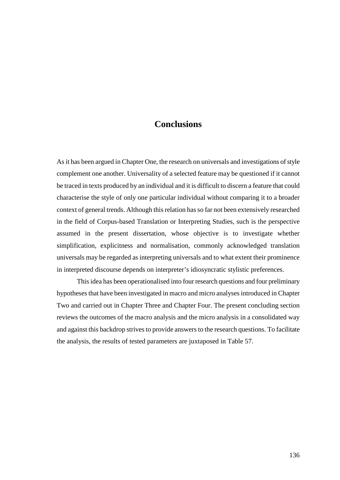## **Conclusions**

As it has been argued in Chapter One, the research on universals and investigations of style complement one another. Universality of a selected feature may be questioned if it cannot be traced in texts produced by an individual and it is difficult to discern a feature that could characterise the style of only one particular individual without comparing it to a broader context of general trends. Although this relation has so far not been extensively researched in the field of Corpus-based Translation or Interpreting Studies, such is the perspective assumed in the present dissertation, whose objective is to investigate whether simplification, explicitness and normalisation, commonly acknowledged translation universals may be regarded as interpreting universals and to what extent their prominence in interpreted discourse depends on interpreter's idiosyncratic stylistic preferences.

 This idea has been operationalised into four research questions and four preliminary hypotheses that have been investigated in macro and micro analyses introduced in Chapter Two and carried out in Chapter Three and Chapter Four. The present concluding section reviews the outcomes of the macro analysis and the micro analysis in a consolidated way and against this backdrop strives to provide answers to the research questions. To facilitate the analysis, the results of tested parameters are juxtaposed in Table 57.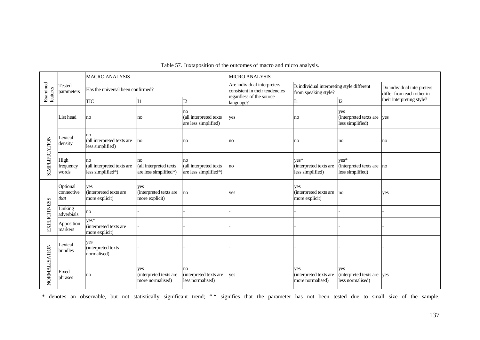| Examined<br>features  |                                | <b>MACRO ANALYSIS</b>                                 |                                                       |                                                       | <b>MICRO ANALYSIS</b>                                         |                                                                    |                                                          |                                                         |
|-----------------------|--------------------------------|-------------------------------------------------------|-------------------------------------------------------|-------------------------------------------------------|---------------------------------------------------------------|--------------------------------------------------------------------|----------------------------------------------------------|---------------------------------------------------------|
|                       | <b>Tested</b><br>parameters    | Has the universal been confirmed?                     |                                                       |                                                       | Are individual interpreters<br>consistent in their tendencies | Is individual interpreting style different<br>from speaking style? |                                                          | Do individual interpreters<br>differ from each other in |
|                       |                                | <b>TIC</b>                                            | I <sub>1</sub>                                        | I2                                                    | regardless of the source<br>language?                         | I <sub>1</sub>                                                     | I2                                                       | their interpreting style?                               |
| <b>SIMPLIFICATION</b> | List head                      | no                                                    | no                                                    | no<br>(all interpreted texts<br>are less simplified)  | yes                                                           | no                                                                 | yes<br>(interpreted texts are<br>less simplified)        | yes                                                     |
|                       | Lexical<br>density             | no<br>(all interpreted texts are<br>less simplified)  | no                                                    | no                                                    | no                                                            | no                                                                 | no                                                       | no                                                      |
|                       | High<br>frequency<br>words     | no<br>(all interpreted texts are<br>less simplified*) | no<br>(all interpreted texts<br>are less simplified*) | no<br>(all interpreted texts<br>are less simplified*) | no                                                            | $ves*$<br>(interpreted texts are<br>less simplified)               | $ves*$<br>$interpreted texts are$ no<br>less simplified) |                                                         |
|                       | Optional<br>connective<br>that | yes<br>(interpreted texts are<br>more explicit)       | yes<br>(interpreted texts are<br>more explicit)       | n <sub>o</sub>                                        | yes                                                           | yes<br>(interpreted texts are<br>more explicit)                    | $\overline{a}$                                           | yes                                                     |
|                       | Linking<br>adverbials          | no                                                    |                                                       |                                                       |                                                               |                                                                    |                                                          |                                                         |
| <b>EXPLICITNESS</b>   | Apposition<br>markers          | $ves*$<br>(interpreted texts are<br>more explicit)    |                                                       |                                                       |                                                               |                                                                    |                                                          |                                                         |
| NORMALISATION         | Lexical<br>bundles             | yes<br>(interpreted texts<br>normalised)              |                                                       |                                                       |                                                               |                                                                    |                                                          |                                                         |
|                       | Fixed<br>phrases               | no                                                    | yes<br>(interpreted texts are<br>more normalised)     | no<br>(interpreted texts are<br>less normalised)      | ves                                                           | yes<br>(interpreted texts are<br>more normalised)                  | yes<br>(interpreted texts are yes<br>less normalised)    |                                                         |

## Table 57. Juxtaposition of the outcomes of macro and micro analysis.

\* denotes an observable, but not statistically significant trend; "-" signifies that the parameter has not been tested due to small size of the sample.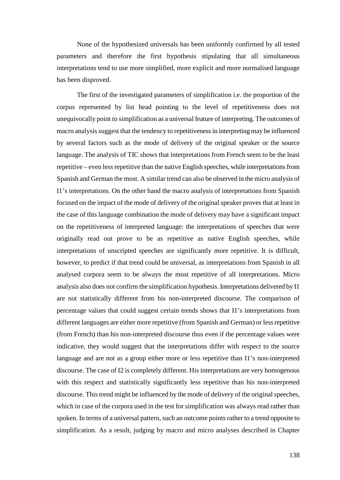None of the hypothesized universals has been uniformly confirmed by all tested parameters and therefore the first hypothesis stipulating that all simultaneous interpretations tend to use more simplified, more explicit and more normalised language has been disproved.

The first of the investigated parameters of simplification i.e. the proportion of the corpus represented by list head pointing to the level of repetitiveness does not unequivocally point to simplification as a universal feature of interpreting. The outcomes of macro analysis suggest that the tendency to repetitiveness in interpreting may be influenced by several factors such as the mode of delivery of the original speaker or the source language. The analysis of TIC shows that interpretations from French seem to be the least repetitive – even less repetitive than the native English speeches, while interpretations from Spanish and German the most. A similar trend can also be observed in the micro analysis of I1's interpretations. On the other hand the macro analysis of interpretations from Spanish focused on the impact of the mode of delivery of the original speaker proves that at least in the case of this language combination the mode of delivery may have a significant impact on the repetitiveness of interpreted language: the interpretations of speeches that were originally read out prove to be as repetitive as native English speeches, while interpretations of unscripted speeches are significantly more repetitive. It is difficult, however, to predict if that trend could be universal, as interpretations from Spanish in all analysed corpora seem to be always the most repetitive of all interpretations. Micro analysis also does not confirm the simplification hypothesis. Interpretations delivered by I1 are not statistically different from his non-interpreted discourse. The comparison of percentage values that could suggest certain trends shows that I1's interpretations from different languages are either more repetitive (from Spanish and German) or less repetitive (from French) than his non-interpreted discourse thus even if the percentage values were indicative, they would suggest that the interpretations differ with respect to the source language and are not as a group either more or less repetitive than I1's non-interpreted discourse. The case of I2 is completely different. His interpretations are very homogenous with this respect and statistically significantly less repetitive than his non-interpreted discourse. This trend might be influenced by the mode of delivery of the original speeches, which in case of the corpora used in the test for simplification was always read rather than spoken. In terms of a universal pattern, such an outcome points rather to a trend opposite to simplification. As a result, judging by macro and micro analyses described in Chapter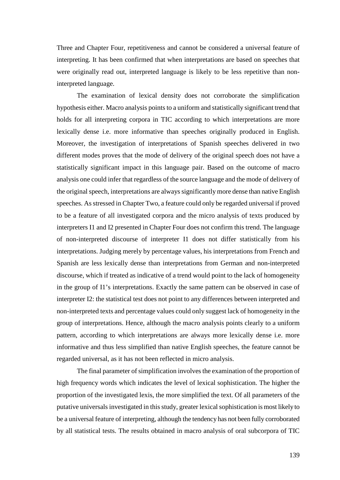Three and Chapter Four, repetitiveness and cannot be considered a universal feature of interpreting. It has been confirmed that when interpretations are based on speeches that were originally read out, interpreted language is likely to be less repetitive than noninterpreted language.

The examination of lexical density does not corroborate the simplification hypothesis either. Macro analysis points to a uniform and statistically significant trend that holds for all interpreting corpora in TIC according to which interpretations are more lexically dense i.e. more informative than speeches originally produced in English. Moreover, the investigation of interpretations of Spanish speeches delivered in two different modes proves that the mode of delivery of the original speech does not have a statistically significant impact in this language pair. Based on the outcome of macro analysis one could infer that regardless of the source language and the mode of delivery of the original speech, interpretations are always significantly more dense than native English speeches. As stressed in Chapter Two, a feature could only be regarded universal if proved to be a feature of all investigated corpora and the micro analysis of texts produced by interpreters I1 and I2 presented in Chapter Four does not confirm this trend. The language of non-interpreted discourse of interpreter I1 does not differ statistically from his interpretations. Judging merely by percentage values, his interpretations from French and Spanish are less lexically dense than interpretations from German and non-interpreted discourse, which if treated as indicative of a trend would point to the lack of homogeneity in the group of I1's interpretations. Exactly the same pattern can be observed in case of interpreter I2: the statistical test does not point to any differences between interpreted and non-interpreted texts and percentage values could only suggest lack of homogeneity in the group of interpretations. Hence, although the macro analysis points clearly to a uniform pattern, according to which interpretations are always more lexically dense i.e. more informative and thus less simplified than native English speeches, the feature cannot be regarded universal, as it has not been reflected in micro analysis.

The final parameter of simplification involves the examination of the proportion of high frequency words which indicates the level of lexical sophistication. The higher the proportion of the investigated lexis, the more simplified the text. Of all parameters of the putative universals investigated in this study, greater lexical sophistication is most likely to be a universal feature of interpreting, although the tendency has not been fully corroborated by all statistical tests. The results obtained in macro analysis of oral subcorpora of TIC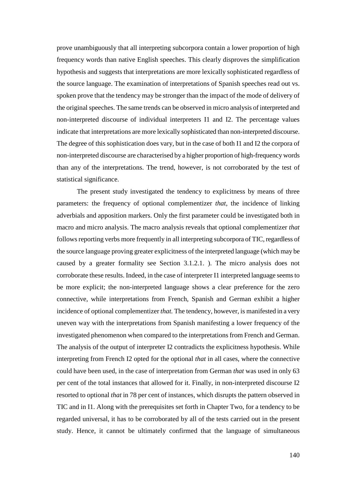prove unambiguously that all interpreting subcorpora contain a lower proportion of high frequency words than native English speeches. This clearly disproves the simplification hypothesis and suggests that interpretations are more lexically sophisticated regardless of the source language. The examination of interpretations of Spanish speeches read out vs. spoken prove that the tendency may be stronger than the impact of the mode of delivery of the original speeches. The same trends can be observed in micro analysis of interpreted and non-interpreted discourse of individual interpreters I1 and I2. The percentage values indicate that interpretations are more lexically sophisticated than non-interpreted discourse. The degree of this sophistication does vary, but in the case of both I1 and I2 the corpora of non-interpreted discourse are characterised by a higher proportion of high-frequency words than any of the interpretations. The trend, however, is not corroborated by the test of statistical significance.

The present study investigated the tendency to explicitness by means of three parameters: the frequency of optional complementizer *that,* the incidence of linking adverbials and apposition markers. Only the first parameter could be investigated both in macro and micro analysis. The macro analysis reveals that optional complementizer *that*  follows reporting verbs more frequently in all interpreting subcorpora of TIC, regardless of the source language proving greater explicitness of the interpreted language (which may be caused by a greater formality see Section 3.1.2.1. ). The micro analysis does not corroborate these results. Indeed, in the case of interpreter I1 interpreted language seems to be more explicit; the non-interpreted language shows a clear preference for the zero connective, while interpretations from French, Spanish and German exhibit a higher incidence of optional complementizer *that.* The tendency, however, is manifested in a very uneven way with the interpretations from Spanish manifesting a lower frequency of the investigated phenomenon when compared to the interpretations from French and German. The analysis of the output of interpreter I2 contradicts the explicitness hypothesis. While interpreting from French I2 opted for the optional *that* in all cases, where the connective could have been used, in the case of interpretation from German *that* was used in only 63 per cent of the total instances that allowed for it. Finally, in non-interpreted discourse I2 resorted to optional *that* in 78 per cent of instances, which disrupts the pattern observed in TIC and in I1. Along with the prerequisites set forth in Chapter Two, for a tendency to be regarded universal, it has to be corroborated by all of the tests carried out in the present study. Hence, it cannot be ultimately confirmed that the language of simultaneous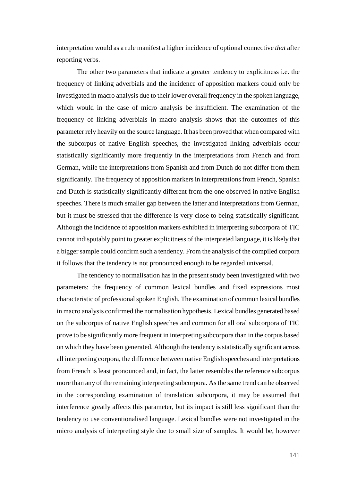interpretation would as a rule manifest a higher incidence of optional connective *that* after reporting verbs.

 The other two parameters that indicate a greater tendency to explicitness i.e. the frequency of linking adverbials and the incidence of apposition markers could only be investigated in macro analysis due to their lower overall frequency in the spoken language, which would in the case of micro analysis be insufficient. The examination of the frequency of linking adverbials in macro analysis shows that the outcomes of this parameter rely heavily on the source language. It has been proved that when compared with the subcorpus of native English speeches, the investigated linking adverbials occur statistically significantly more frequently in the interpretations from French and from German, while the interpretations from Spanish and from Dutch do not differ from them significantly. The frequency of apposition markers in interpretations from French, Spanish and Dutch is statistically significantly different from the one observed in native English speeches. There is much smaller gap between the latter and interpretations from German, but it must be stressed that the difference is very close to being statistically significant. Although the incidence of apposition markers exhibited in interpreting subcorpora of TIC cannot indisputably point to greater explicitness of the interpreted language, it is likely that a bigger sample could confirm such a tendency. From the analysis of the compiled corpora it follows that the tendency is not pronounced enough to be regarded universal.

The tendency to normalisation has in the present study been investigated with two parameters: the frequency of common lexical bundles and fixed expressions most characteristic of professional spoken English. The examination of common lexical bundles in macro analysis confirmed the normalisation hypothesis. Lexical bundles generated based on the subcorpus of native English speeches and common for all oral subcorpora of TIC prove to be significantly more frequent in interpreting subcorpora than in the corpus based on which they have been generated. Although the tendency is statistically significant across all interpreting corpora, the difference between native English speeches and interpretations from French is least pronounced and, in fact, the latter resembles the reference subcorpus more than any of the remaining interpreting subcorpora. As the same trend can be observed in the corresponding examination of translation subcorpora, it may be assumed that interference greatly affects this parameter, but its impact is still less significant than the tendency to use conventionalised language. Lexical bundles were not investigated in the micro analysis of interpreting style due to small size of samples. It would be, however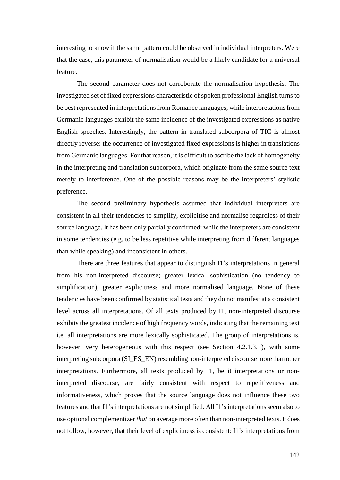interesting to know if the same pattern could be observed in individual interpreters. Were that the case, this parameter of normalisation would be a likely candidate for a universal feature.

The second parameter does not corroborate the normalisation hypothesis. The investigated set of fixed expressions characteristic of spoken professional English turns to be best represented in interpretations from Romance languages, while interpretations from Germanic languages exhibit the same incidence of the investigated expressions as native English speeches. Interestingly, the pattern in translated subcorpora of TIC is almost directly reverse: the occurrence of investigated fixed expressions is higher in translations from Germanic languages. For that reason, it is difficult to ascribe the lack of homogeneity in the interpreting and translation subcorpora, which originate from the same source text merely to interference. One of the possible reasons may be the interpreters' stylistic preference.

The second preliminary hypothesis assumed that individual interpreters are consistent in all their tendencies to simplify, explicitise and normalise regardless of their source language. It has been only partially confirmed: while the interpreters are consistent in some tendencies (e.g. to be less repetitive while interpreting from different languages than while speaking) and inconsistent in others.

There are three features that appear to distinguish I1's interpretations in general from his non-interpreted discourse; greater lexical sophistication (no tendency to simplification), greater explicitness and more normalised language. None of these tendencies have been confirmed by statistical tests and they do not manifest at a consistent level across all interpretations. Of all texts produced by I1, non-interpreted discourse exhibits the greatest incidence of high frequency words, indicating that the remaining text i.e. all interpretations are more lexically sophisticated. The group of interpretations is, however, very heterogeneous with this respect (see Section 4.2.1.3.), with some interpreting subcorpora (SI\_ES\_EN) resembling non-interpreted discourse more than other interpretations. Furthermore, all texts produced by I1, be it interpretations or noninterpreted discourse, are fairly consistent with respect to repetitiveness and informativeness, which proves that the source language does not influence these two features and that I1's interpretations are not simplified. All I1's interpretations seem also to use optional complementizer *that* on average more often than non-interpreted texts. It does not follow, however, that their level of explicitness is consistent: I1's interpretations from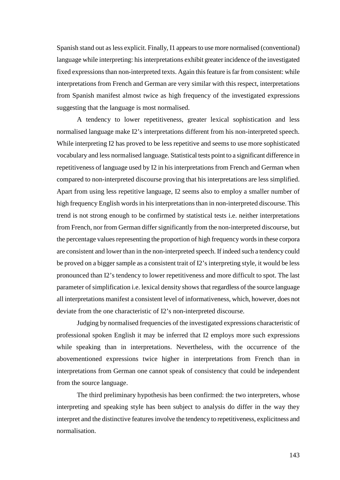Spanish stand out as less explicit. Finally, I1 appears to use more normalised (conventional) language while interpreting: his interpretations exhibit greater incidence of the investigated fixed expressions than non-interpreted texts. Again this feature is far from consistent: while interpretations from French and German are very similar with this respect, interpretations from Spanish manifest almost twice as high frequency of the investigated expressions suggesting that the language is most normalised.

A tendency to lower repetitiveness, greater lexical sophistication and less normalised language make I2's interpretations different from his non-interpreted speech. While interpreting I2 has proved to be less repetitive and seems to use more sophisticated vocabulary and less normalised language. Statistical tests point to a significant difference in repetitiveness of language used by I2 in his interpretations from French and German when compared to non-interpreted discourse proving that his interpretations are less simplified. Apart from using less repetitive language, I2 seems also to employ a smaller number of high frequency English words in his interpretations than in non-interpreted discourse. This trend is not strong enough to be confirmed by statistical tests i.e. neither interpretations from French, nor from German differ significantly from the non-interpreted discourse, but the percentage values representing the proportion of high frequency words in these corpora are consistent and lower than in the non-interpreted speech. If indeed such a tendency could be proved on a bigger sample as a consistent trait of I2's interpreting style, it would be less pronounced than I2's tendency to lower repetitiveness and more difficult to spot. The last parameter of simplification i.e. lexical density shows that regardless of the source language all interpretations manifest a consistent level of informativeness, which, however, does not deviate from the one characteristic of I2's non-interpreted discourse.

Judging by normalised frequencies of the investigated expressions characteristic of professional spoken English it may be inferred that I2 employs more such expressions while speaking than in interpretations. Nevertheless, with the occurrence of the abovementioned expressions twice higher in interpretations from French than in interpretations from German one cannot speak of consistency that could be independent from the source language.

The third preliminary hypothesis has been confirmed: the two interpreters, whose interpreting and speaking style has been subject to analysis do differ in the way they interpret and the distinctive features involve the tendency to repetitiveness, explicitness and normalisation.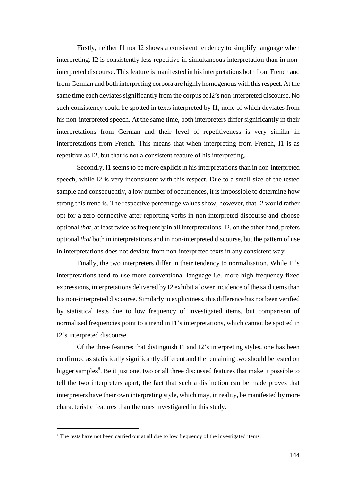Firstly, neither I1 nor I2 shows a consistent tendency to simplify language when interpreting. I2 is consistently less repetitive in simultaneous interpretation than in noninterpreted discourse. This feature is manifested in his interpretations both from French and from German and both interpreting corpora are highly homogenous with this respect. At the same time each deviates significantly from the corpus of I2's non-interpreted discourse. No such consistency could be spotted in texts interpreted by I1, none of which deviates from his non-interpreted speech. At the same time, both interpreters differ significantly in their interpretations from German and their level of repetitiveness is very similar in interpretations from French. This means that when interpreting from French, I1 is as repetitive as I2, but that is not a consistent feature of his interpreting.

Secondly, I1 seems to be more explicit in his interpretations than in non-interpreted speech, while I2 is very inconsistent with this respect. Due to a small size of the tested sample and consequently, a low number of occurrences, it is impossible to determine how strong this trend is. The respective percentage values show, however, that I2 would rather opt for a zero connective after reporting verbs in non-interpreted discourse and choose optional *that,* at least twice as frequently in all interpretations. I2, on the other hand, prefers optional *that* both in interpretations and in non-interpreted discourse, but the pattern of use in interpretations does not deviate from non-interpreted texts in any consistent way.

Finally, the two interpreters differ in their tendency to normalisation. While I1's interpretations tend to use more conventional language i.e. more high frequency fixed expressions, interpretations delivered by I2 exhibit a lower incidence of the said items than his non-interpreted discourse. Similarly to explicitness, this difference has not been verified by statistical tests due to low frequency of investigated items, but comparison of normalised frequencies point to a trend in I1's interpretations, which cannot be spotted in I2's interpreted discourse.

Of the three features that distinguish I1 and I2's interpreting styles, one has been confirmed as statistically significantly different and the remaining two should be tested on bigger samples<sup>8</sup>. Be it just one, two or all three discussed features that make it possible to tell the two interpreters apart, the fact that such a distinction can be made proves that interpreters have their own interpreting style, which may, in reality, be manifested by more characteristic features than the ones investigated in this study.

 $\overline{a}$ 

 $8$  The tests have not been carried out at all due to low frequency of the investigated items.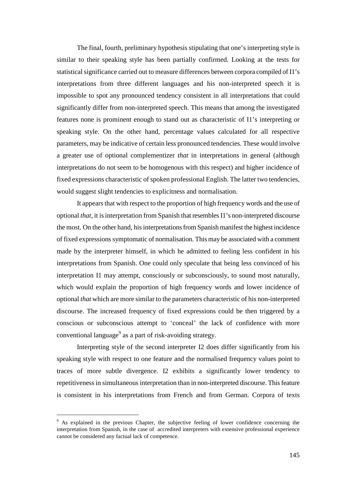The final, fourth, preliminary hypothesis stipulating that one's interpreting style is similar to their speaking style has been partially confirmed. Looking at the tests for statistical significance carried out to measure differences between corpora compiled of I1's interpretations from three different languages and his non-interpreted speech it is impossible to spot any pronounced tendency consistent in all interpretations that could significantly differ from non-interpreted speech. This means that among the investigated features none is prominent enough to stand out as characteristic of I1's interpreting or speaking style. On the other hand, percentage values calculated for all respective parameters, may be indicative of certain less pronounced tendencies. These would involve a greater use of optional complementizer *that* in interpretations in general (although interpretations do not seem to be homogenous with this respect) and higher incidence of fixed expressions characteristic of spoken professional English. The latter two tendencies, would suggest slight tendencies to explicitness and normalisation.

It appears that with respect to the proportion of high frequency words and the use of optional *that,* it is interpretation from Spanish that resembles I1's non-interpreted discourse the most. On the other hand, his interpretations from Spanish manifest the highest incidence of fixed expressions symptomatic of normalisation. This may be associated with a comment made by the interpreter himself, in which he admitted to feeling less confident in his interpretations from Spanish. One could only speculate that being less convinced of his interpretation I1 may attempt, consciously or subconsciously, to sound most naturally, which would explain the proportion of high frequency words and lower incidence of optional *that* which are more similar to the parameters characteristic of his non-interpreted discourse. The increased frequency of fixed expressions could be then triggered by a conscious or subconscious attempt to 'conceal' the lack of confidence with more conventional language<sup>9</sup> as a part of risk-avoiding strategy.

Interpreting style of the second interpreter I2 does differ significantly from his speaking style with respect to one feature and the normalised frequency values point to traces of more subtle divergence. I2 exhibits a significantly lower tendency to repetitiveness in simultaneous interpretation than in non-interpreted discourse. This feature is consistent in his interpretations from French and from German. Corpora of texts

 $\overline{a}$ 

<sup>&</sup>lt;sup>9</sup> As explained in the previous Chapter, the subjective feeling of lower confidence concerning the interpretation from Spanish, in the case of accredited interpreters with extensive professional experience cannot be considered any factual lack of competence.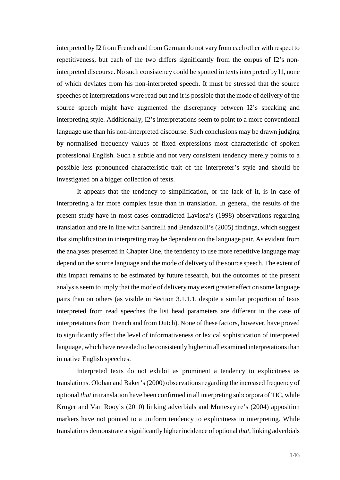interpreted by I2 from French and from German do not vary from each other with respect to repetitiveness, but each of the two differs significantly from the corpus of I2's noninterpreted discourse. No such consistency could be spotted in texts interpreted by I1, none of which deviates from his non-interpreted speech. It must be stressed that the source speeches of interpretations were read out and it is possible that the mode of delivery of the source speech might have augmented the discrepancy between I2's speaking and interpreting style. Additionally, I2's interpretations seem to point to a more conventional language use than his non-interpreted discourse. Such conclusions may be drawn judging by normalised frequency values of fixed expressions most characteristic of spoken professional English. Such a subtle and not very consistent tendency merely points to a possible less pronounced characteristic trait of the interpreter's style and should be investigated on a bigger collection of texts.

It appears that the tendency to simplification, or the lack of it, is in case of interpreting a far more complex issue than in translation. In general, the results of the present study have in most cases contradicted Laviosa's (1998) observations regarding translation and are in line with Sandrelli and Bendazolli's (2005) findings, which suggest that simplification in interpreting may be dependent on the language pair. As evident from the analyses presented in Chapter One, the tendency to use more repetitive language may depend on the source language and the mode of delivery of the source speech. The extent of this impact remains to be estimated by future research, but the outcomes of the present analysis seem to imply that the mode of delivery may exert greater effect on some language pairs than on others (as visible in Section 3.1.1.1. despite a similar proportion of texts interpreted from read speeches the list head parameters are different in the case of interpretations from French and from Dutch). None of these factors, however, have proved to significantly affect the level of informativeness or lexical sophistication of interpreted language, which have revealed to be consistently higher in all examined interpretations than in native English speeches.

Interpreted texts do not exhibit as prominent a tendency to explicitness as translations. Olohan and Baker's (2000) observations regarding the increased frequency of optional *that* in translation have been confirmed in all interpreting subcorpora of TIC, while Kruger and Van Rooy's (2010) linking adverbials and Muttesayire's (2004) apposition markers have not pointed to a uniform tendency to explicitness in interpreting. While translations demonstrate a significantly higher incidence of optional *that*, linking adverbials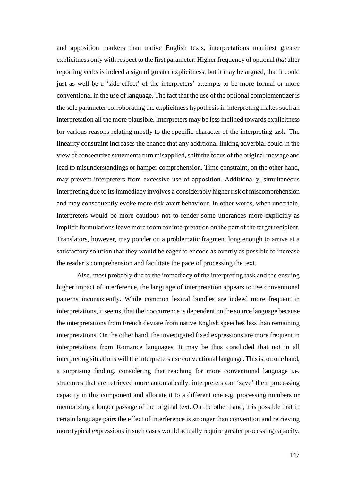and apposition markers than native English texts, interpretations manifest greater explicitness only with respect to the first parameter. Higher frequency of optional *that* after reporting verbs is indeed a sign of greater explicitness, but it may be argued, that it could just as well be a 'side-effect' of the interpreters' attempts to be more formal or more conventional in the use of language. The fact that the use of the optional complementizer is the sole parameter corroborating the explicitness hypothesis in interpreting makes such an interpretation all the more plausible. Interpreters may be less inclined towards explicitness for various reasons relating mostly to the specific character of the interpreting task. The linearity constraint increases the chance that any additional linking adverbial could in the view of consecutive statements turn misapplied, shift the focus of the original message and lead to misunderstandings or hamper comprehension. Time constraint, on the other hand, may prevent interpreters from excessive use of apposition. Additionally, simultaneous interpreting due to its immediacy involves a considerably higher risk of miscomprehension and may consequently evoke more risk-avert behaviour. In other words, when uncertain, interpreters would be more cautious not to render some utterances more explicitly as implicit formulations leave more room for interpretation on the part of the target recipient. Translators, however, may ponder on a problematic fragment long enough to arrive at a satisfactory solution that they would be eager to encode as overtly as possible to increase the reader's comprehension and facilitate the pace of processing the text.

Also, most probably due to the immediacy of the interpreting task and the ensuing higher impact of interference, the language of interpretation appears to use conventional patterns inconsistently. While common lexical bundles are indeed more frequent in interpretations, it seems, that their occurrence is dependent on the source language because the interpretations from French deviate from native English speeches less than remaining interpretations. On the other hand, the investigated fixed expressions are more frequent in interpretations from Romance languages. It may be thus concluded that not in all interpreting situations will the interpreters use conventional language. This is, on one hand, a surprising finding, considering that reaching for more conventional language i.e. structures that are retrieved more automatically, interpreters can 'save' their processing capacity in this component and allocate it to a different one e.g. processing numbers or memorizing a longer passage of the original text. On the other hand, it is possible that in certain language pairs the effect of interference is stronger than convention and retrieving more typical expressions in such cases would actually require greater processing capacity.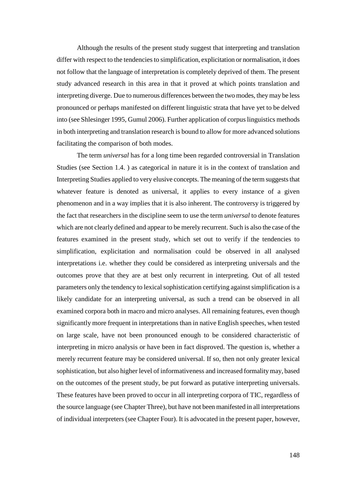Although the results of the present study suggest that interpreting and translation differ with respect to the tendencies to simplification, explicitation or normalisation, it does not follow that the language of interpretation is completely deprived of them. The present study advanced research in this area in that it proved at which points translation and interpreting diverge. Due to numerous differences between the two modes, they may be less pronounced or perhaps manifested on different linguistic strata that have yet to be delved into (see Shlesinger 1995, Gumul 2006). Further application of corpus linguistics methods in both interpreting and translation research is bound to allow for more advanced solutions facilitating the comparison of both modes.

The term *universal* has for a long time been regarded controversial in Translation Studies (see Section 1.4. ) as categorical in nature it is in the context of translation and Interpreting Studies applied to very elusive concepts. The meaning of the term suggests that whatever feature is denoted as universal, it applies to every instance of a given phenomenon and in a way implies that it is also inherent. The controversy is triggered by the fact that researchers in the discipline seem to use the term *universal* to denote features which are not clearly defined and appear to be merely recurrent. Such is also the case of the features examined in the present study, which set out to verify if the tendencies to simplification, explicitation and normalisation could be observed in all analysed interpretations i.e. whether they could be considered as interpreting universals and the outcomes prove that they are at best only recurrent in interpreting. Out of all tested parameters only the tendency to lexical sophistication certifying against simplification is a likely candidate for an interpreting universal, as such a trend can be observed in all examined corpora both in macro and micro analyses. All remaining features, even though significantly more frequent in interpretations than in native English speeches, when tested on large scale, have not been pronounced enough to be considered characteristic of interpreting in micro analysis or have been in fact disproved. The question is, whether a merely recurrent feature may be considered universal. If so, then not only greater lexical sophistication, but also higher level of informativeness and increased formality may, based on the outcomes of the present study, be put forward as putative interpreting universals. These features have been proved to occur in all interpreting corpora of TIC, regardless of the source language (see Chapter Three), but have not been manifested in all interpretations of individual interpreters (see Chapter Four). It is advocated in the present paper, however,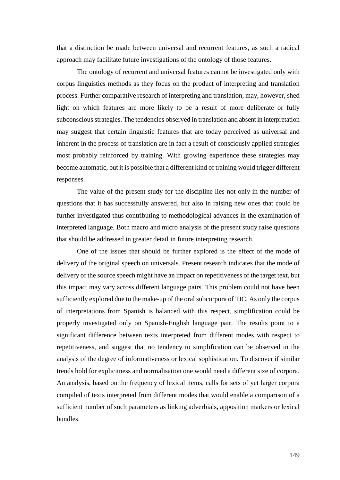that a distinction be made between universal and recurrent features, as such a radical approach may facilitate future investigations of the ontology of those features.

The ontology of recurrent and universal features cannot be investigated only with corpus linguistics methods as they focus on the product of interpreting and translation process. Further comparative research of interpreting and translation, may, however, shed light on which features are more likely to be a result of more deliberate or fully subconscious strategies. The tendencies observed in translation and absent in interpretation may suggest that certain linguistic features that are today perceived as universal and inherent in the process of translation are in fact a result of consciously applied strategies most probably reinforced by training. With growing experience these strategies may become automatic, but it is possible that a different kind of training would trigger different responses.

The value of the present study for the discipline lies not only in the number of questions that it has successfully answered, but also in raising new ones that could be further investigated thus contributing to methodological advances in the examination of interpreted language. Both macro and micro analysis of the present study raise questions that should be addressed in greater detail in future interpreting research.

One of the issues that should be further explored is the effect of the mode of delivery of the original speech on universals. Present research indicates that the mode of delivery of the source speech might have an impact on repetitiveness of the target text, but this impact may vary across different language pairs. This problem could not have been sufficiently explored due to the make-up of the oral subcorpora of TIC. As only the corpus of interpretations from Spanish is balanced with this respect, simplification could be properly investigated only on Spanish-English language pair. The results point to a significant difference between texts interpreted from different modes with respect to repetitiveness, and suggest that no tendency to simplification can be observed in the analysis of the degree of informativeness or lexical sophistication. To discover if similar trends hold for explicitness and normalisation one would need a different size of corpora. An analysis, based on the frequency of lexical items, calls for sets of yet larger corpora compiled of texts interpreted from different modes that would enable a comparison of a sufficient number of such parameters as linking adverbials, apposition markers or lexical bundles.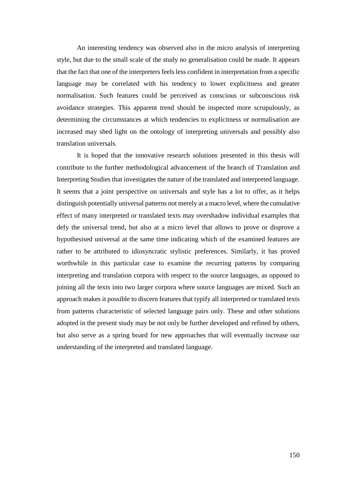An interesting tendency was observed also in the micro analysis of interpreting style, but due to the small scale of the study no generalisation could be made. It appears that the fact that one of the interpreters feels less confident in interpretation from a specific language may be correlated with his tendency to lower explicitness and greater normalisation. Such features could be perceived as conscious or subconscious risk avoidance strategies. This apparent trend should be inspected more scrupulously, as determining the circumstances at which tendencies to explicitness or normalisation are increased may shed light on the ontology of interpreting universals and possibly also translation universals.

It is hoped that the innovative research solutions presented in this thesis will contribute to the further methodological advancement of the branch of Translation and Interpreting Studies that investigates the nature of the translated and interpreted language. It seems that a joint perspective on universals and style has a lot to offer, as it helps distinguish potentially universal patterns not merely at a macro level, where the cumulative effect of many interpreted or translated texts may overshadow individual examples that defy the universal trend, but also at a micro level that allows to prove or disprove a hypothesised universal at the same time indicating which of the examined features are rather to be attributed to idiosyncratic stylistic preferences. Similarly, it has proved worthwhile in this particular case to examine the recurring patterns by comparing interpreting and translation corpora with respect to the source languages, as opposed to joining all the texts into two larger corpora where source languages are mixed. Such an approach makes it possible to discern features that typify all interpreted or translated texts from patterns characteristic of selected language pairs only. These and other solutions adopted in the present study may be not only be further developed and refined by others, but also serve as a spring board for new approaches that will eventually increase our understanding of the interpreted and translated language.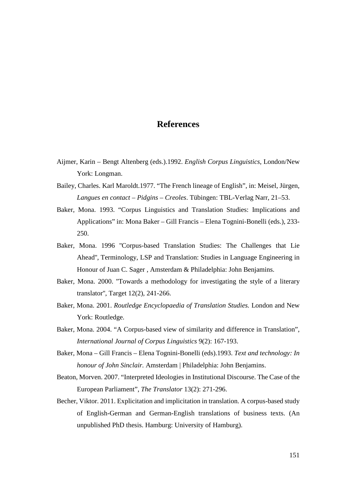### **References**

- Aijmer, Karin Bengt Altenberg (eds.).1992. *English Corpus Linguistics*, London/New York: Longman.
- Bailey, Charles. Karl Maroldt.1977. "The French lineage of English", in: Meisel, Jürgen, *Langues en contact – Pidgins – Creoles*. Tübingen: TBL-Verlag Narr, 21–53.
- Baker, Mona. 1993. "Corpus Linguistics and Translation Studies: Implications and Applications" in: Mona Baker – Gill Francis – Elena Tognini-Bonelli (eds.), 233- 250.
- Baker, Mona. 1996 ''Corpus-based Translation Studies: The Challenges that Lie Ahead'', Terminology, LSP and Translation: Studies in Language Engineering in Honour of Juan C. Sager , Amsterdam & Philadelphia: John Benjamins.
- Baker, Mona. 2000. ''Towards a methodology for investigating the style of a literary translator'', Target 12(2), 241-266.
- Baker, Mona. 2001. *Routledge Encyclopaedia of Translation Studies.* London and New York: Routledge.
- Baker, Mona. 2004. "A Corpus-based view of similarity and difference in Translation", *International Journal of Corpus Linguistics* 9(2): 167-193.
- Baker, Mona Gill Francis Elena Tognini-Bonelli (eds).1993. *Text and technology: In honour of John Sinclair.* Amsterdam | Philadelphia: John Benjamins.
- Beaton, Morven. 2007. "Interpreted Ideologies in Institutional Discourse. The Case of the European Parliament", *The Translator* 13(2): 271-296.
- Becher, Viktor. 2011. Explicitation and implicitation in translation. A corpus-based study of English-German and German-English translations of business texts. (An unpublished PhD thesis. Hamburg: University of Hamburg).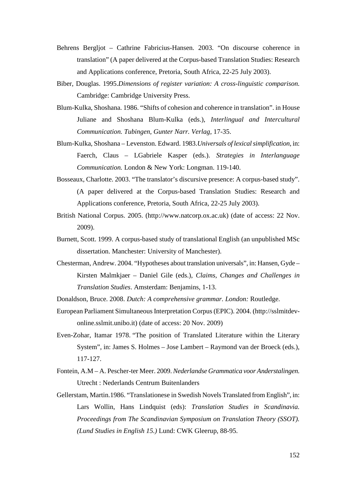- Behrens Bergljot Cathrine Fabricius-Hansen. 2003. "On discourse coherence in translation" (A paper delivered at the Corpus-based Translation Studies: Research and Applications conference, Pretoria, South Africa, 22-25 July 2003).
- Biber, Douglas. 1995.*Dimensions of register variation: A cross-linguistic comparison.*  Cambridge: Cambridge University Press.
- Blum-Kulka, Shoshana. 1986. "Shifts of cohesion and coherence in translation". in House Juliane and Shoshana Blum-Kulka (eds.), *Interlingual and Intercultural Communication. Tubingen, Gunter Narr. Verlag,* 17-35.
- Blum-Kulka, Shoshana Levenston. Edward. 1983.*Universals of lexical simplification*, in: Faerch, Claus – LGabriele Kasper (eds.). *Strategies in Interlanguage Communication.* London & New York: Longman. 119-140.
- Bosseaux, Charlotte. 2003. "The translator's discursive presence: A corpus-based study". (A paper delivered at the Corpus-based Translation Studies: Research and Applications conference, Pretoria, South Africa, 22-25 July 2003).
- British National Corpus. 2005. (http://www.natcorp.ox.ac.uk) (date of access: 22 Nov. 2009).
- Burnett, Scott. 1999. A corpus-based study of translational English (an unpublished MSc dissertation. Manchester: University of Manchester).
- Chesterman, Andrew. 2004. "Hypotheses about translation universals", in: Hansen, Gyde Kirsten Malmkjaer – Daniel Gile (eds.), *Claims, Changes and Challenges in Translation Studies*. Amsterdam: Benjamins, 1-13.
- Donaldson, Bruce. 2008. *Dutch: A comprehensive grammar. London:* Routledge.
- European Parliament Simultaneous Interpretation Corpus (EPIC). 2004. (http://sslmitdevonline.sslmit.unibo.it) (date of access: 20 Nov. 2009)
- Even-Zohar, Itamar 1978. "The position of Translated Literature within the Literary System", in: James S. Holmes – Jose Lambert – Raymond van der Broeck (eds.), 117-127.
- Fontein, A.M A. Pescher-ter Meer. 2009. *Nederlandse Grammatica voor Anderstalingen.*  Utrecht : Nederlands Centrum Buitenlanders
- Gellerstam, Martin.1986. "Translationese in Swedish Novels Translated from English", in: Lars Wollin, Hans Lindquist (eds): *Translation Studies in Scandinavia. Proceedings from The Scandinavian Symposium on Translation Theory (SSOT). (Lund Studies in English 15.)* Lund: CWK Gleerup, 88-95.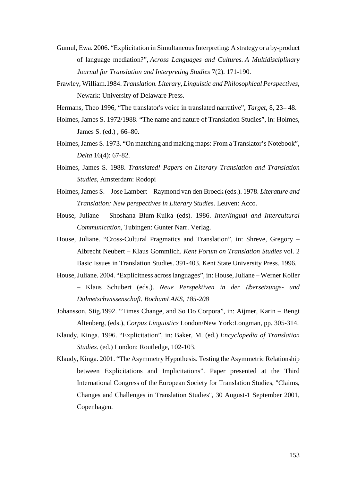- Gumul, Ewa. 2006. "Explicitation in Simultaneous Interpreting: A strategy or a by-product of language mediation?", *Across Languages and Cultures. A Multidisciplinary Journal for Translation and Interpreting Studies* 7(2). 171-190.
- Frawley, William.1984. *Translation. Literary, Linguistic and Philosophical Perspectives,*  Newark: University of Delaware Press.

Hermans, Theo 1996, "The translator's voice in translated narrative", *Target*, 8, 23– 48.

- Holmes, James S. 1972/1988. "The name and nature of Translation Studies", in: Holmes, James S. (ed.) , 66–80.
- Holmes, James S. 1973. "On matching and making maps: From a Translator's Notebook", *Delta* 16(4): 67-82.
- Holmes, James S. 1988. *Translated! Papers on Literary Translation and Translation Studies*, Amsterdam: Rodopi
- Holmes, James S. Jose Lambert Raymond van den Broeck (eds.). 1978. *Literature and Translation: New perspectives in Literary Studies*. Leuven: Acco.
- House, Juliane Shoshana Blum-Kulka (eds). 1986. *Interlingual and Intercultural Communication*, Tubingen: Gunter Narr. Verlag.
- House, Juliane. "Cross-Cultural Pragmatics and Translation", in: Shreve, Gregory Albrecht Neubert – Klaus Gommlich. *Kent Forum on Translation Studies* vol. 2 Basic Issues in Translation Studies. 391-403. Kent State University Press. 1996.
- House, Juliane. 2004. "Explicitness across languages", in: House, Juliane Werner Koller – Klaus Schubert (eds.). *Neue Perspektiven in der* Ű*bersetzungs- und Dolmetschwissenschaft. BochumLAKS, 185-208*
- Johansson, Stig.1992. "Times Change, and So Do Corpora", in: Aijmer, Karin Bengt Altenberg, (eds.), *Corpus Linguistics* London/New York:Longman, pp. 305-314.
- Klaudy, Kinga. 1996. "Explicitation", in: Baker, M. (ed.) *Encyclopedia of Translation Studies*. (ed.) London: Routledge, 102-103.
- Klaudy, Kinga. 2001. "The Asymmetry Hypothesis. Testing the Asymmetric Relationship between Explicitations and Implicitations". Paper presented at the Third International Congress of the European Society for Translation Studies, "Claims, Changes and Challenges in Translation Studies", 30 August-1 September 2001, Copenhagen.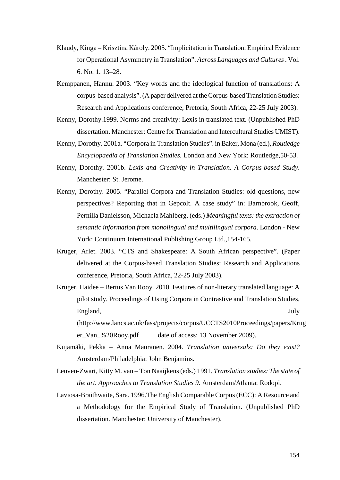- Klaudy, Kinga Krisztina Károly. 2005. "Implicitation in Translation: Empirical Evidence for Operational Asymmetry in Translation". *Across Languages and Cultures* . Vol. 6. No. 1. 13–28.
- Kemppanen, Hannu. 2003. "Key words and the ideological function of translations: A corpus-based analysis". (A paper delivered at the Corpus-based Translation Studies: Research and Applications conference, Pretoria, South Africa, 22-25 July 2003).
- Kenny, Dorothy.1999. Norms and creativity: Lexis in translated text. (Unpublished PhD dissertation. Manchester: Centre for Translation and Intercultural Studies UMIST).
- Kenny, Dorothy. 2001a. "Corpora in Translation Studies". in Baker, Mona (ed.), *Routledge Encyclopaedia of Translation Studies.* London and New York: Routledge,50-53.
- Kenny, Dorothy. 2001b. *Lexis and Creativity in Translation. A Corpus-based Study*. Manchester: St. Jerome.
- Kenny, Dorothy. 2005. "Parallel Corpora and Translation Studies: old questions, new perspectives? Reporting that in Gepcolt. A case study" in: Barnbrook, Geoff, Pernilla Danielsson, Michaela Mahlberg, (eds.) *Meaningful texts: the extraction of semantic information from monolingual and multilingual corpora*. London - New York: Continuum International Publishing Group Ltd.,154-165.
- Kruger, Arlet. 2003. "CTS and Shakespeare: A South African perspective". (Paper delivered at the Corpus-based Translation Studies: Research and Applications conference, Pretoria, South Africa, 22-25 July 2003).
- Kruger, Haidee Bertus Van Rooy. 2010. Features of non-literary translated language: A pilot study. Proceedings of Using Corpora in Contrastive and Translation Studies, England, July (http://www.lancs.ac.uk/fass/projects/corpus/UCCTS2010Proceedings/papers/Krug

- Kujamäki, Pekka Anna Mauranen. 2004. *Translation universals: Do they exist?* Amsterdam/Philadelphia: John Benjamins.
- Leuven-Zwart, Kitty M. van Ton Naaijkens (eds.) 1991. *Translation studies: The state of the art. Approaches to Translation Studies 9.* Amsterdam/Atlanta: Rodopi.
- Laviosa-Braithwaite, Sara. 1996.The English Comparable Corpus (ECC): A Resource and a Methodology for the Empirical Study of Translation. (Unpublished PhD dissertation. Manchester: University of Manchester).

er\_Van\_%20Rooy.pdf date of access: 13 November 2009).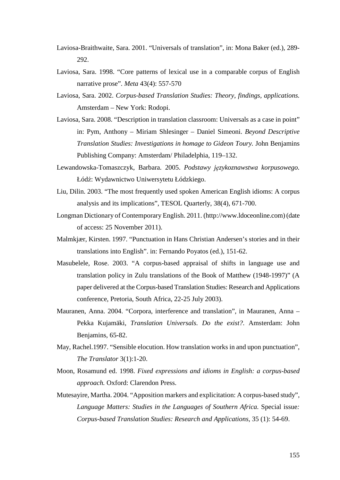- Laviosa-Braithwaite, Sara. 2001. "Universals of translation", in: Mona Baker (ed.), 289- 292.
- Laviosa, Sara. 1998. "Core patterns of lexical use in a comparable corpus of English narrative prose". *Meta* 43(4): 557-570
- Laviosa, Sara. 2002. *Corpus-based Translation Studies: Theory, findings, applications.* Amsterdam – New York: Rodopi.
- Laviosa, Sara. 2008. "Description in translation classroom: Universals as a case in point" in: Pym, Anthony – Miriam Shlesinger – Daniel Simeoni. *Beyond Descriptive Translation Studies: Investigations in homage to Gideon Toury.* John Benjamins Publishing Company: Amsterdam/ Philadelphia, 119–132.
- Lewandowska-Tomaszczyk, Barbara. 2005. *Podstawy językoznawstwa korpusowego.*  Łódź: Wydawnictwo Uniwersytetu Łódzkiego.
- Liu, Dilin. 2003. "The most frequently used spoken American English idioms: A corpus analysis and its implications", TESOL Quarterly, 38(4), 671-700.
- Longman Dictionary of Contemporary English. 2011. (http://www.ldoceonline.com) (date of access: 25 November 2011).
- Malmkjær, Kirsten. 1997. "Punctuation in Hans Christian Andersen's stories and in their translations into English". in: Fernando Poyatos (ed.), 151-62.
- Masubelele, Rose. 2003. "A corpus-based appraisal of shifts in language use and translation policy in Zulu translations of the Book of Matthew (1948-1997)" (A paper delivered at the Corpus-based Translation Studies: Research and Applications conference, Pretoria, South Africa, 22-25 July 2003).
- Mauranen, Anna. 2004. "Corpora, interference and translation", in Mauranen, Anna Pekka Kujamäki, *Translation Universals. Do the exist?*. Amsterdam: John Benjamins, 65-82.
- May, Rachel.1997. "Sensible elocution. How translation works in and upon punctuation", *The Translator* 3(1):1-20.
- Moon, Rosamund ed. 1998. *Fixed expressions and idioms in English: a corpus-based approach.* Oxford: Clarendon Press.
- Mutesayire, Martha. 2004. "Apposition markers and explicitation: A corpus-based study", *Language Matters: Studies in the Languages of Southern Africa.* Special issue*: Corpus-based Translation Studies: Research and Applications,* 35 (1): 54-69.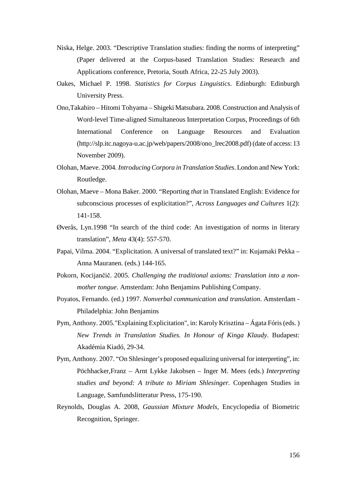- Niska, Helge. 2003. "Descriptive Translation studies: finding the norms of interpreting" (Paper delivered at the Corpus-based Translation Studies: Research and Applications conference, Pretoria, South Africa, 22-25 July 2003).
- Oakes, Michael P. 1998. *Statistics for Corpus Linguistics*. Edinburgh: Edinburgh University Press.
- Ono,Takahiro Hitomi Tohyama Shigeki Matsubara. 2008. Construction and Analysis of Word-level Time-aligned Simultaneous Interpretation Corpus, Proceedings of 6th International Conference on Language Resources and Evaluation (http://slp.itc.nagoya-u.ac.jp/web/papers/2008/ono\_lrec2008.pdf) (date of access: 13 November 2009).
- Olohan, Maeve. 2004*. Introducing Corpora in Translation Studies*. London and New York: Routledge.
- Olohan, Maeve Mona Baker. 2000. "Reporting *that* in Translated English: Evidence for subconscious processes of explicitation?", *Across Languages and Cultures* 1(2): 141-158.
- Øverås, Lyn.1998 "In search of the third code: An investigation of norms in literary translation", *Meta* 43(4): 557-570.
- Papai, Vilma. 2004. "Explicitation. A universal of translated text?" in: Kujamaki Pekka Anna Mauranen. (eds.) 144-165.
- Pokorn, Kocijančič. 2005. *Challenging the traditional axioms: Translation into a nonmother tongue*. Amsterdam: John Benjamins Publishing Company.
- Poyatos, Fernando. (ed.) 1997. *Nonverbal communication and translation*. Amsterdam Philadelphia: John Benjamins
- Pym, Anthony. 2005."Explaining Explicitation", in: Karoly Krisztina Ágata Fóris (eds. ) *New Trends in Translation Studies. In Honour of Kinga Klaudy*. Budapest: Akadémia Kiadó, 29-34.
- Pym, Anthony. 2007. "On Shlesinger's proposed equalizing universal for interpreting", in: Pöchhacker,Franz – Arnt Lykke Jakobsen – Inger M. Mees (eds.) *Interpreting studies and beyond: A tribute to Miriam Shlesinger.* Copenhagen Studies in Language, Samfundslitteratur Press, 175-190.
- Reynolds, Douglas A. 2008, *Gaussian Mixture Models*, Encyclopedia of Biometric Recognition, Springer.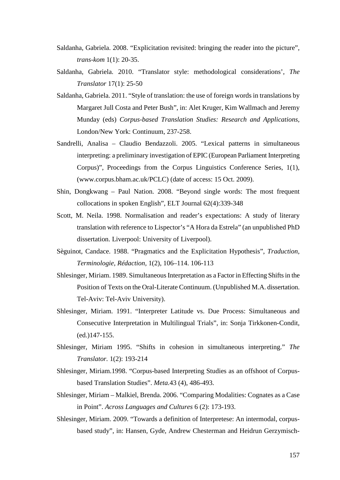- Saldanha, Gabriela. 2008. "Explicitation revisited: bringing the reader into the picture", *trans-kom* 1(1): 20-35.
- Saldanha, Gabriela. 2010. "Translator style: methodological considerations', *The Translator* 17(1): 25-50
- Saldanha, Gabriela. 2011. "Style of translation: the use of foreign words in translations by Margaret Jull Costa and Peter Bush", in: Alet Kruger, Kim Wallmach and Jeremy Munday (eds) *Corpus-based Translation Studies: Research and Applications,*  London/New York: Continuum, 237-258.
- Sandrelli, Analisa Claudio Bendazzoli. 2005. "Lexical patterns in simultaneous interpreting: a preliminary investigation of EPIC (European Parliament Interpreting Corpus)", Proceedings from the Corpus Linguistics Conference Series, 1(1), (www.corpus.bham.ac.uk/PCLC) (date of access: 15 Oct. 2009).
- Shin, Dongkwang Paul Nation. 2008. "Beyond single words: The most frequent collocations in spoken English", ELT Journal 62(4):339-348
- Scott, M. Neila. 1998. Normalisation and reader's expectations: A study of literary translation with reference to Lispector's "A Hora da Estrela" (an unpublished PhD dissertation. Liverpool: University of Liverpool).
- Sèguinot, Candace. 1988. "Pragmatics and the Explicitation Hypothesis", *Traduction, Terminologie, Rédaction,* 1(2), 106–114. 106-113
- Shlesinger, Miriam. 1989. Simultaneous Interpretation as a Factor in Effecting Shifts in the Position of Texts on the Oral-Literate Continuum. (Unpublished M.A. dissertation. Tel-Aviv: Tel-Aviv University).
- Shlesinger, Miriam. 1991. "Interpreter Latitude vs. Due Process: Simultaneous and Consecutive Interpretation in Multilingual Trials", in: Sonja Tirkkonen-Condit, (ed.)147-155.
- Shlesinger, Miriam 1995. "Shifts in cohesion in simultaneous interpreting." *The Translator.* 1(2): 193-214
- Shlesinger, Miriam.1998. "Corpus-based Interpreting Studies as an offshoot of Corpusbased Translation Studies". *Meta.*43 (4), 486-493.
- Shlesinger, Miriam Malkiel, Brenda. 2006. "Comparing Modalities: Cognates as a Case in Point". *Across Languages and Cultures* 6 (2): 173-193.
- Shlesinger, Miriam. 2009. "Towards a definition of Interpretese: An intermodal, corpusbased study", in: Hansen, Gyde, Andrew Chesterman and Heidrun Gerzymisch-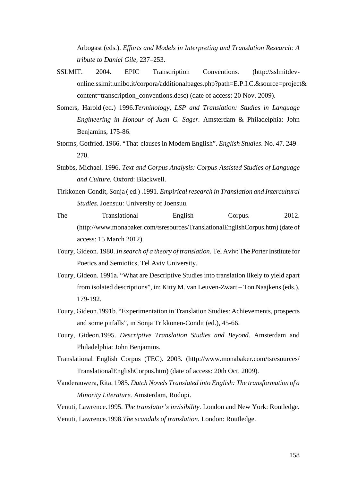Arbogast (eds.). *Efforts and Models in Interpreting and Translation Research: A tribute to Daniel Gile,* 237–253.

- SSLMIT. 2004. EPIC Transcription Conventions*.* (http://sslmitdevonline.sslmit.unibo.it/corpora/additionalpages.php?path=E.P.I.C.&source=project& content=transcription\_conventions.desc) (date of access: 20 Nov. 2009).
- Somers, Harold (ed.) 1996.*Terminology, LSP and Translation: Studies in Language Engineering in Honour of Juan C. Sager.* Amsterdam & Philadelphia: John Benjamins, 175-86.
- Storms, Gotfried. 1966. "That-clauses in Modern English". *English Studies.* No. 47. 249– 270.
- Stubbs, Michael. 1996. *Text and Corpus Analysis: Corpus-Assisted Studies of Language and Culture.* Oxford: Blackwell.
- Tirkkonen-Condit, Sonja ( ed.) .1991. *Empirical research in Translation and Intercultural Studies.* Joensuu: University of Joensuu.
- The Translational English Corpus. 2012. (http://www.monabaker.com/tsresources/TranslationalEnglishCorpus.htm) (date of access: 15 March 2012).
- Toury, Gideon. 1980. *In search of a theory of translation*. Tel Aviv: The Porter Institute for Poetics and Semiotics, Tel Aviv University.
- Toury, Gideon. 1991a. "What are Descriptive Studies into translation likely to yield apart from isolated descriptions", in: Kitty M. van Leuven-Zwart – Ton Naajkens (eds.), 179-192.
- Toury, Gideon.1991b. "Experimentation in Translation Studies: Achievements, prospects and some pitfalls", in Sonja Trikkonen-Condit (ed.), 45-66.
- Toury, Gideon.1995. *Descriptive Translation Studies and Beyond.* Amsterdam and Philadelphia: John Benjamins.
- Translational English Corpus (TEC). 2003. (http://www.monabaker.com/tsresources/ TranslationalEnglishCorpus.htm) (date of access: 20th Oct. 2009).
- Vanderauwera, Rita. 1985. *Dutch Novels Translated into English: The transformation of a Minority Literature.* Amsterdam, Rodopi.

Venuti, Lawrence.1995. *The translator's invisibility.* London and New York: Routledge.

Venuti, Lawrence.1998.*The scandals of translation*. London: Routledge.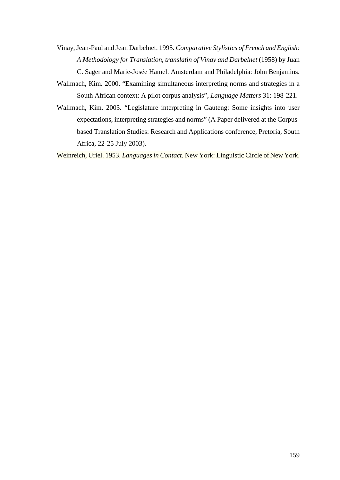- Vinay, Jean-Paul and Jean Darbelnet. 1995. *Comparative Stylistics of French and English: A Methodology for Translation, translatin of Vinay and Darbelnet* (1958) by Juan C. Sager and Marie-Josée Hamel. Amsterdam and Philadelphia: John Benjamins.
- Wallmach, Kim. 2000. "Examining simultaneous interpreting norms and strategies in a South African context: A pilot corpus analysis", *Language Matters* 31: 198-221.
- Wallmach, Kim. 2003. "Legislature interpreting in Gauteng: Some insights into user expectations, interpreting strategies and norms" (A Paper delivered at the Corpusbased Translation Studies: Research and Applications conference, Pretoria, South Africa, 22-25 July 2003).

Weinreich, Uriel. 1953. *Languages in Contact.* New York: Linguistic Circle of New York.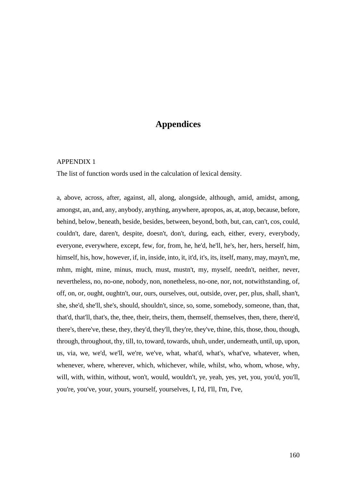# **Appendices**

#### APPENDIX 1

The list of function words used in the calculation of lexical density.

a, above, across, after, against, all, along, alongside, although, amid, amidst, among, amongst, an, and, any, anybody, anything, anywhere, apropos, as, at, atop, because, before, behind, below, beneath, beside, besides, between, beyond, both, but, can, can't, cos, could, couldn't, dare, daren't, despite, doesn't, don't, during, each, either, every, everybody, everyone, everywhere, except, few, for, from, he, he'd, he'll, he's, her, hers, herself, him, himself, his, how, however, if, in, inside, into, it, it'd, it's, its, itself, many, may, mayn't, me, mhm, might, mine, minus, much, must, mustn't, my, myself, needn't, neither, never, nevertheless, no, no-one, nobody, non, nonetheless, no-one, nor, not, notwithstanding, of, off, on, or, ought, oughtn't, our, ours, ourselves, out, outside, over, per, plus, shall, shan't, she, she'd, she'll, she's, should, shouldn't, since, so, some, somebody, someone, than, that, that'd, that'll, that's, the, thee, their, theirs, them, themself, themselves, then, there, there'd, there's, there've, these, they, they'd, they'll, they're, they've, thine, this, those, thou, though, through, throughout, thy, till, to, toward, towards, uhuh, under, underneath, until, up, upon, us, via, we, we'd, we'll, we're, we've, what, what'd, what's, what've, whatever, when, whenever, where, wherever, which, whichever, while, whilst, who, whom, whose, why, will, with, within, without, won't, would, wouldn't, ye, yeah, yes, yet, you, you'd, you'll, you're, you've, your, yours, yourself, yourselves, I, I'd, I'll, I'm, I've,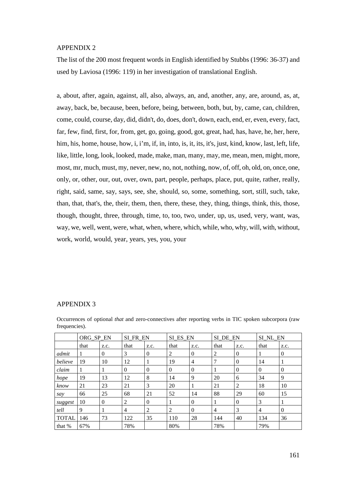#### APPENDIX 2

The list of the 200 most frequent words in English identified by Stubbs (1996: 36-37) and used by Laviosa (1996: 119) in her investigation of translational English.

a, about, after, again, against, all, also, always, an, and, another, any, are, around, as, at, away, back, be, because, been, before, being, between, both, but, by, came, can, children, come, could, course, day, did, didn't, do, does, don't, down, each, end, er, even, every, fact, far, few, find, first, for, from, get, go, going, good, got, great, had, has, have, he, her, here, him, his, home, house, how, i, i'm, if, in, into, is, it, its, it's, just, kind, know, last, left, life, like, little, long, look, looked, made, make, man, many, may, me, mean, men, might, more, most, mr, much, must, my, never, new, no, not, nothing, now, of, off, oh, old, on, once, one, only, or, other, our, out, over, own, part, people, perhaps, place, put, quite, rather, really, right, said, same, say, says, see, she, should, so, some, something, sort, still, such, take, than, that, that's, the, their, them, then, there, these, they, thing, things, think, this, those, though, thought, three, through, time, to, too, two, under, up, us, used, very, want, was, way, we, well, went, were, what, when, where, which, while, who, why, will, with, without, work, world, would, year, years, yes, you, your

#### APPENDIX 3

|              | ORG_SP_EN |              | SI FR EN       |          | SI ES EN |                | SI DE EN       |          | SI NL EN |                |
|--------------|-----------|--------------|----------------|----------|----------|----------------|----------------|----------|----------|----------------|
|              | that      | z.c.         | that           | z.c.     | that     | Z.C.           | that           | Z.C.     | that     | Z.C.           |
| admit        | 1         | $\mathbf{0}$ | 3              | 0        | 2        | $\overline{0}$ | 2              | $\Omega$ | 1        | $\overline{0}$ |
| believe      | 19        | 10           | 12             | 1        | 19       | $\overline{4}$ | 7              | $\Omega$ | 14       |                |
| claim        | 1         |              | $\Omega$       | $\theta$ | $\Omega$ | $\mathbf{0}$   |                | $\Omega$ | $\Omega$ | $\overline{0}$ |
| hope         | 19        | 13           | 12             | 8        | 14       | 9              | 20             | 6        | 34       | 9              |
| know         | 21        | 23           | 21             | 3        | 20       |                | 21             | 2        | 18       | 10             |
| say          | 66        | 25           | 68             | 21       | 52       | 14             | 88             | 29       | 60       | 15             |
| suggest      | 10        | $\theta$     | 2              | $\theta$ |          | $\overline{0}$ |                | $\Omega$ | 3        |                |
| tell         | 9         |              | $\overline{4}$ | 2        | 2        | $\Omega$       | $\overline{4}$ | 3        | 4        | $\Omega$       |
| <b>TOTAL</b> | 146       | 73           | 122            | 35       | 110      | 28             | 144            | 40       | 134      | 36             |
| that %       | 67%       |              | 78%            |          | 80%      |                | 78%            |          | 79%      |                |

Occurrences of optional *that* and zero-connectives after reporting verbs in TIC spoken subcorpora (raw frequencies).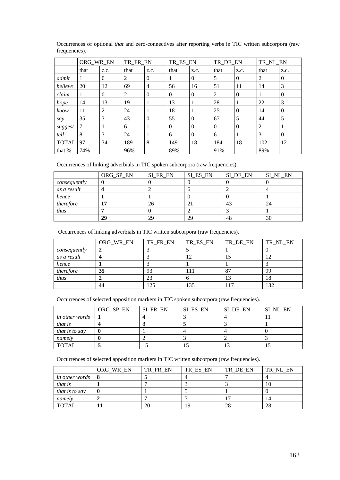|              | ORG_WR_EN |          | TR FR EN |                | TR ES EN |                | TR DE EN |          | TR NL EN |          |
|--------------|-----------|----------|----------|----------------|----------|----------------|----------|----------|----------|----------|
|              | that      | z.c.     | that     | z.c.           | that     | Z.C.           | that     | z.c.     | that     | z.c.     |
| admit        |           | $\Omega$ | 2        | $\overline{0}$ |          | $\overline{0}$ | 5        | $\theta$ | 2        | $\theta$ |
| believe      | 20        | 12       | 69       | $\overline{4}$ | 56       | 16             | 51       | 11       | 14       | 3        |
| claim        | -         | $\Omega$ | 2        | $\theta$       | $\Omega$ | $\overline{0}$ | 2        | $\Omega$ |          | $\Omega$ |
| hope         | 14        | 13       | 19       | 1              | 13       | 1              | 28       | 1        | 22       | 3        |
| know         | 11        | 2        | 24       | 1              | 18       | 1              | 25       | $\theta$ | 14       | $\theta$ |
| say          | 35        | 3        | 43       | $\theta$       | 55       | $\theta$       | 67       | 5        | 44       | 5        |
| suggest      | 7         | 1        | 6        | 1              | $\Omega$ | $\theta$       | $\Omega$ | $\Omega$ | 2        |          |
| tell         | 8         | 3        | 24       | 1              | 6        | $\theta$       | 6        | 1        | 3        | $\Omega$ |
| <b>TOTAL</b> | 97        | 34       | 189      | 8              | 149      | 18             | 184      | 18       | 102      | 12       |
| that %       | 74%       |          | 96%      |                | 89%      |                | 91%      |          | 89%      |          |

Occurrences of optional *that* and zero-connectives after reporting verbs in TIC written subcorpora (raw frequencies).

Occurrences of linking adverbials in TIC spoken subcorpora (raw frequencies).

|              | ORG_SP_EN | SI FR EN | SI_ES_EN | SI_DE_EN | SI NL EN |
|--------------|-----------|----------|----------|----------|----------|
| consequently |           |          |          |          |          |
| as a result  |           |          | n        |          |          |
| hence        |           |          |          |          |          |
| therefore    |           | ΖC       |          | 43       | 24       |
| thus         |           |          |          |          |          |
|              | 29        | 29       | 29       | 48       | 30       |

Occurrences of linking adverbials in TIC written subcorpora (raw frequencies).

|              | ORG_WR_EN | TR_FR_EN | TR_ES_EN | TR_DE_EN | TR_NL_EN        |
|--------------|-----------|----------|----------|----------|-----------------|
| consequently |           |          |          |          |                 |
| as a result  |           |          |          |          |                 |
| hence        |           |          |          |          |                 |
| therefore    | 35        | 93       |          | 87       | 99              |
| thus         |           | 23       |          |          | 18              |
|              | 44        | 125      | エウエ      | 17       | 12 <sup>c</sup> |

Occurrences of selected apposition markers in TIC spoken subcorpora (raw frequencies).

|                       | ORG SP EN | SI FR EN | SI ES EN | SI DE EN         | SI NL EN |
|-----------------------|-----------|----------|----------|------------------|----------|
| in other words        |           |          |          |                  |          |
| <i>that is</i>        |           |          |          |                  |          |
| <i>that is to say</i> |           |          |          |                  |          |
| namely                |           |          |          |                  |          |
| <b>TOTAL</b>          |           |          | IJ       | $\sqrt{2}$<br>10 |          |

Occurrences of selected apposition markers in TIC written subcorpora (raw frequencies).

|                          | ORG WR EN | TR FR EN | TR ES EN | TR DE EN | TR_NL_EN |
|--------------------------|-----------|----------|----------|----------|----------|
| in other words $\vert 8$ |           |          |          |          |          |
| that is                  |           |          |          |          | 10       |
| <i>that is to say</i>    |           |          |          |          |          |
| namely                   |           |          |          |          | 14       |
| <b>TOTAL</b>             |           | 20       | 19       | 28       | 28       |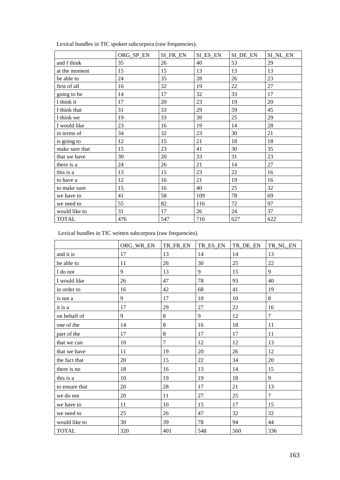|                | ORG_SP_EN | SI FR EN | SI ES EN | SI_DE_EN | SI NL EN |
|----------------|-----------|----------|----------|----------|----------|
| and I think    | 35        | 26       | 40       | 53       | 29       |
| at the moment  | 15        | 15       | 13       | 13       | 13       |
| be able to     | 24        | 35       | 28       | 26       | 23       |
| first of all   | 16        | 32       | 19       | 22       | 27       |
| going to be    | 14        | 17       | 32       | 33       | 17       |
| I think it     | 17        | 20       | 23       | 19       | 20       |
| I think that   | 31        | 33       | 29       | 59       | 45       |
| I think we     | 19        | 33       | 39       | 25       | 29       |
| I would like   | 23        | 16       | 19       | 14       | 28       |
| in terms of    | 34        | 32       | 23       | 30       | 21       |
| is going to    | 12        | 15       | 21       | 18       | 18       |
| make sure that | 15        | 23       | 41       | 30       | 35       |
| that we have   | 30        | 20       | 33       | 31       | 23       |
| there is a     | 24        | 26       | 21       | 14       | 27       |
| this is a      | 13        | 15       | 23       | 22       | 16       |
| to have a      | 12        | 16       | 21       | 19       | 16       |
| to make sure   | 15        | 16       | 40       | 25       | 32       |
| we have to     | 41        | 58       | 109      | 78       | 69       |
| we need to     | 55        | 82       | 116      | 72       | 97       |
| would like to  | 31        | 17       | 26       | 24       | 37       |
| <b>TOTAL</b>   | 476       | 547      | 716      | 627      | 622      |

Lexical bundles in TIC spoken subcorpora (raw frequencies).

Lexical bundles in TIC written subcorpora (raw frequencies).

|                | ORG_WR_EN | TR_FR_EN | TR_ES_EN | TR_DE_EN | TR_NL_EN       |
|----------------|-----------|----------|----------|----------|----------------|
| and it is      | 17        | 13       | 14       | 14       | 13             |
| be able to     | 11        | 26       | 30       | 25       | 22             |
| I do not       | 9         | 13       | 9        | 15       | 9              |
| I would like   | 26        | 47       | 78       | 93       | 40             |
| in order to    | 16        | 42       | 68       | 41       | 19             |
| is not a       | 9         | 17       | 10       | 10       | 8              |
| it is a        | 17        | 29       | 27       | 22       | 16             |
| on behalf of   | 9         | 8        | 9        | 12       | $\overline{7}$ |
| one of the     | 14        | 8        | 16       | 18       | 11             |
| part of the    | 17        | 8        | 17       | 17       | 11             |
| that we can    | 10        | $\tau$   | 12       | 12       | 13             |
| that we have   | 11        | 19       | 20       | 26       | 12             |
| the fact that  | 20        | 15       | 22       | 34       | 20             |
| there is no    | 18        | 16       | 13       | 14       | 15             |
| this is a      | 10        | 19       | 19       | 18       | 9              |
| to ensure that | 20        | 28       | 17       | 21       | 13             |
| we do not      | 20        | 11       | 27       | 25       | $\overline{7}$ |
| we have to     | 11        | 10       | 15       | 17       | 15             |
| we need to     | 25        | 26       | 47       | 32       | 32             |
| would like to  | 30        | 39       | 78       | 94       | 44             |
| <b>TOTAL</b>   | 320       | 401      | 548      | 560      | 336            |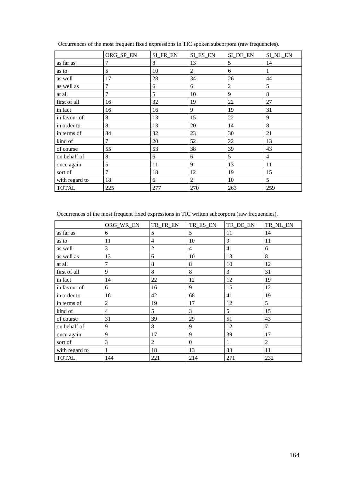|                | ORG_SP_EN      | SI_FR_EN | SI_ES_EN | SI_DE_EN       | SI_NL_EN       |
|----------------|----------------|----------|----------|----------------|----------------|
| as far as      | 7              | 8        | 13       | 5              | 14             |
| as to          | 5              | 10       | 2        | 6              | 1              |
| as well        | 17             | 28       | 34       | 26             | 44             |
| as well as     | $\overline{7}$ | 6        | 6        | $\overline{2}$ | 5              |
| at all         | 7              | 5        | 10       | 9              | 8              |
| first of all   | 16             | 32       | 19       | 22             | 27             |
| in fact        | 16             | 16       | 9        | 19             | 31             |
| in favour of   | 8              | 13       | 15       | 22             | 9              |
| in order to    | 8              | 13       | 20       | 14             | 8              |
| in terms of    | 34             | 32       | 23       | 30             | 21             |
| kind of        | $\tau$         | 20       | 52       | 22             | 13             |
| of course      | 55             | 53       | 38       | 39             | 43             |
| on behalf of   | 8              | 6        | 6        | 5              | $\overline{4}$ |
| once again     | 5              | 11       | 9        | 13             | 11             |
| sort of        | 7              | 18       | 12       | 19             | 15             |
| with regard to | 18             | 6        | 2        | 10             | 5              |
| <b>TOTAL</b>   | 225            | 277      | 270      | 263            | 259            |

Occurrences of the most frequent fixed expressions in TIC spoken subcorpora (raw frequencies).

Occurrences of the most frequent fixed expressions in TIC written subcorpora (raw frequencies).

|                | ORG_WR_EN      | TR_FR_EN       | TR_ES_EN       | TR_DE_EN       | TR_NL_EN |
|----------------|----------------|----------------|----------------|----------------|----------|
| as far as      | 6              | 5              | 5              | 11             | 14       |
| as to          | 11             | 4              | 10             | 9              | 11       |
| as well        | 3              | $\overline{2}$ | $\overline{4}$ | $\overline{4}$ | 6        |
| as well as     | 13             | 6              | 10             | 13             | 8        |
| at all         | 7              | 8              | 8              | 10             | 12       |
| first of all   | 9              | 8              | 8              | 3              | 31       |
| in fact        | 14             | 22             | 12             | 12             | 19       |
| in favour of   | 6              | 16             | 9              | 15             | 12       |
| in order to    | 16             | 42             | 68             | 41             | 19       |
| in terms of    | $\overline{2}$ | 19             | 17             | 12             | 5        |
| kind of        | $\overline{4}$ | 5              | 3              | 5              | 15       |
| of course      | 31             | 39             | 29             | 51             | 43       |
| on behalf of   | 9              | 8              | 9              | 12             | 7        |
| once again     | 9              | 17             | 9              | 39             | 17       |
| sort of        | 3              | $\overline{c}$ | $\Omega$       | $\mathbf{1}$   | 2        |
| with regard to |                | 18             | 13             | 33             | 11       |
| <b>TOTAL</b>   | 144            | 221            | 214            | 271            | 232      |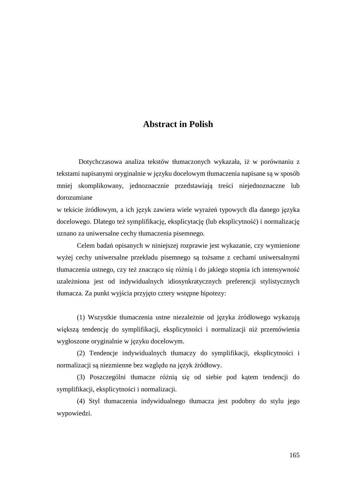## **Abstract in Polish**

 Dotychczasowa analiza tekstów tłumaczonych wykazała, iż w porównaniu z tekstami napisanymi oryginalnie w języku docelowym tłumaczenia napisane są w sposób mniej skomplikowany, jednoznacznie przedstawiają treści niejednoznaczne lub dorozumiane

w tekście źródłowym, a ich język zawiera wiele wyrażeń typowych dla danego języka docelowego. Dlatego też symplifikację, eksplicytację (lub eksplicytność) i normalizację uznano za uniwersalne cechy tłumaczenia pisemnego.

Celem badań opisanych w niniejszej rozprawie jest wykazanie, czy wymienione wyżej cechy uniwersalne przekładu pisemnego są tożsame z cechami uniwersalnymi tłumaczenia ustnego, czy też znacząco się różnią i do jakiego stopnia ich intensywność uzależniona jest od indywidualnych idiosynkratycznych preferencji stylistycznych tłumacza. Za punkt wyjścia przyjęto cztery wstępne hipotezy:

(1) Wszystkie tłumaczenia ustne niezależnie od języka źródłowego wykazują większą tendencję do symplifikacji, eksplicytności i normalizacji niż przemówienia wygłoszone oryginalnie w języku docelowym.

(2) Tendencje indywidualnych tłumaczy do symplifikacji, eksplicytności i normalizacji są niezmienne bez względu na język źródłowy.

(3) Poszczególni tłumacze różnią się od siebie pod kątem tendencji do symplifikacji, eksplicytności i normalizacji.

(4) Styl tłumaczenia indywidualnego tłumacza jest podobny do stylu jego wypowiedzi.